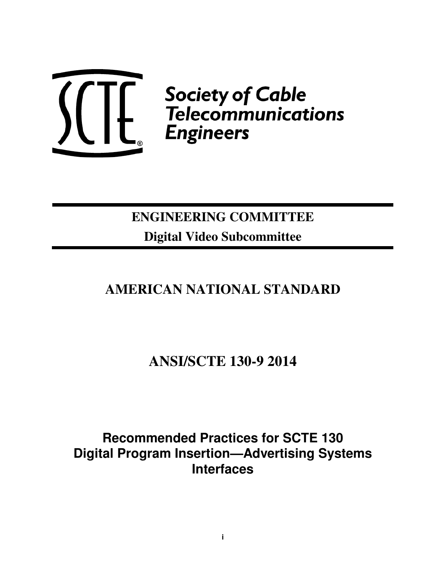

# **ENGINEERING COMMITTEE Digital Video Subcommittee**

# **AMERICAN NATIONAL STANDARD**

**ANSI/SCTE 130-9 2014** 

**Recommended Practices for SCTE 130 Digital Program Insertion—Advertising Systems Interfaces**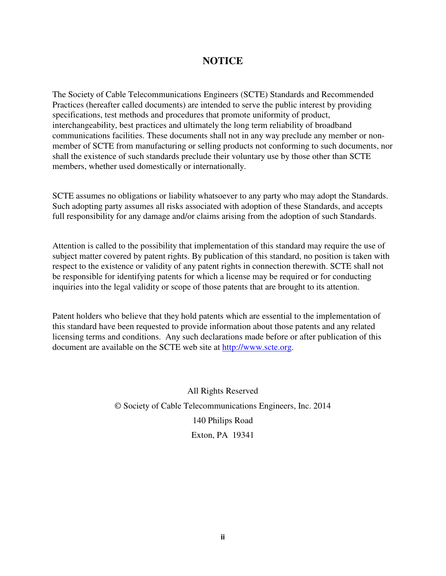# **NOTICE**

The Society of Cable Telecommunications Engineers (SCTE) Standards and Recommended Practices (hereafter called documents) are intended to serve the public interest by providing specifications, test methods and procedures that promote uniformity of product, interchangeability, best practices and ultimately the long term reliability of broadband communications facilities. These documents shall not in any way preclude any member or nonmember of SCTE from manufacturing or selling products not conforming to such documents, nor shall the existence of such standards preclude their voluntary use by those other than SCTE members, whether used domestically or internationally.

SCTE assumes no obligations or liability whatsoever to any party who may adopt the Standards. Such adopting party assumes all risks associated with adoption of these Standards, and accepts full responsibility for any damage and/or claims arising from the adoption of such Standards.

Attention is called to the possibility that implementation of this standard may require the use of subject matter covered by patent rights. By publication of this standard, no position is taken with respect to the existence or validity of any patent rights in connection therewith. SCTE shall not be responsible for identifying patents for which a license may be required or for conducting inquiries into the legal validity or scope of those patents that are brought to its attention.

Patent holders who believe that they hold patents which are essential to the implementation of this standard have been requested to provide information about those patents and any related licensing terms and conditions. Any such declarations made before or after publication of this document are available on the SCTE web site at http://www.scte.org.

> All Rights Reserved © Society of Cable Telecommunications Engineers, Inc. 2014 140 Philips Road Exton, PA 19341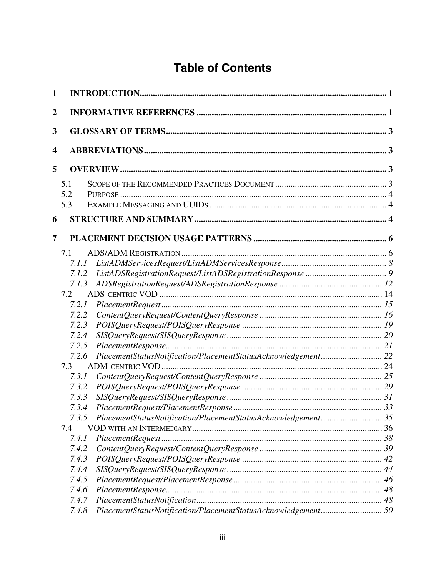# **Table of Contents**

| 1   |                                                                        |  |  |  |  |
|-----|------------------------------------------------------------------------|--|--|--|--|
| 2   |                                                                        |  |  |  |  |
| 3   |                                                                        |  |  |  |  |
| 4   |                                                                        |  |  |  |  |
| 5   |                                                                        |  |  |  |  |
|     | 5.1                                                                    |  |  |  |  |
|     | 5.2                                                                    |  |  |  |  |
|     | 5.3                                                                    |  |  |  |  |
| 6   |                                                                        |  |  |  |  |
| 7   |                                                                        |  |  |  |  |
|     | 7.1                                                                    |  |  |  |  |
|     | 7.1.1                                                                  |  |  |  |  |
|     | 7.1.2                                                                  |  |  |  |  |
|     | 7.1.3                                                                  |  |  |  |  |
|     | 7.2                                                                    |  |  |  |  |
|     | 7.2.1                                                                  |  |  |  |  |
|     | 7.2.2                                                                  |  |  |  |  |
|     | 7.2.3                                                                  |  |  |  |  |
|     | 7.2.4                                                                  |  |  |  |  |
|     | 7.2.5                                                                  |  |  |  |  |
|     | PlacementStatusNotification/PlacementStatusAcknowledgement 22<br>7.2.6 |  |  |  |  |
|     | 7.3                                                                    |  |  |  |  |
|     | 7.3.1                                                                  |  |  |  |  |
|     | 7.3.2                                                                  |  |  |  |  |
|     | 7.3.3                                                                  |  |  |  |  |
|     | 7.3.4                                                                  |  |  |  |  |
|     | 7.3.5                                                                  |  |  |  |  |
| 7.4 |                                                                        |  |  |  |  |
|     | 7.4.1                                                                  |  |  |  |  |
|     | 7.4.2                                                                  |  |  |  |  |
|     | 7.4.3                                                                  |  |  |  |  |
|     | 7.4.4                                                                  |  |  |  |  |
|     | 7.4.5                                                                  |  |  |  |  |
|     | 7.4.6                                                                  |  |  |  |  |
|     | 7.4.7                                                                  |  |  |  |  |
|     | PlacementStatusNotification/PlacementStatusAcknowledgement 50<br>7.4.8 |  |  |  |  |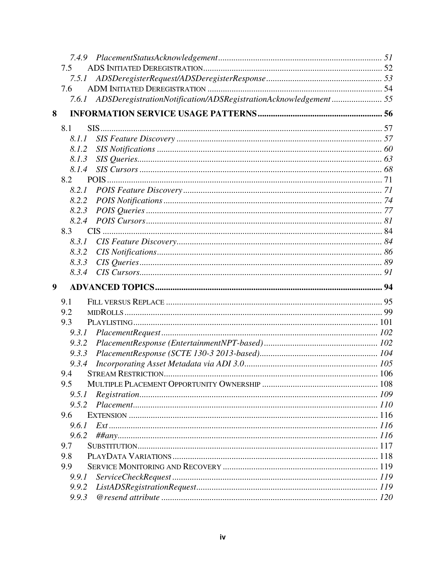| 7.4.9 |                                                                       |  |
|-------|-----------------------------------------------------------------------|--|
| 7.5   |                                                                       |  |
| 7.5.1 |                                                                       |  |
| 7.6   |                                                                       |  |
|       | 7.6.1 ADSDeregistrationNotification/ADSRegistrationAcknowledgement 55 |  |
| 8     |                                                                       |  |
| 8.1   |                                                                       |  |
| 8.1.1 |                                                                       |  |
| 8.1.2 |                                                                       |  |
| 8.1.3 |                                                                       |  |
| 8.1.4 |                                                                       |  |
| 8.2   |                                                                       |  |
| 8.2.1 |                                                                       |  |
| 8.2.2 |                                                                       |  |
| 8.2.3 |                                                                       |  |
| 8.2.4 |                                                                       |  |
| 8.3   |                                                                       |  |
| 8.3.1 |                                                                       |  |
| 8.3.2 |                                                                       |  |
| 8.3.3 |                                                                       |  |
| 8.3.4 |                                                                       |  |
|       |                                                                       |  |
| 9     |                                                                       |  |
| 9.1   |                                                                       |  |
| 9.2   |                                                                       |  |
| 9.3   |                                                                       |  |
| 9.3.1 |                                                                       |  |
| 9.3.2 |                                                                       |  |
| 9.3.3 |                                                                       |  |
| 9.3.4 |                                                                       |  |
| 9.4   |                                                                       |  |
| 9.5   |                                                                       |  |
| 9.5.1 |                                                                       |  |
|       |                                                                       |  |
| 9.6   |                                                                       |  |
| 9.6.1 |                                                                       |  |
| 9.6.2 |                                                                       |  |
| 9.7   |                                                                       |  |
| 9.8   |                                                                       |  |
| 9.9   |                                                                       |  |
| 9.9.1 |                                                                       |  |
| 9.9.2 |                                                                       |  |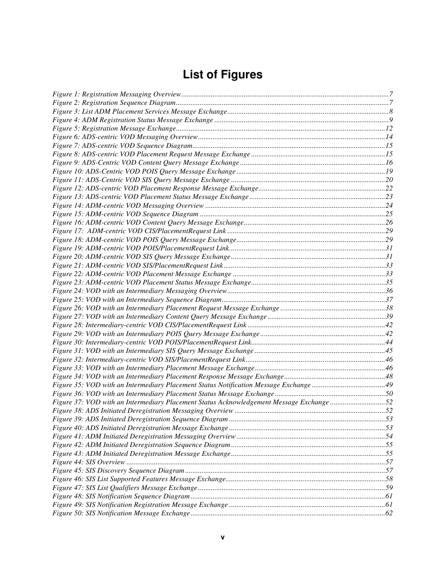# **List of Figures**

| Figure 37: VOD with an Intermediary Placement Status Acknowledgement Message Exchange 52 |  |
|------------------------------------------------------------------------------------------|--|
|                                                                                          |  |
|                                                                                          |  |
|                                                                                          |  |
|                                                                                          |  |
|                                                                                          |  |
|                                                                                          |  |
|                                                                                          |  |
|                                                                                          |  |
|                                                                                          |  |
|                                                                                          |  |
|                                                                                          |  |
|                                                                                          |  |
|                                                                                          |  |
|                                                                                          |  |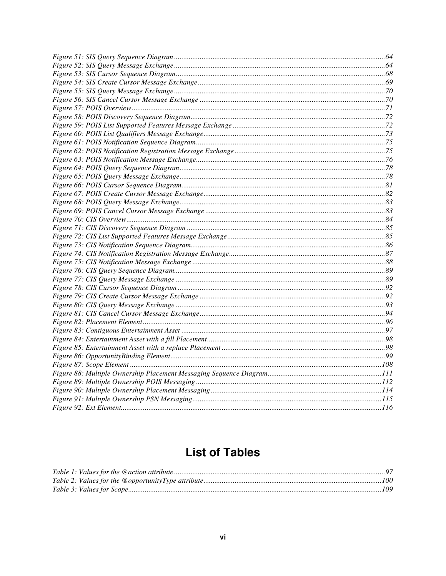# **List of Tables**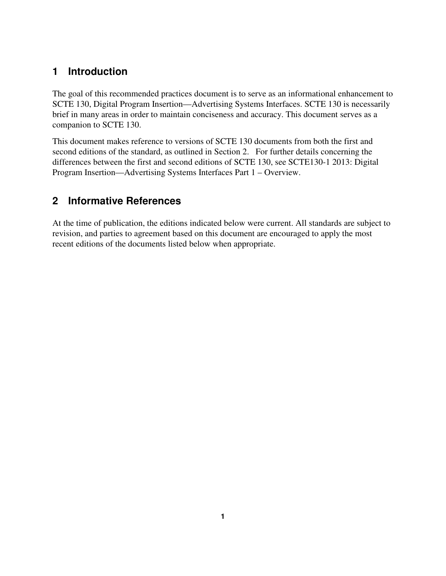# **1 Introduction**

The goal of this recommended practices document is to serve as an informational enhancement to SCTE 130, Digital Program Insertion—Advertising Systems Interfaces. SCTE 130 is necessarily brief in many areas in order to maintain conciseness and accuracy. This document serves as a companion to SCTE 130.

This document makes reference to versions of SCTE 130 documents from both the first and second editions of the standard, as outlined in Section 2. For further details concerning the differences between the first and second editions of SCTE 130, see SCTE130-1 2013: Digital Program Insertion—Advertising Systems Interfaces Part 1 – Overview.

# **2 Informative References**

At the time of publication, the editions indicated below were current. All standards are subject to revision, and parties to agreement based on this document are encouraged to apply the most recent editions of the documents listed below when appropriate.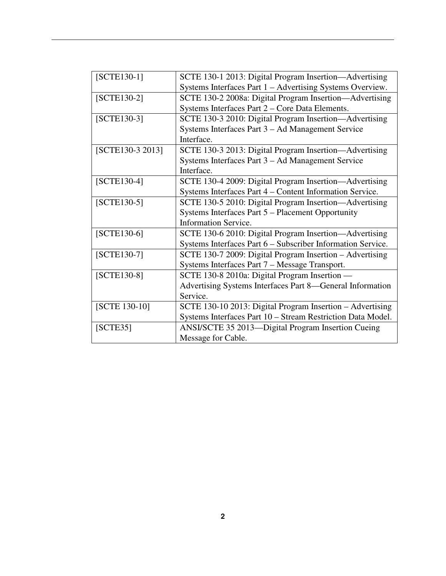| $[SCTE130-1]$    | SCTE 130-1 2013: Digital Program Insertion—Advertising      |
|------------------|-------------------------------------------------------------|
|                  | Systems Interfaces Part 1 - Advertising Systems Overview.   |
| $[SCTE130-2]$    | SCTE 130-2 2008a: Digital Program Insertion—Advertising     |
|                  | Systems Interfaces Part 2 – Core Data Elements.             |
| $[SCTE130-3]$    | SCTE 130-3 2010: Digital Program Insertion—Advertising      |
|                  | Systems Interfaces Part 3 – Ad Management Service           |
|                  | Interface.                                                  |
| [SCTE130-3 2013] | SCTE 130-3 2013: Digital Program Insertion—Advertising      |
|                  | Systems Interfaces Part 3 – Ad Management Service           |
|                  | Interface.                                                  |
| $[SCTE130-4]$    | SCTE 130-4 2009: Digital Program Insertion-Advertising      |
|                  | Systems Interfaces Part 4 – Content Information Service.    |
| $[SCTE130-5]$    | SCTE 130-5 2010: Digital Program Insertion—Advertising      |
|                  | Systems Interfaces Part 5 – Placement Opportunity           |
|                  | <b>Information Service.</b>                                 |
| $[SCTE130-6]$    | SCTE 130-6 2010: Digital Program Insertion—Advertising      |
|                  | Systems Interfaces Part 6 - Subscriber Information Service. |
| $[SCTE130-7]$    | SCTE 130-7 2009: Digital Program Insertion - Advertising    |
|                  | Systems Interfaces Part 7 – Message Transport.              |
| $[SCTE130-8]$    | SCTE 130-8 2010a: Digital Program Insertion —               |
|                  | Advertising Systems Interfaces Part 8—General Information   |
|                  | Service.                                                    |
| [SCTE 130-10]    | SCTE 130-10 2013: Digital Program Insertion – Advertising   |
|                  | Systems Interfaces Part 10 - Stream Restriction Data Model. |
| [SCTE35]         | ANSI/SCTE 35 2013—Digital Program Insertion Cueing          |
|                  | Message for Cable.                                          |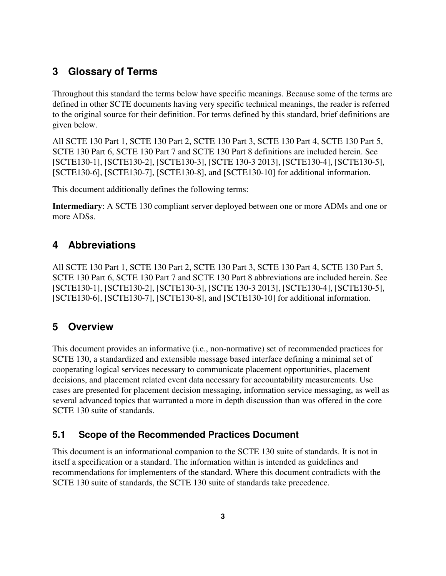# **3 Glossary of Terms**

Throughout this standard the terms below have specific meanings. Because some of the terms are defined in other SCTE documents having very specific technical meanings, the reader is referred to the original source for their definition. For terms defined by this standard, brief definitions are given below.

All SCTE 130 Part 1, SCTE 130 Part 2, SCTE 130 Part 3, SCTE 130 Part 4, SCTE 130 Part 5, SCTE 130 Part 6, SCTE 130 Part 7 and SCTE 130 Part 8 definitions are included herein. See [SCTE130-1], [SCTE130-2], [SCTE130-3], [SCTE 130-3 2013], [SCTE130-4], [SCTE130-5], [SCTE130-6], [SCTE130-7], [SCTE130-8], and [SCTE130-10] for additional information.

This document additionally defines the following terms:

**Intermediary**: A SCTE 130 compliant server deployed between one or more ADMs and one or more ADSs.

# **4 Abbreviations**

All SCTE 130 Part 1, SCTE 130 Part 2, SCTE 130 Part 3, SCTE 130 Part 4, SCTE 130 Part 5, SCTE 130 Part 6, SCTE 130 Part 7 and SCTE 130 Part 8 abbreviations are included herein. See [SCTE130-1], [SCTE130-2], [SCTE130-3], [SCTE 130-3 2013], [SCTE130-4], [SCTE130-5], [SCTE130-6], [SCTE130-7], [SCTE130-8], and [SCTE130-10] for additional information.

# **5 Overview**

This document provides an informative (i.e., non-normative) set of recommended practices for SCTE 130, a standardized and extensible message based interface defining a minimal set of cooperating logical services necessary to communicate placement opportunities, placement decisions, and placement related event data necessary for accountability measurements. Use cases are presented for placement decision messaging, information service messaging, as well as several advanced topics that warranted a more in depth discussion than was offered in the core SCTE 130 suite of standards.

# **5.1 Scope of the Recommended Practices Document**

This document is an informational companion to the SCTE 130 suite of standards. It is not in itself a specification or a standard. The information within is intended as guidelines and recommendations for implementers of the standard. Where this document contradicts with the SCTE 130 suite of standards, the SCTE 130 suite of standards take precedence.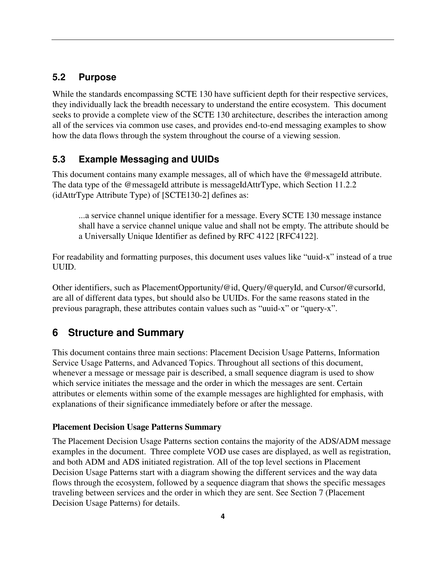# **5.2 Purpose**

While the standards encompassing SCTE 130 have sufficient depth for their respective services, they individually lack the breadth necessary to understand the entire ecosystem. This document seeks to provide a complete view of the SCTE 130 architecture, describes the interaction among all of the services via common use cases, and provides end-to-end messaging examples to show how the data flows through the system throughout the course of a viewing session.

# **5.3 Example Messaging and UUIDs**

This document contains many example messages, all of which have the @messageId attribute. The data type of the @messageId attribute is messageIdAttrType, which Section 11.2.2 (idAttrType Attribute Type) of [SCTE130-2] defines as:

...a service channel unique identifier for a message. Every SCTE 130 message instance shall have a service channel unique value and shall not be empty. The attribute should be a Universally Unique Identifier as defined by RFC 4122 [RFC4122].

For readability and formatting purposes, this document uses values like "uuid-x" instead of a true UUID.

Other identifiers, such as PlacementOpportunity/@id, Query/@queryId, and Cursor/@cursorId, are all of different data types, but should also be UUIDs. For the same reasons stated in the previous paragraph, these attributes contain values such as "uuid-x" or "query-x".

# **6 Structure and Summary**

This document contains three main sections: Placement Decision Usage Patterns, Information Service Usage Patterns, and Advanced Topics. Throughout all sections of this document, whenever a message or message pair is described, a small sequence diagram is used to show which service initiates the message and the order in which the messages are sent. Certain attributes or elements within some of the example messages are highlighted for emphasis, with explanations of their significance immediately before or after the message.

#### **Placement Decision Usage Patterns Summary**

The Placement Decision Usage Patterns section contains the majority of the ADS/ADM message examples in the document. Three complete VOD use cases are displayed, as well as registration, and both ADM and ADS initiated registration. All of the top level sections in Placement Decision Usage Patterns start with a diagram showing the different services and the way data flows through the ecosystem, followed by a sequence diagram that shows the specific messages traveling between services and the order in which they are sent. See Section 7 (Placement Decision Usage Patterns) for details.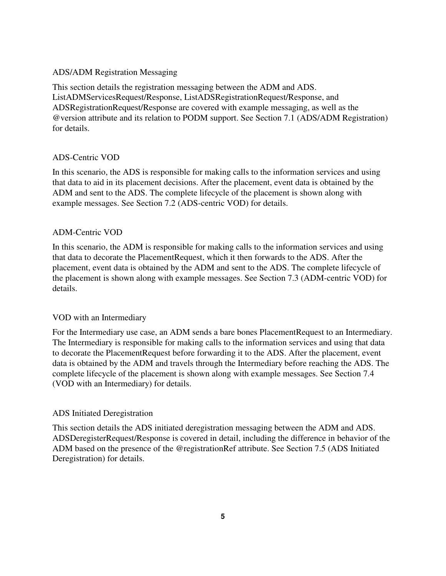### ADS/ADM Registration Messaging

This section details the registration messaging between the ADM and ADS. ListADMServicesRequest/Response, ListADSRegistrationRequest/Response, and ADSRegistrationRequest/Response are covered with example messaging, as well as the @version attribute and its relation to PODM support. See Section 7.1 (ADS/ADM Registration) for details.

### ADS-Centric VOD

In this scenario, the ADS is responsible for making calls to the information services and using that data to aid in its placement decisions. After the placement, event data is obtained by the ADM and sent to the ADS. The complete lifecycle of the placement is shown along with example messages. See Section 7.2 (ADS-centric VOD) for details.

### ADM-Centric VOD

In this scenario, the ADM is responsible for making calls to the information services and using that data to decorate the PlacementRequest, which it then forwards to the ADS. After the placement, event data is obtained by the ADM and sent to the ADS. The complete lifecycle of the placement is shown along with example messages. See Section 7.3 (ADM-centric VOD) for details.

#### VOD with an Intermediary

For the Intermediary use case, an ADM sends a bare bones PlacementRequest to an Intermediary. The Intermediary is responsible for making calls to the information services and using that data to decorate the PlacementRequest before forwarding it to the ADS. After the placement, event data is obtained by the ADM and travels through the Intermediary before reaching the ADS. The complete lifecycle of the placement is shown along with example messages. See Section 7.4 (VOD with an Intermediary) for details.

#### ADS Initiated Deregistration

This section details the ADS initiated deregistration messaging between the ADM and ADS. ADSDeregisterRequest/Response is covered in detail, including the difference in behavior of the ADM based on the presence of the @registrationRef attribute. See Section 7.5 (ADS Initiated Deregistration) for details.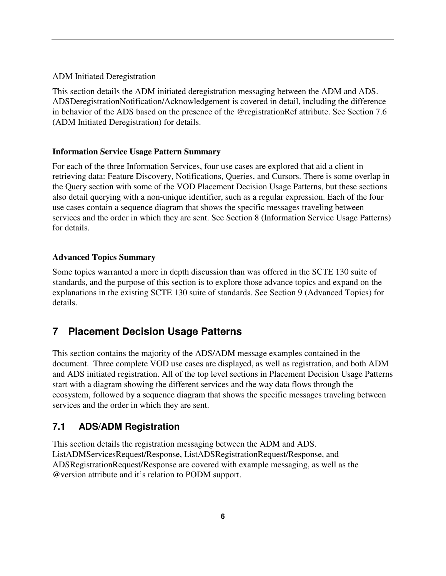ADM Initiated Deregistration

This section details the ADM initiated deregistration messaging between the ADM and ADS. ADSDeregistrationNotification/Acknowledgement is covered in detail, including the difference in behavior of the ADS based on the presence of the @registrationRef attribute. See Section 7.6 (ADM Initiated Deregistration) for details.

## **Information Service Usage Pattern Summary**

For each of the three Information Services, four use cases are explored that aid a client in retrieving data: Feature Discovery, Notifications, Queries, and Cursors. There is some overlap in the Query section with some of the VOD Placement Decision Usage Patterns, but these sections also detail querying with a non-unique identifier, such as a regular expression. Each of the four use cases contain a sequence diagram that shows the specific messages traveling between services and the order in which they are sent. See Section 8 (Information Service Usage Patterns) for details.

## **Advanced Topics Summary**

Some topics warranted a more in depth discussion than was offered in the SCTE 130 suite of standards, and the purpose of this section is to explore those advance topics and expand on the explanations in the existing SCTE 130 suite of standards. See Section 9 (Advanced Topics) for details.

# **7 Placement Decision Usage Patterns**

This section contains the majority of the ADS/ADM message examples contained in the document. Three complete VOD use cases are displayed, as well as registration, and both ADM and ADS initiated registration. All of the top level sections in Placement Decision Usage Patterns start with a diagram showing the different services and the way data flows through the ecosystem, followed by a sequence diagram that shows the specific messages traveling between services and the order in which they are sent.

# **7.1 ADS/ADM Registration**

This section details the registration messaging between the ADM and ADS. ListADMServicesRequest/Response, ListADSRegistrationRequest/Response, and ADSRegistrationRequest/Response are covered with example messaging, as well as the @version attribute and it's relation to PODM support.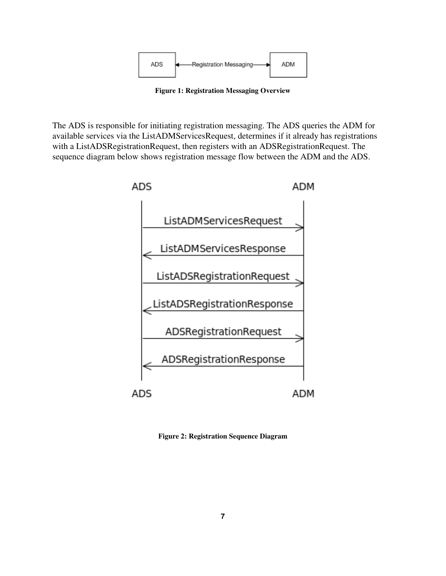

**Figure 1: Registration Messaging Overview** 

The ADS is responsible for initiating registration messaging. The ADS queries the ADM for available services via the ListADMServicesRequest, determines if it already has registrations with a ListADSRegistrationRequest, then registers with an ADSRegistrationRequest. The sequence diagram below shows registration message flow between the ADM and the ADS.



**Figure 2: Registration Sequence Diagram**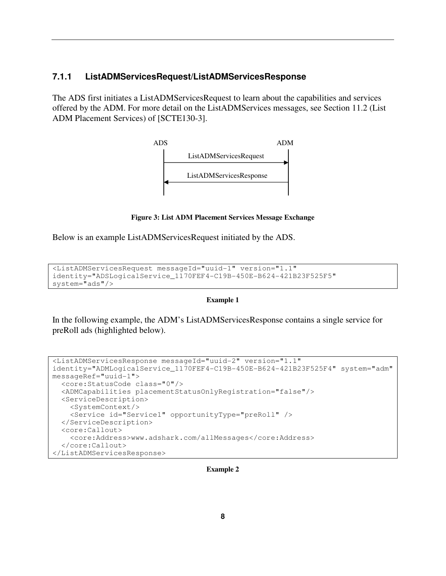## **7.1.1 ListADMServicesRequest/ListADMServicesResponse**

The ADS first initiates a ListADMServicesRequest to learn about the capabilities and services offered by the ADM. For more detail on the ListADMServices messages, see Section 11.2 (List ADM Placement Services) of [SCTE130-3].



**Figure 3: List ADM Placement Services Message Exchange** 

Below is an example ListADMServicesRequest initiated by the ADS.

```
<ListADMServicesRequest messageId="uuid-1" version="1.1" 
identity="ADSLogicalService_1170FEF4-C19B-450E-B624-421B23F525F5" 
system="ads"/>
```
#### **Example 1**

In the following example, the ADM's ListADMServicesResponse contains a single service for preRoll ads (highlighted below).

```
<ListADMServicesResponse messageId="uuid-2" version="1.1" 
identity="ADMLogicalService_1170FEF4-C19B-450E-B624-421B23F525F4" system="adm" 
messageRef="uuid-1"> 
   <core:StatusCode class="0"/> 
   <ADMCapabilities placementStatusOnlyRegistration="false"/> 
   <ServiceDescription> 
     <SystemContext/> 
     <Service id="Service1" opportunityType="preRoll" /> 
   </ServiceDescription> 
   <core:Callout> 
     <core:Address>www.adshark.com/allMessages</core:Address> 
   </core:Callout> 
</ListADMServicesResponse>
```
**Example 2**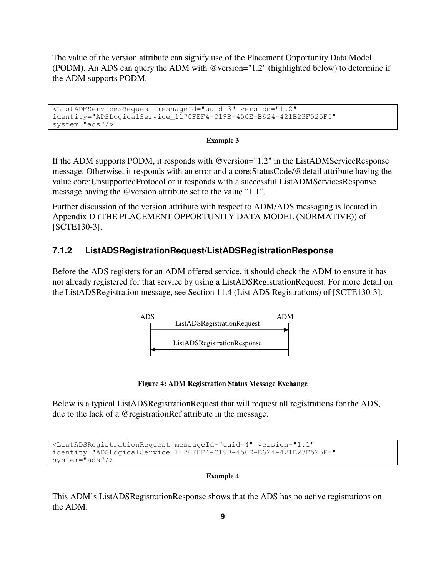The value of the version attribute can signify use of the Placement Opportunity Data Model (PODM). An ADS can query the ADM with @version="1.2" (highlighted below) to determine if the ADM supports PODM.

```
<ListADMServicesRequest messageId="uuid-3" version="1.2" 
identity="ADSLogicalService_1170FEF4-C19B-450E-B624-421B23F525F5" 
system="ads"/>
```
#### **Example 3**

If the ADM supports PODM, it responds with @version="1.2" in the ListADMServiceResponse message. Otherwise, it responds with an error and a core:StatusCode/@detail attribute having the value core:UnsupportedProtocol or it responds with a successful ListADMServicesResponse message having the @version attribute set to the value "1.1".

Further discussion of the version attribute with respect to ADM/ADS messaging is located in Appendix D (THE PLACEMENT OPPORTUNITY DATA MODEL (NORMATIVE)) of [SCTE130-3].

## **7.1.2 ListADSRegistrationRequest/ListADSRegistrationResponse**

Before the ADS registers for an ADM offered service, it should check the ADM to ensure it has not already registered for that service by using a ListADSRegistrationRequest. For more detail on the ListADSRegistration message, see Section 11.4 (List ADS Registrations) of [SCTE130-3].



**Figure 4: ADM Registration Status Message Exchange** 

Below is a typical ListADSRegistrationRequest that will request all registrations for the ADS, due to the lack of a @registrationRef attribute in the message.

```
<ListADSRegistrationRequest messageId="uuid-4" version="1.1" 
identity="ADSLogicalService_1170FEF4-C19B-450E-B624-421B23F525F5" 
system="ads"/>
```
#### **Example 4**

This ADM's ListADSRegistrationResponse shows that the ADS has no active registrations on the ADM.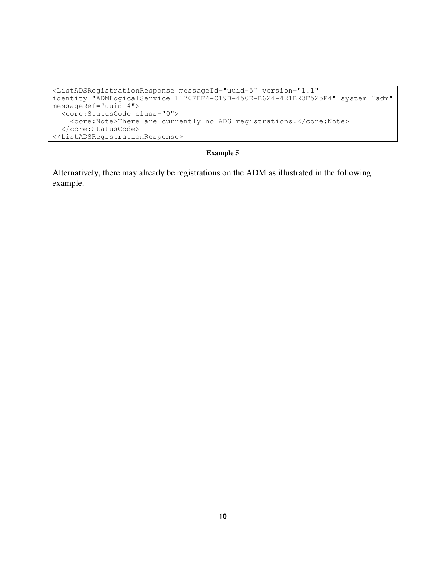```
<ListADSRegistrationResponse messageId="uuid-5" version="1.1" 
identity="ADMLogicalService_1170FEF4-C19B-450E-B624-421B23F525F4" system="adm" 
messageRef="uuid-4"> 
  <core:StatusCode class="0"> 
     <core:Note>There are currently no ADS registrations.</core:Note> 
   </core:StatusCode> 
</ListADSRegistrationResponse>
```
Alternatively, there may already be registrations on the ADM as illustrated in the following example.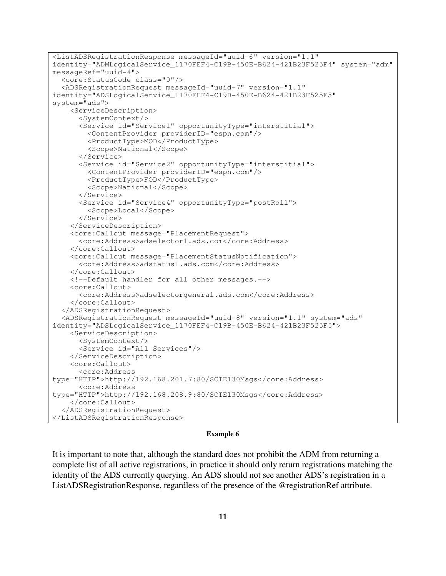```
<ListADSRegistrationResponse messageId="uuid-6" version="1.1" 
identity="ADMLogicalService_1170FEF4-C19B-450E-B624-421B23F525F4" system="adm" 
messageRef="uuid-4"> 
   <core:StatusCode class="0"/> 
   <ADSRegistrationRequest messageId="uuid-7" version="1.1" 
identity="ADSLogicalService_1170FEF4-C19B-450E-B624-421B23F525F5" 
system="ads"> 
     <ServiceDescription> 
       <SystemContext/> 
       <Service id="Service1" opportunityType="interstitial"> 
         <ContentProvider providerID="espn.com"/> 
         <ProductType>MOD</ProductType> 
         <Scope>National</Scope> 
       </Service> 
       <Service id="Service2" opportunityType="interstitial"> 
         <ContentProvider providerID="espn.com"/> 
         <ProductType>FOD</ProductType> 
         <Scope>National</Scope> 
       </Service> 
       <Service id="Service4" opportunityType="postRoll"> 
         <Scope>Local</Scope> 
       </Service> 
     </ServiceDescription> 
     <core:Callout message="PlacementRequest"> 
       <core:Address>adselector1.ads.com</core:Address> 
     </core:Callout> 
     <core:Callout message="PlacementStatusNotification"> 
       <core:Address>adstatus1.ads.com</core:Address> 
     </core:Callout> 
     <!--Default handler for all other messages.--> 
     <core:Callout> 
       <core:Address>adselectorgeneral.ads.com</core:Address> 
     </core:Callout> 
   </ADSRegistrationRequest> 
   <ADSRegistrationRequest messageId="uuid-8" version="1.1" system="ads" 
identity="ADSLogicalService_1170FEF4-C19B-450E-B624-421B23F525F5"> 
     <ServiceDescription> 
       <SystemContext/> 
       <Service id="All Services"/> 
     </ServiceDescription> 
     <core:Callout> 
       <core:Address 
type="HTTP">http://192.168.201.7:80/SCTE130Msgs</core:Address> 
       <core:Address 
type="HTTP">http://192.168.208.9:80/SCTE130Msgs</core:Address> 
     </core:Callout> 
   </ADSRegistrationRequest> 
</ListADSRegistrationResponse>
```
It is important to note that, although the standard does not prohibit the ADM from returning a complete list of all active registrations, in practice it should only return registrations matching the identity of the ADS currently querying. An ADS should not see another ADS's registration in a ListADSRegistrationResponse, regardless of the presence of the @registrationRef attribute.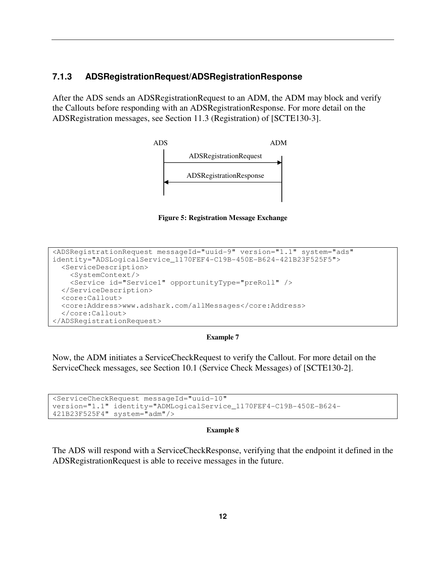## **7.1.3 ADSRegistrationRequest/ADSRegistrationResponse**

After the ADS sends an ADSRegistrationRequest to an ADM, the ADM may block and verify the Callouts before responding with an ADSRegistrationResponse. For more detail on the ADSRegistration messages, see Section 11.3 (Registration) of [SCTE130-3].



**Figure 5: Registration Message Exchange** 

```
<ADSRegistrationRequest messageId="uuid-9" version="1.1" system="ads" 
identity="ADSLogicalService_1170FEF4-C19B-450E-B624-421B23F525F5"> 
   <ServiceDescription> 
     <SystemContext/> 
     <Service id="Service1" opportunityType="preRoll" /> 
   </ServiceDescription> 
   <core:Callout> 
   <core:Address>www.adshark.com/allMessages</core:Address> 
   </core:Callout> 
</ADSRegistrationRequest>
```
#### **Example 7**

Now, the ADM initiates a ServiceCheckRequest to verify the Callout. For more detail on the ServiceCheck messages, see Section 10.1 (Service Check Messages) of [SCTE130-2].

```
<ServiceCheckRequest messageId="uuid-10" 
version="1.1" identity="ADMLogicalService_1170FEF4-C19B-450E-B624- 
421B23F525F4" system="adm"/>
```
#### **Example 8**

The ADS will respond with a ServiceCheckResponse, verifying that the endpoint it defined in the ADSRegistrationRequest is able to receive messages in the future.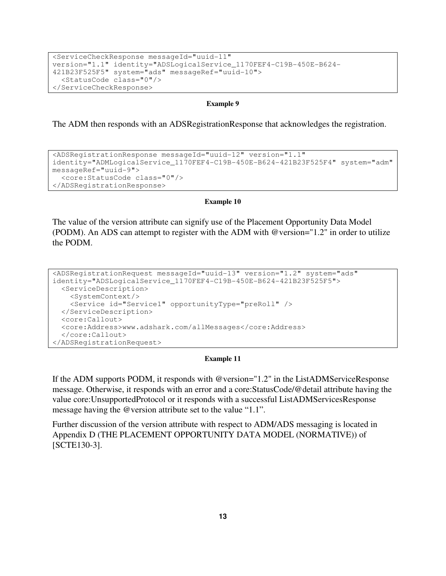```
<ServiceCheckResponse messageId="uuid-11" 
version="1.1" identity="ADSLogicalService_1170FEF4-C19B-450E-B624- 
421B23F525F5" system="ads" messageRef="uuid-10"> 
   <StatusCode class="0"/> 
</ServiceCheckResponse>
```
The ADM then responds with an ADSRegistrationResponse that acknowledges the registration.

```
<ADSRegistrationResponse messageId="uuid-12" version="1.1" 
identity="ADMLogicalService_1170FEF4-C19B-450E-B624-421B23F525F4" system="adm" 
messageRef="uuid-9"> 
   <core:StatusCode class="0"/> 
</ADSRegistrationResponse>
```
#### **Example 10**

The value of the version attribute can signify use of the Placement Opportunity Data Model (PODM). An ADS can attempt to register with the ADM with @version="1.2" in order to utilize the PODM.

```
<ADSRegistrationRequest messageId="uuid-13" version="1.2" system="ads" 
identity="ADSLogicalService_1170FEF4-C19B-450E-B624-421B23F525F5"> 
   <ServiceDescription> 
     <SystemContext/> 
     <Service id="Service1" opportunityType="preRoll" /> 
   </ServiceDescription> 
   <core:Callout> 
   <core:Address>www.adshark.com/allMessages</core:Address> 
   </core:Callout> 
</ADSRegistrationRequest>
```
#### **Example 11**

If the ADM supports PODM, it responds with @version="1.2" in the ListADMServiceResponse message. Otherwise, it responds with an error and a core:StatusCode/@detail attribute having the value core:UnsupportedProtocol or it responds with a successful ListADMServicesResponse message having the @version attribute set to the value "1.1".

Further discussion of the version attribute with respect to ADM/ADS messaging is located in Appendix D (THE PLACEMENT OPPORTUNITY DATA MODEL (NORMATIVE)) of [SCTE130-3].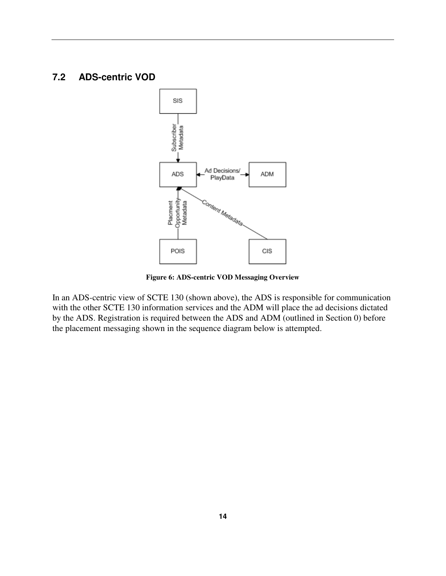# **7.2 ADS-centric VOD**



**Figure 6: ADS-centric VOD Messaging Overview** 

In an ADS-centric view of SCTE 130 (shown above), the ADS is responsible for communication with the other SCTE 130 information services and the ADM will place the ad decisions dictated by the ADS. Registration is required between the ADS and ADM (outlined in Section 0) before the placement messaging shown in the sequence diagram below is attempted.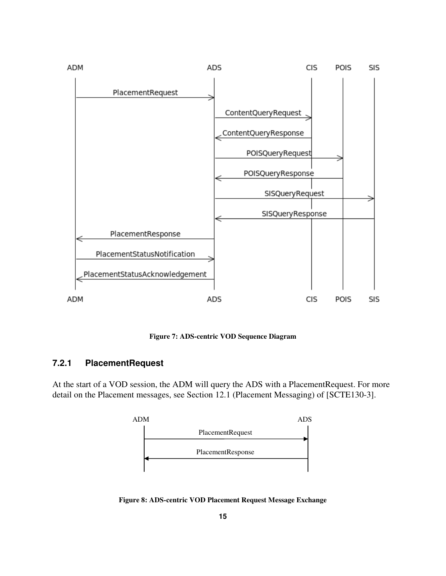

**Figure 7: ADS-centric VOD Sequence Diagram** 

## **7.2.1 PlacementRequest**

At the start of a VOD session, the ADM will query the ADS with a PlacementRequest. For more detail on the Placement messages, see Section 12.1 (Placement Messaging) of [SCTE130-3].



**Figure 8: ADS-centric VOD Placement Request Message Exchange**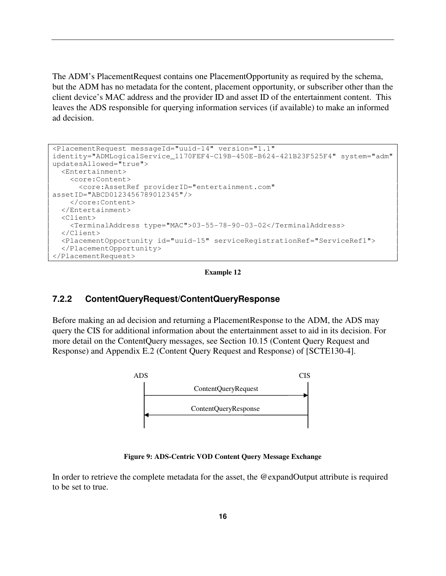The ADM's PlacementRequest contains one PlacementOpportunity as required by the schema, but the ADM has no metadata for the content, placement opportunity, or subscriber other than the client device's MAC address and the provider ID and asset ID of the entertainment content. This leaves the ADS responsible for querying information services (if available) to make an informed ad decision.

```
<PlacementRequest messageId="uuid-14" version="1.1"
identity="ADMLogicalService_1170FEF4-C19B-450E-B624-421B23F525F4" system="adm" 
updatesAllowed="true"> 
   <Entertainment> 
     <core:Content> 
       <core:AssetRef providerID="entertainment.com"
assetID="ABCD0123456789012345"/> 
     </core:Content> 
   </Entertainment> 
   <Client> 
     <TerminalAddress type="MAC">03-55-78-90-03-02</TerminalAddress> 
   </Client> 
   <PlacementOpportunity id="uuid-15" serviceRegistrationRef="ServiceRef1"> 
   </PlacementOpportunity> 
</PlacementRequest>
```
#### **Example 12**

## **7.2.2 ContentQueryRequest/ContentQueryResponse**

Before making an ad decision and returning a PlacementResponse to the ADM, the ADS may query the CIS for additional information about the entertainment asset to aid in its decision. For more detail on the ContentQuery messages, see Section 10.15 (Content Query Request and Response) and Appendix E.2 (Content Query Request and Response) of [SCTE130-4].



**Figure 9: ADS-Centric VOD Content Query Message Exchange** 

In order to retrieve the complete metadata for the asset, the @expandOutput attribute is required to be set to true.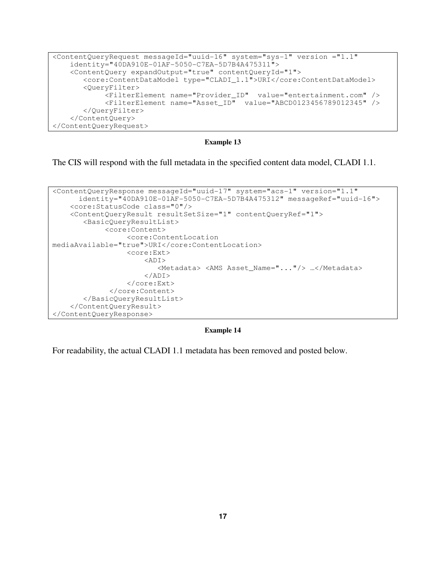```
<ContentQueryRequest messageId="uuid-16" system="sys-1" version ="1.1" 
     identity="40DA910E-01AF-5050-C7EA-5D7B4A475311"> 
     <ContentQuery expandOutput="true" contentQueryId="1"> 
        <core:ContentDataModel type="CLADI_1.1">URI</core:ContentDataModel> 
        <QueryFilter> 
             <FilterElement name="Provider_ID" value="entertainment.com" /> 
             <FilterElement name="Asset_ID" value="ABCD0123456789012345" /> 
        </QueryFilter> 
     </ContentQuery> 
</ContentQueryRequest>
```
The CIS will respond with the full metadata in the specified content data model, CLADI 1.1.

```
<ContentQueryResponse messageId="uuid-17" system="acs-1" version="1.1" 
       identity="40DA910E-01AF-5050-C7EA-5D7B4A475312" messageRef="uuid-16"> 
     <core:StatusCode class="0"/> 
     <ContentQueryResult resultSetSize="1" contentQueryRef="1"> 
        <BasicQueryResultList> 
              <core:Content> 
                   <core:ContentLocation 
mediaAvailable="true">URI</core:ContentLocation> 
                   <core:Ext> 
                        <ADI> 
                           <Metadata> <AMS Asset_Name="..."/> …</Metadata> 
                       \langleADI>
                   </core:Ext> 
               </core:Content> 
        </BasicQueryResultList> 
     </ContentQueryResult> 
</ContentQueryResponse>
```
#### **Example 14**

For readability, the actual CLADI 1.1 metadata has been removed and posted below.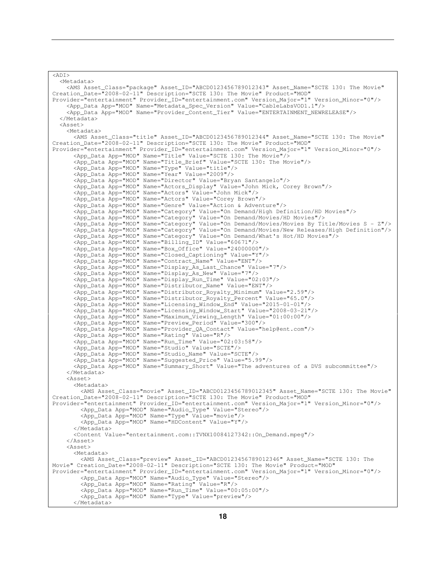```
\overline{\text{R}} <Metadata> 
     <AMS Asset_Class="package" Asset_ID="ABCD0123456789012343" Asset_Name="SCTE 130: The Movie" 
Creation_Date="2008-02-11" Description="SCTE 130: The Movie" Product="MOD" 
Provider="entertainment" Provider_ID="entertainment.com" Version_Major="1" Version_Minor="0"/> 
     <App_Data App="MOD" Name="Metadata_Spec_Version" Value="CableLabsVOD1.1"/> 
     <App_Data App="MOD" Name="Provider_Content_Tier" Value="ENTERTAINMENT_NEWRELEASE"/> 
   </Metadata> 
   <Asset> 
     <Metadata> 
       <AMS Asset_Class="title" Asset_ID="ABCD0123456789012344" Asset_Name="SCTE 130: The Movie" 
Creation_Date="2008-02-11" Description="SCTE 130: The Movie" Product="MOD" 
Provider="entertainment" Provider ID="entertainment.com" Version Major="1" Version Minor="0"/>
       <App_Data App="MOD" Name="Title" Value="SCTE 130: The Movie"/> 
 <App_Data App="MOD" Name="Title_Brief" Value="SCTE 130: The Movie"/> 
 <App_Data App="MOD" Name="Type" Value="title"/> 
       <App_Data App="MOD" Name="Year" Value="2009"/> 
       <App_Data App="MOD" Name="Director" Value="Bryan Santangelo"/> 
       <App_Data App="MOD" Name="Actors_Display" Value="John Mick, Corey Brown"/> 
       <App_Data App="MOD" Name="Actors" Value="John Mick"/> 
       <App_Data App="MOD" Name="Actors" Value="Corey Brown"/> 
       <App_Data App="MOD" Name="Genre" Value="Action & Adventure"/> 
 <App_Data App="MOD" Name="Category" Value="On Demand/High Definition/HD Movies"/> 
 <App_Data App="MOD" Name="Category" Value="On Demand/Movies/HD Movies"/> 
       <App_Data App="MOD" Name="Category" Value="On Demand/Movies/Movies By Title/Movies S - Z"/> 
       <App_Data App="MOD" Name="Category" Value="On Demand/Movies/New Releases/High Definition"/> 
       <App_Data App="MOD" Name="Category" Value="On Demand/What's Hot/HD Movies"/> 
 <App_Data App="MOD" Name="Billing_ID" Value="60671"/> 
 <App_Data App="MOD" Name="Box_Office" Value="24000000"/> 
       <App_Data App="MOD" Name="Closed_Captioning" Value="Y"/> 
       <App_Data App="MOD" Name="Contract_Name" Value="ENT"/> 
       <App_Data App="MOD" Name="Display_As_Last_Chance" Value="7"/> 
       <App_Data App="MOD" Name="Display_As_New" Value="7"/> 
       <App_Data App="MOD" Name="Display_Run_Time" Value="02:03"/> 
       <App_Data App="MOD" Name="Distributor_Name" Value="ENT"/> 
 <App_Data App="MOD" Name="Distributor_Royalty_Minimum" Value="2.59"/> 
 <App_Data App="MOD" Name="Distributor_Royalty_Percent" Value="65.0"/> 
       <App_Data App="MOD" Name="Licensing_Window_End" Value="2015-01-01"/> 
       <App_Data App="MOD" Name="Licensing_Window_Start" Value="2008-03-21"/> 
       <App_Data App="MOD" Name="Maximum_Viewing_Length" Value="01:00:00"/> 
       <App_Data App="MOD" Name="Preview_Period" Value="300"/> 
       <App_Data App="MOD" Name="Provider_QA_Contact" Value="help@ent.com"/> 
       <App_Data App="MOD" Name="Rating" Value="R"/> 
       <App_Data App="MOD" Name="Run_Time" Value="02:03:58"/> 
       <App_Data App="MOD" Name="Studio" Value="SCTE"/> 
       <App_Data App="MOD" Name="Studio_Name" Value="SCTE"/> 
       <App_Data App="MOD" Name="Suggested_Price" Value="5.99"/> 
       <App_Data App="MOD" Name="Summary_Short" Value="The adventures of a DVS subcommittee"/> 
     </Metadata> 
     <Asset> 
       <Metadata> 
         <AMS Asset_Class="movie" Asset_ID="ABCD0123456789012345" Asset_Name="SCTE 130: The Movie" 
Creation_Date="2008-02-11" Description="SCTE 130: The Movie" Product="MOD" 
Provider="entertainment" Provider_ID="entertainment.com" Version_Major="1" Version_Minor="0"/> 
 <App_Data App="MOD" Name="Audio_Type" Value="Stereo"/> 
         <App_Data App="MOD" Name="Type" Value="movie"/> 
         <App_Data App="MOD" Name="HDContent" Value="Y"/> 
       </Metadata> 
       <Content Value="entertainment.com::TVNX10084127342::On_Demand.mpeg"/> 
     </Asset> 
     <Asset> 
       <Metadata> 
         <AMS Asset_Class="preview" Asset_ID="ABCD0123456789012346" Asset_Name="SCTE 130: The 
Movie" Creation_Date="2008-02-11" Description="SCTE 130: The Movie" Product="MOD" 
Provider="entertainment" Provider_ID="entertainment.com" Version_Major="1" Version_Minor="0"/> 
         <App_Data App="MOD" Name="Audio_Type" Value="Stereo"/> 
         <App_Data App="MOD" Name="Rating" Value="R"/> 
         <App_Data App="MOD" Name="Run_Time" Value="00:05:00"/> 
         <App_Data App="MOD" Name="Type" Value="preview"/> 
       </Metadata>
```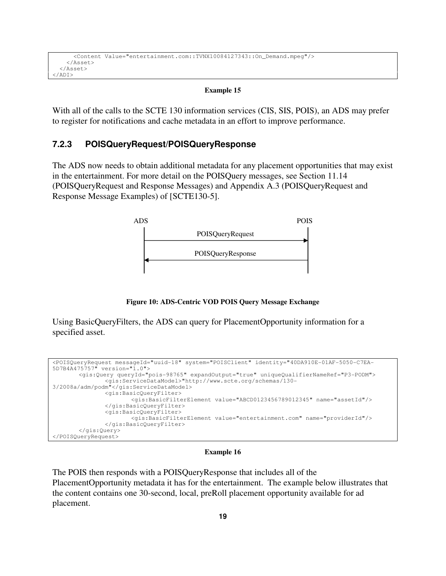```
 <Content Value="entertainment.com::TVNX10084127343::On_Demand.mpeg"/> 
     </Asset> 
   </Asset> 
</ADI>
```
With all of the calls to the SCTE 130 information services (CIS, SIS, POIS), an ADS may prefer to register for notifications and cache metadata in an effort to improve performance.

# **7.2.3 POISQueryRequest/POISQueryResponse**

The ADS now needs to obtain additional metadata for any placement opportunities that may exist in the entertainment. For more detail on the POISQuery messages, see Section 11.14 (POISQueryRequest and Response Messages) and Appendix A.3 (POISQueryRequest and Response Message Examples) of [SCTE130-5].



**Figure 10: ADS-Centric VOD POIS Query Message Exchange** 

Using BasicQueryFilters, the ADS can query for PlacementOpportunity information for a specified asset.

```
<POISQueryRequest messageId="uuid-18" system="POISClient" identity="40DA910E-01AF-5050-C7EA-
5D7B4A475757" version="1.0"> 
        <gis:Query queryId="pois-98765" expandOutput="true" uniqueQualifierNameRef="P3-PODM"> 
                <gis:ServiceDataModel>"http://www.scte.org/schemas/130-
3/2008a/adm/podm"</gis:ServiceDataModel> 
                <gis:BasicQueryFilter> 
                       <gis:BasicFilterElement value="ABCD0123456789012345" name="assetId"/> 
                </gis:BasicQueryFilter> 
                <gis:BasicQueryFilter> 
                        <gis:BasicFilterElement value="entertainment.com" name="providerId"/> 
                </gis:BasicQueryFilter> 
        </gis:Query> 
</POISQueryRequest>
```
#### **Example 16**

The POIS then responds with a POISQueryResponse that includes all of the PlacementOpportunity metadata it has for the entertainment. The example below illustrates that the content contains one 30-second, local, preRoll placement opportunity available for ad placement.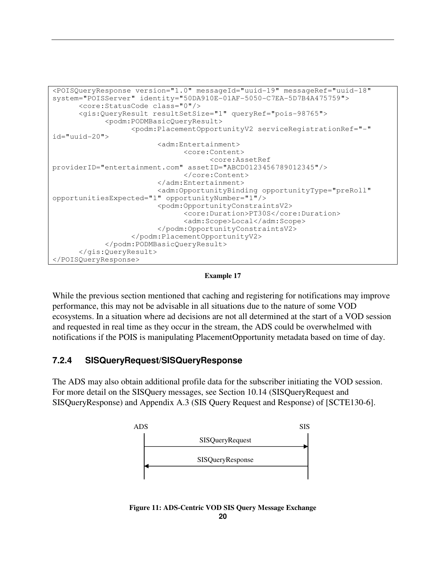```
<POISQueryResponse version="1.0" messageId="uuid-19" messageRef="uuid-18" 
system="POISServer" identity="50DA910E-01AF-5050-C7EA-5D7B4A475759"> 
       <core:StatusCode class="0"/> 
       <gis:QueryResult resultSetSize="1" queryRef="pois-98765"> 
             <podm:PODMBasicQueryResult> 
                    <podm:PlacementOpportunityV2 serviceRegistrationRef="-" 
id="uuid-20"> 
                          <adm:Entertainment> 
                                <core:Content> 
                                       <core:AssetRef 
providerID="entertainment.com" assetID="ABCD0123456789012345"/> 
                                 </core:Content> 
                          </adm:Entertainment> 
                          <adm:OpportunityBinding opportunityType="preRoll" 
opportunitiesExpected="1" opportunityNumber="1"/> 
                          <podm:OpportunityConstraintsV2> 
                                 <core:Duration>PT30S</core:Duration> 
                                 <adm:Scope>Local</adm:Scope> 
                          </podm:OpportunityConstraintsV2> 
                    </podm:PlacementOpportunityV2> 
             </podm:PODMBasicQueryResult> 
       </gis:QueryResult> 
</POISQueryResponse>
```
**Example 17** 

While the previous section mentioned that caching and registering for notifications may improve performance, this may not be advisable in all situations due to the nature of some VOD ecosystems. In a situation where ad decisions are not all determined at the start of a VOD session and requested in real time as they occur in the stream, the ADS could be overwhelmed with notifications if the POIS is manipulating PlacementOpportunity metadata based on time of day.

# **7.2.4 SISQueryRequest/SISQueryResponse**

The ADS may also obtain additional profile data for the subscriber initiating the VOD session. For more detail on the SISQuery messages, see Section 10.14 (SISQueryRequest and SISQueryResponse) and Appendix A.3 (SIS Query Request and Response) of [SCTE130-6].



**20 Figure 11: ADS-Centric VOD SIS Query Message Exchange**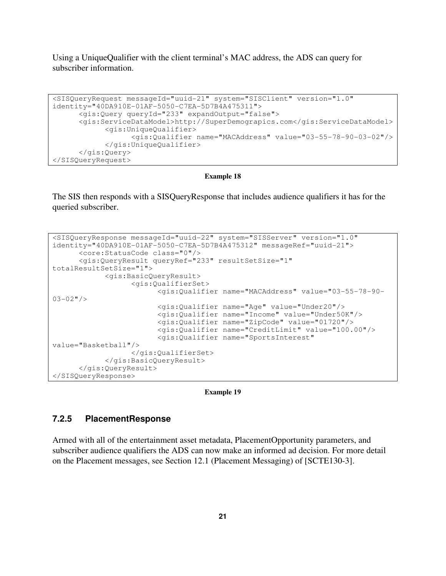Using a UniqueQualifier with the client terminal's MAC address, the ADS can query for subscriber information.

```
<SISQueryRequest messageId="uuid-21" system="SISClient" version="1.0" 
identity="40DA910E-01AF-5050-C7EA-5D7B4A475311"> 
       <gis:Query queryId="233" expandOutput="false"> 
       <gis:ServiceDataModel>http://SuperDemograpics.com</gis:ServiceDataModel> 
             <gis:UniqueQualifier> 
                    <gis:Qualifier name="MACAddress" value="03-55-78-90-03-02"/> 
             </gis:UniqueQualifier> 
       </gis:Query> 
</SISQueryRequest>
```
#### **Example 18**

The SIS then responds with a SISQueryResponse that includes audience qualifiers it has for the queried subscriber.

```
<SISQueryResponse messageId="uuid-22" system="SISServer" version="1.0" 
identity="40DA910E-01AF-5050-C7EA-5D7B4A475312" messageRef="uuid-21"> 
       <core:StatusCode class="0"/> 
       <gis:QueryResult queryRef="233" resultSetSize="1" 
totalResultSetSize="1"> 
             <gis:BasicQueryResult> 
                    <gis:QualifierSet> 
                          <gis:Qualifier name="MACAddress" value="03-55-78-90-
03-02"/>
                          <gis:Qualifier name="Age" value="Under20"/> 
                          <gis:Qualifier name="Income" value="Under50K"/>
                          <gis:Qualifier name="ZipCode" value="01720"/> 
                          <gis:Qualifier name="CreditLimit" value="100.00"/> 
                          <gis:Qualifier name="SportsInterest" 
value="Basketball"/> 
                    </gis:QualifierSet> 
             </gis:BasicQueryResult> 
       </gis:QueryResult> 
</SISQueryResponse>
```


## **7.2.5 PlacementResponse**

Armed with all of the entertainment asset metadata, PlacementOpportunity parameters, and subscriber audience qualifiers the ADS can now make an informed ad decision. For more detail on the Placement messages, see Section 12.1 (Placement Messaging) of [SCTE130-3].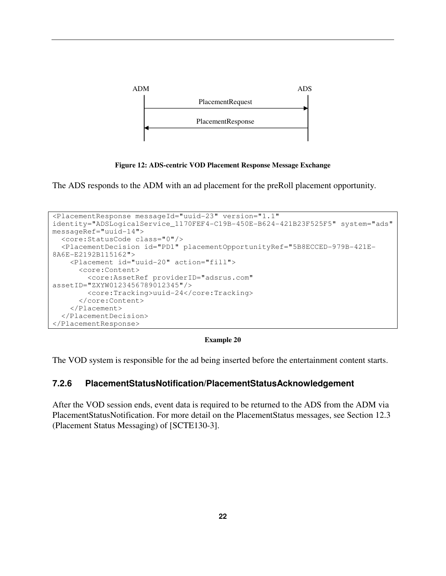

**Figure 12: ADS-centric VOD Placement Response Message Exchange** 

The ADS responds to the ADM with an ad placement for the preRoll placement opportunity.

```
<PlacementResponse messageId="uuid-23" version="1.1" 
identity="ADSLogicalService_1170FEF4-C19B-450E-B624-421B23F525F5" system="ads" 
messageRef="uuid-14"> 
   <core:StatusCode class="0"/> 
   <PlacementDecision id="PD1" placementOpportunityRef="5B8ECCED-979B-421E-
8A6E-E2192B115162"> 
     <Placement id="uuid-20" action="fill"> 
       <core:Content> 
         <core:AssetRef providerID="adsrus.com" 
assetID="ZXYW0123456789012345"/> 
         <core:Tracking>uuid-24</core:Tracking> 
       </core:Content> 
     </Placement> 
   </PlacementDecision> 
</PlacementResponse>
```
**Example 20** 

The VOD system is responsible for the ad being inserted before the entertainment content starts.

# **7.2.6 PlacementStatusNotification/PlacementStatusAcknowledgement**

After the VOD session ends, event data is required to be returned to the ADS from the ADM via PlacementStatusNotification. For more detail on the PlacementStatus messages, see Section 12.3 (Placement Status Messaging) of [SCTE130-3].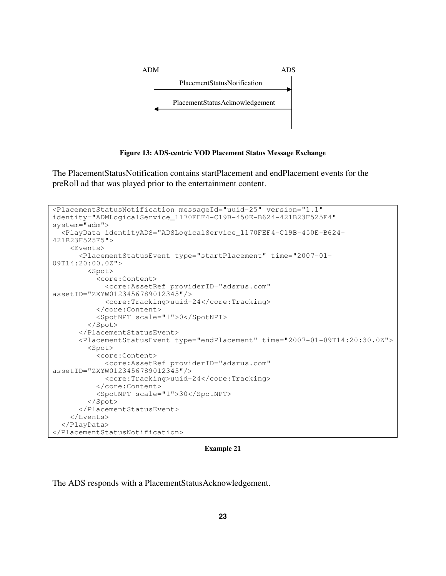

**Figure 13: ADS-centric VOD Placement Status Message Exchange** 

The PlacementStatusNotification contains startPlacement and endPlacement events for the preRoll ad that was played prior to the entertainment content.

```
<PlacementStatusNotification messageId="uuid-25" version="1.1" 
identity="ADMLogicalService_1170FEF4-C19B-450E-B624-421B23F525F4" 
system="adm"> 
   <PlayData identityADS="ADSLogicalService_1170FEF4-C19B-450E-B624-
421B23F525F5"> 
     <Events> 
       <PlacementStatusEvent type="startPlacement" time="2007-01-
09T14:20:00.0Z"> 
         <Spot> 
           <core:Content> 
             <core:AssetRef providerID="adsrus.com" 
assetID="ZXYW0123456789012345"/> 
             <core:Tracking>uuid-24</core:Tracking> 
           </core:Content> 
           <SpotNPT scale="1">0</SpotNPT> 
         </Spot> 
       </PlacementStatusEvent> 
       <PlacementStatusEvent type="endPlacement" time="2007-01-09T14:20:30.0Z"> 
         <Spot> 
           <core:Content> 
             <core:AssetRef providerID="adsrus.com" 
assetID="ZXYW0123456789012345"/> 
             <core:Tracking>uuid-24</core:Tracking> 
           </core:Content> 
           <SpotNPT scale="1">30</SpotNPT> 
         </Spot> 
       </PlacementStatusEvent> 
     </Events> 
   </PlayData> 
</PlacementStatusNotification>
```
**Example 21** 

The ADS responds with a PlacementStatusAcknowledgement.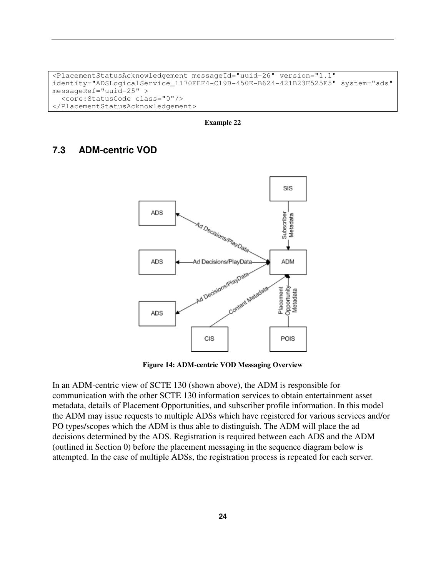```
<PlacementStatusAcknowledgement messageId="uuid-26" version="1.1" 
identity="ADSLogicalService_1170FEF4-C19B-450E-B624-421B23F525F5" system="ads" 
messageRef="uuid-25" > 
   <core:StatusCode class="0"/> 
</PlacementStatusAcknowledgement>
```
**Example 22** 

# **7.3 ADM-centric VOD**



**Figure 14: ADM-centric VOD Messaging Overview** 

In an ADM-centric view of SCTE 130 (shown above), the ADM is responsible for communication with the other SCTE 130 information services to obtain entertainment asset metadata, details of Placement Opportunities, and subscriber profile information. In this model the ADM may issue requests to multiple ADSs which have registered for various services and/or PO types/scopes which the ADM is thus able to distinguish. The ADM will place the ad decisions determined by the ADS. Registration is required between each ADS and the ADM (outlined in Section 0) before the placement messaging in the sequence diagram below is attempted. In the case of multiple ADSs, the registration process is repeated for each server.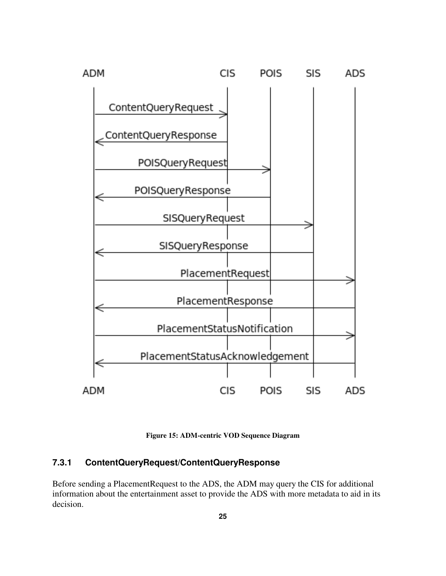

**Figure 15: ADM-centric VOD Sequence Diagram** 

# **7.3.1 ContentQueryRequest/ContentQueryResponse**

Before sending a PlacementRequest to the ADS, the ADM may query the CIS for additional information about the entertainment asset to provide the ADS with more metadata to aid in its decision.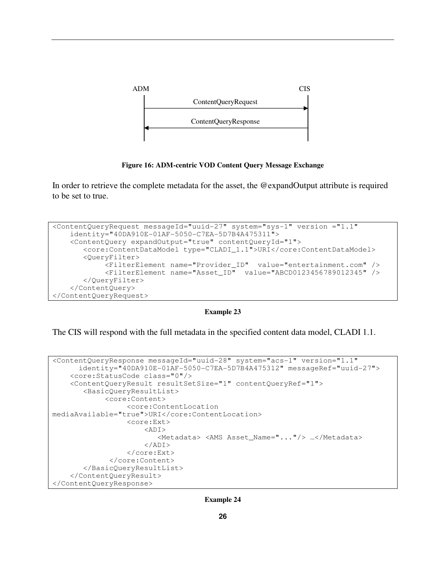

**Figure 16: ADM-centric VOD Content Query Message Exchange** 

In order to retrieve the complete metadata for the asset, the @expandOutput attribute is required to be set to true.

```
<ContentQueryRequest messageId="uuid-27" system="sys-1" version ="1.1" 
     identity="40DA910E-01AF-5050-C7EA-5D7B4A475311"> 
     <ContentQuery expandOutput="true" contentQueryId="1"> 
        <core:ContentDataModel type="CLADI_1.1">URI</core:ContentDataModel> 
        <QueryFilter> 
             <FilterElement name="Provider_ID" value="entertainment.com" /> 
             <FilterElement name="Asset_ID" value="ABCD0123456789012345" /> 
        </QueryFilter> 
     </ContentQuery> 
</ContentQueryRequest>
```
**Example 23** 

The CIS will respond with the full metadata in the specified content data model, CLADI 1.1.

```
<ContentQueryResponse messageId="uuid-28" system="acs-1" version="1.1" 
       identity="40DA910E-01AF-5050-C7EA-5D7B4A475312" messageRef="uuid-27"> 
     <core:StatusCode class="0"/> 
     <ContentQueryResult resultSetSize="1" contentQueryRef="1"> 
        <BasicQueryResultList> 
              <core:Content> 
                   <core:ContentLocation 
mediaAvailable="true">URI</core:ContentLocation> 
                   <core:Ext> 
                       <ADI>
                           <Metadata> <AMS Asset_Name="..."/> …</Metadata> 
                      </ADI>
                   </core:Ext> 
               </core:Content> 
        </BasicQueryResultList> 
     </ContentQueryResult> 
</ContentQueryResponse>
```
**Example 24**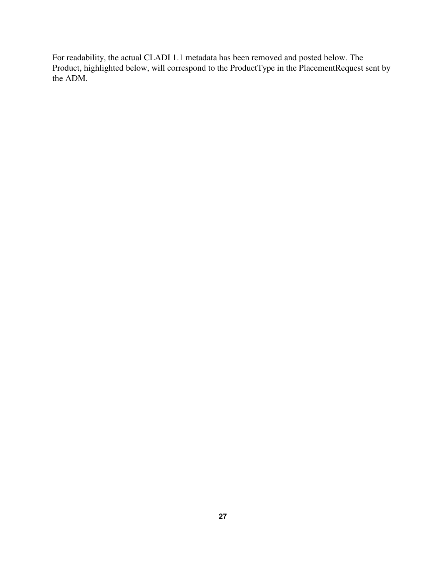For readability, the actual CLADI 1.1 metadata has been removed and posted below. The Product, highlighted below, will correspond to the ProductType in the PlacementRequest sent by the ADM.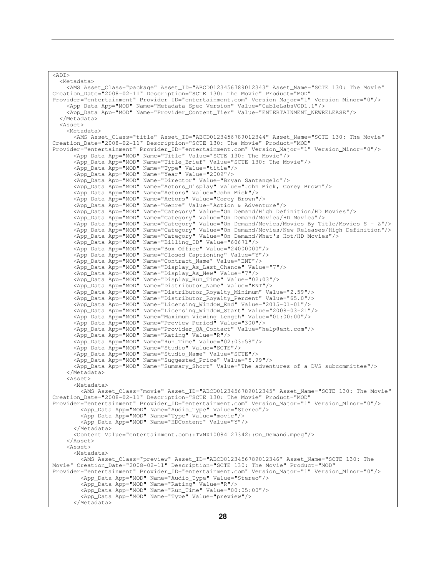```
\overline{\text{R}} <Metadata> 
     <AMS Asset_Class="package" Asset_ID="ABCD0123456789012343" Asset_Name="SCTE 130: The Movie" 
Creation_Date="2008-02-11" Description="SCTE 130: The Movie" Product="MOD" 
Provider="entertainment" Provider_ID="entertainment.com" Version_Major="1" Version_Minor="0"/> 
     <App_Data App="MOD" Name="Metadata_Spec_Version" Value="CableLabsVOD1.1"/> 
     <App_Data App="MOD" Name="Provider_Content_Tier" Value="ENTERTAINMENT_NEWRELEASE"/> 
   </Metadata> 
   <Asset> 
     <Metadata> 
       <AMS Asset_Class="title" Asset_ID="ABCD0123456789012344" Asset_Name="SCTE 130: The Movie" 
Creation_Date="2008-02-11" Description="SCTE 130: The Movie" Product="MOD" 
Provider="entertainment" Provider ID="entertainment.com" Version Major="1" Version Minor="0"/>
       <App_Data App="MOD" Name="Title" Value="SCTE 130: The Movie"/> 
 <App_Data App="MOD" Name="Title_Brief" Value="SCTE 130: The Movie"/> 
 <App_Data App="MOD" Name="Type" Value="title"/> 
       <App_Data App="MOD" Name="Year" Value="2009"/> 
       <App_Data App="MOD" Name="Director" Value="Bryan Santangelo"/> 
       <App_Data App="MOD" Name="Actors_Display" Value="John Mick, Corey Brown"/> 
       <App_Data App="MOD" Name="Actors" Value="John Mick"/> 
       <App_Data App="MOD" Name="Actors" Value="Corey Brown"/> 
       <App_Data App="MOD" Name="Genre" Value="Action & Adventure"/> 
 <App_Data App="MOD" Name="Category" Value="On Demand/High Definition/HD Movies"/> 
 <App_Data App="MOD" Name="Category" Value="On Demand/Movies/HD Movies"/> 
       <App_Data App="MOD" Name="Category" Value="On Demand/Movies/Movies By Title/Movies S - Z"/> 
       <App_Data App="MOD" Name="Category" Value="On Demand/Movies/New Releases/High Definition"/> 
       <App_Data App="MOD" Name="Category" Value="On Demand/What's Hot/HD Movies"/> 
 <App_Data App="MOD" Name="Billing_ID" Value="60671"/> 
 <App_Data App="MOD" Name="Box_Office" Value="24000000"/> 
       <App_Data App="MOD" Name="Closed_Captioning" Value="Y"/> 
       <App_Data App="MOD" Name="Contract_Name" Value="ENT"/> 
       <App_Data App="MOD" Name="Display_As_Last_Chance" Value="7"/> 
       <App_Data App="MOD" Name="Display_As_New" Value="7"/> 
       <App_Data App="MOD" Name="Display_Run_Time" Value="02:03"/> 
       <App_Data App="MOD" Name="Distributor_Name" Value="ENT"/> 
 <App_Data App="MOD" Name="Distributor_Royalty_Minimum" Value="2.59"/> 
 <App_Data App="MOD" Name="Distributor_Royalty_Percent" Value="65.0"/> 
       <App_Data App="MOD" Name="Licensing_Window_End" Value="2015-01-01"/> 
       <App_Data App="MOD" Name="Licensing_Window_Start" Value="2008-03-21"/> 
       <App_Data App="MOD" Name="Maximum_Viewing_Length" Value="01:00:00"/> 
       <App_Data App="MOD" Name="Preview_Period" Value="300"/> 
       <App_Data App="MOD" Name="Provider_QA_Contact" Value="help@ent.com"/> 
       <App_Data App="MOD" Name="Rating" Value="R"/> 
       <App_Data App="MOD" Name="Run_Time" Value="02:03:58"/> 
       <App_Data App="MOD" Name="Studio" Value="SCTE"/> 
       <App_Data App="MOD" Name="Studio_Name" Value="SCTE"/> 
       <App_Data App="MOD" Name="Suggested_Price" Value="5.99"/> 
       <App_Data App="MOD" Name="Summary_Short" Value="The adventures of a DVS subcommittee"/> 
     </Metadata> 
     <Asset> 
       <Metadata> 
         <AMS Asset_Class="movie" Asset_ID="ABCD0123456789012345" Asset_Name="SCTE 130: The Movie" 
Creation_Date="2008-02-11" Description="SCTE 130: The Movie" Product="MOD" 
Provider="entertainment" Provider_ID="entertainment.com" Version_Major="1" Version_Minor="0"/> 
 <App_Data App="MOD" Name="Audio_Type" Value="Stereo"/> 
         <App_Data App="MOD" Name="Type" Value="movie"/> 
         <App_Data App="MOD" Name="HDContent" Value="Y"/> 
       </Metadata> 
       <Content Value="entertainment.com::TVNX10084127342::On_Demand.mpeg"/> 
     </Asset> 
     <Asset> 
       <Metadata> 
         <AMS Asset_Class="preview" Asset_ID="ABCD0123456789012346" Asset_Name="SCTE 130: The 
Movie" Creation_Date="2008-02-11" Description="SCTE 130: The Movie" Product="MOD" 
Provider="entertainment" Provider_ID="entertainment.com" Version_Major="1" Version_Minor="0"/> 
         <App_Data App="MOD" Name="Audio_Type" Value="Stereo"/> 
         <App_Data App="MOD" Name="Rating" Value="R"/> 
         <App_Data App="MOD" Name="Run_Time" Value="00:05:00"/> 
         <App_Data App="MOD" Name="Type" Value="preview"/> 
       </Metadata>
```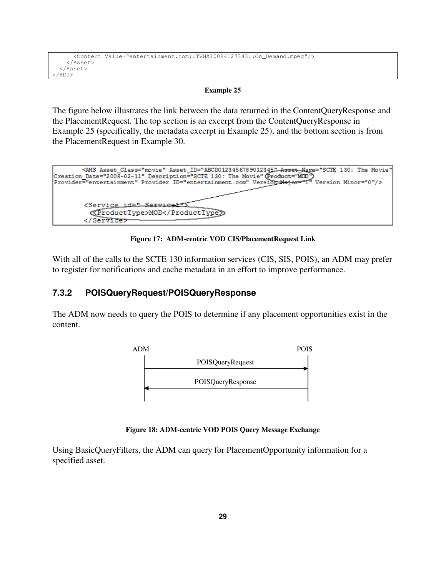```
 <Content Value="entertainment.com::TVNX10084127343::On_Demand.mpeg"/> 
     </Asset> 
   </Asset> 
</ADI>
```
The figure below illustrates the link between the data returned in the ContentQueryResponse and the PlacementRequest. The top section is an excerpt from the ContentQueryResponse in Example 25 (specifically, the metadata excerpt in Example 25), and the bottom section is from the PlacementRequest in Example 30.



**Figure 17: ADM-centric VOD CIS/PlacementRequest Link** 

With all of the calls to the SCTE 130 information services (CIS, SIS, POIS), an ADM may prefer to register for notifications and cache metadata in an effort to improve performance.

## **7.3.2 POISQueryRequest/POISQueryResponse**

The ADM now needs to query the POIS to determine if any placement opportunities exist in the content.



**Figure 18: ADM-centric VOD POIS Query Message Exchange** 

Using BasicQueryFilters, the ADM can query for PlacementOpportunity information for a specified asset.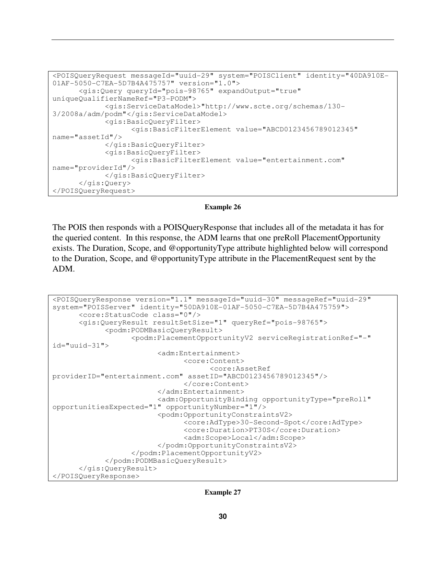```
<POISQueryRequest messageId="uuid-29" system="POISClient" identity="40DA910E-
01AF-5050-C7EA-5D7B4A475757" version="1.0"> 
       <gis:Query queryId="pois-98765" expandOutput="true" 
uniqueQualifierNameRef="P3-PODM"> 
             <gis:ServiceDataModel>"http://www.scte.org/schemas/130-
3/2008a/adm/podm"</gis:ServiceDataModel> 
             <gis:BasicQueryFilter> 
                    <gis:BasicFilterElement value="ABCD0123456789012345" 
name="assetId"/> 
             </gis:BasicQueryFilter> 
             <gis:BasicQueryFilter> 
                    <gis:BasicFilterElement value="entertainment.com" 
name="providerId"/> 
             </gis:BasicQueryFilter> 
       </gis:Query> 
</POISQueryRequest>
```
The POIS then responds with a POISQueryResponse that includes all of the metadata it has for the queried content. In this response, the ADM learns that one preRoll PlacementOpportunity exists. The Duration, Scope, and @opportunityType attribute highlighted below will correspond to the Duration, Scope, and @opportunityType attribute in the PlacementRequest sent by the ADM.

```
<POISQueryResponse version="1.1" messageId="uuid-30" messageRef="uuid-29" 
system="POISServer" identity="50DA910E-01AF-5050-C7EA-5D7B4A475759"> 
       <core:StatusCode class="0"/> 
       <gis:QueryResult resultSetSize="1" queryRef="pois-98765"> 
             <podm:PODMBasicQueryResult> 
                    <podm:PlacementOpportunityV2 serviceRegistrationRef="-" 
id="uuid-31"> 
                          <adm:Entertainment> 
                                 <core:Content> 
                                       <core:AssetRef 
providerID="entertainment.com" assetID="ABCD0123456789012345"/> 
                                 </core:Content> 
                          </adm:Entertainment> 
                          <adm:OpportunityBinding opportunityType="preRoll" 
opportunitiesExpected="1" opportunityNumber="1"/> 
                          <podm:OpportunityConstraintsV2> 
                                 <core:AdType>30-Second-Spot</core:AdType> 
                                 <core:Duration>PT30S</core:Duration> 
                                 <adm:Scope>Local</adm:Scope> 
                          </podm:OpportunityConstraintsV2> 
                    </podm:PlacementOpportunityV2> 
              </podm:PODMBasicQueryResult> 
       </gis:QueryResult> 
</POISQueryResponse>
```
**Example 27**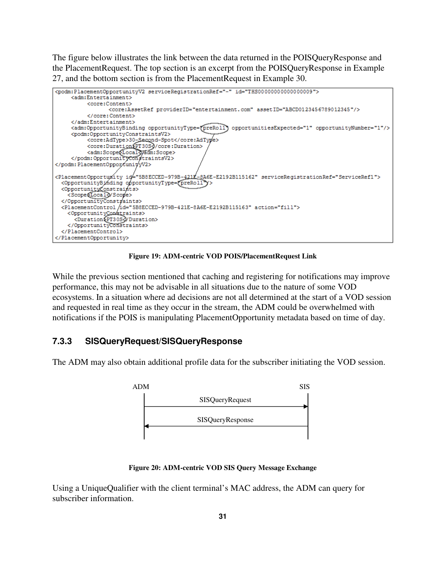The figure below illustrates the link between the data returned in the POISQueryResponse and the PlacementRequest. The top section is an excerpt from the POISQueryResponse in Example 27, and the bottom section is from the PlacementRequest in Example 30.



**Figure 19: ADM-centric VOD POIS/PlacementRequest Link** 

While the previous section mentioned that caching and registering for notifications may improve performance, this may not be advisable in all situations due to the nature of some VOD ecosystems. In a situation where ad decisions are not all determined at the start of a VOD session and requested in real time as they occur in the stream, the ADM could be overwhelmed with notifications if the POIS is manipulating PlacementOpportunity metadata based on time of day.

## **7.3.3 SISQueryRequest/SISQueryResponse**

The ADM may also obtain additional profile data for the subscriber initiating the VOD session.



**Figure 20: ADM-centric VOD SIS Query Message Exchange** 

Using a UniqueQualifier with the client terminal's MAC address, the ADM can query for subscriber information.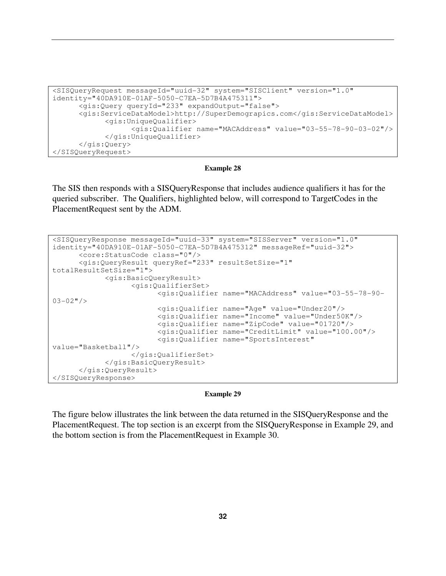```
<SISQueryRequest messageId="uuid-32" system="SISClient" version="1.0" 
identity="40DA910E-01AF-5050-C7EA-5D7B4A475311"> 
       <gis:Query queryId="233" expandOutput="false"> 
       <gis:ServiceDataModel>http://SuperDemograpics.com</gis:ServiceDataModel> 
             <gis:UniqueQualifier> 
                    <gis:Qualifier name="MACAddress" value="03-55-78-90-03-02"/> 
             </gis:UniqueQualifier> 
       </gis:Query> 
</SISQueryRequest>
```
The SIS then responds with a SISQueryResponse that includes audience qualifiers it has for the queried subscriber. The Qualifiers, highlighted below, will correspond to TargetCodes in the PlacementRequest sent by the ADM.

```
<SISQueryResponse messageId="uuid-33" system="SISServer" version="1.0" 
identity="40DA910E-01AF-5050-C7EA-5D7B4A475312" messageRef="uuid-32"> 
       <core:StatusCode class="0"/> 
       <gis:QueryResult queryRef="233" resultSetSize="1" 
totalResultSetSize="1"> 
             <gis:BasicQueryResult> 
                    <gis:QualifierSet> 
                          <gis:Qualifier name="MACAddress" value="03-55-78-90-
03-02"/>
                          <gis:Qualifier name="Age" value="Under20"/> 
                          <gis:Qualifier name="Income" value="Under50K"/> 
                          <gis:Qualifier name="ZipCode" value="01720"/> 
                          <gis:Qualifier name="CreditLimit" value="100.00"/> 
                          <gis:Qualifier name="SportsInterest" 
value="Basketball"/> 
                    </gis:QualifierSet> 
             </gis:BasicQueryResult> 
       </gis:QueryResult> 
</SISQueryResponse>
```
### **Example 29**

The figure below illustrates the link between the data returned in the SISQueryResponse and the PlacementRequest. The top section is an excerpt from the SISQueryResponse in Example 29, and the bottom section is from the PlacementRequest in Example 30.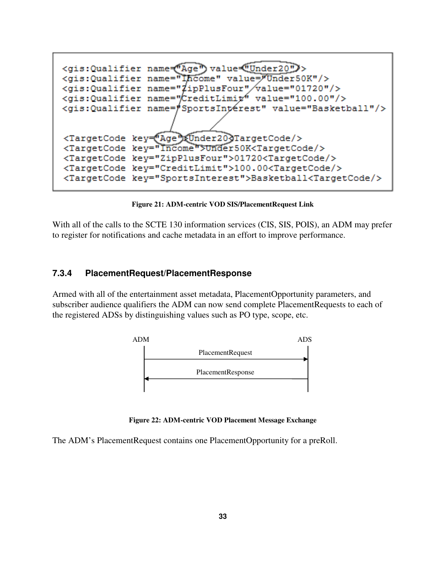

**Figure 21: ADM-centric VOD SIS/PlacementRequest Link** 

With all of the calls to the SCTE 130 information services (CIS, SIS, POIS), an ADM may prefer to register for notifications and cache metadata in an effort to improve performance.

### **7.3.4 PlacementRequest/PlacementResponse**

Armed with all of the entertainment asset metadata, PlacementOpportunity parameters, and subscriber audience qualifiers the ADM can now send complete PlacementRequests to each of the registered ADSs by distinguishing values such as PO type, scope, etc.



**Figure 22: ADM-centric VOD Placement Message Exchange** 

The ADM's PlacementRequest contains one PlacementOpportunity for a preRoll.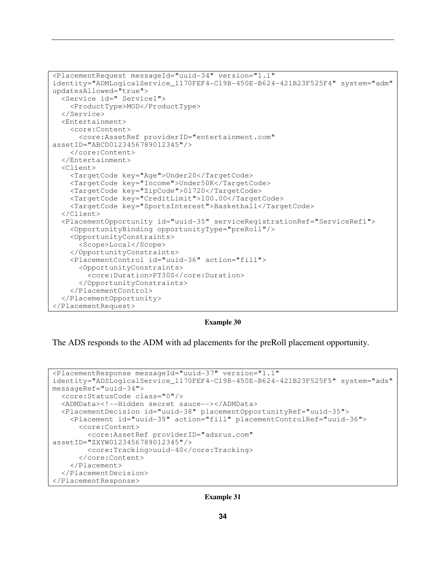```
<PlacementRequest messageId="uuid-34" version="1.1"
identity="ADMLogicalService_1170FEF4-C19B-450E-B624-421B23F525F4" system="adm" 
updatesAllowed="true"> 
   <Service id=" Service1"> 
     <ProductType>MOD</ProductType> 
   </Service> 
   <Entertainment> 
     <core:Content> 
       <core:AssetRef providerID="entertainment.com"
assetID="ABCD0123456789012345"/> 
     </core:Content> 
   </Entertainment> 
   <Client> 
     <TargetCode key="Age">Under20</TargetCode> 
     <TargetCode key="Income">Under50K</TargetCode> 
     <TargetCode key="ZipCode">01720</TargetCode> 
     <TargetCode key="CreditLimit">100.00</TargetCode> 
     <TargetCode key="SportsInterest">Basketball</TargetCode> 
   </Client> 
   <PlacementOpportunity id="uuid-35" serviceRegistrationRef="ServiceRef1"> 
     <OpportunityBinding opportunityType="preRoll"/>
     <OpportunityConstraints> 
       <Scope>Local</Scope> 
     </OpportunityConstraints> 
     <PlacementControl id="uuid-36" action="fill"> 
       <OpportunityConstraints> 
          <core:Duration>PT30S</core:Duration> 
       </OpportunityConstraints> 
     </PlacementControl> 
   </PlacementOpportunity> 
</PlacementRequest>
```
The ADS responds to the ADM with ad placements for the preRoll placement opportunity.

```
<PlacementResponse messageId="uuid-37" version="1.1" 
identity="ADSLogicalService_1170FEF4-C19B-450E-B624-421B23F525F5" system="ads" 
messageRef="uuid-34"> 
   <core:StatusCode class="0"/> 
   <ADMData><!--Hidden secret sauce--></ADMData> 
   <PlacementDecision id="uuid-38" placementOpportunityRef="uuid-35"> 
     <Placement id="uuid-39" action="fill" placementControlRef="uuid-36"> 
       <core:Content> 
         <core:AssetRef providerID="adsrus.com" 
assetID="ZXYW0123456789012345"/> 
         <core:Tracking>uuid-40</core:Tracking> 
       </core:Content> 
     </Placement> 
   </PlacementDecision> 
</PlacementResponse>
```
**Example 31**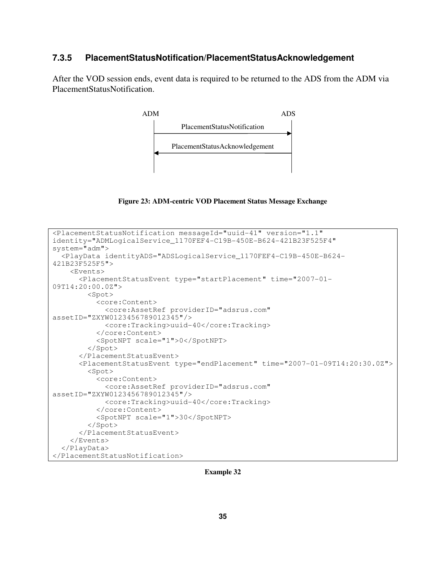### **7.3.5 PlacementStatusNotification/PlacementStatusAcknowledgement**

After the VOD session ends, event data is required to be returned to the ADS from the ADM via PlacementStatusNotification.



**Figure 23: ADM-centric VOD Placement Status Message Exchange** 

```
<PlacementStatusNotification messageId="uuid-41" version="1.1" 
identity="ADMLogicalService_1170FEF4-C19B-450E-B624-421B23F525F4" 
system="adm"> 
   <PlayData identityADS="ADSLogicalService_1170FEF4-C19B-450E-B624-
421B23F525F5"> 
     <Events> 
       <PlacementStatusEvent type="startPlacement" time="2007-01-
09T14:20:00.0Z"> 
         <Spot> 
           <core:Content> 
              <core:AssetRef providerID="adsrus.com" 
assetID="ZXYW0123456789012345"/> 
              <core:Tracking>uuid-40</core:Tracking> 
           </core:Content> 
           <SpotNPT scale="1">0</SpotNPT> 
         </Spot> 
       </PlacementStatusEvent> 
       <PlacementStatusEvent type="endPlacement" time="2007-01-09T14:20:30.0Z"> 
         <Spot> 
           <core:Content> 
              <core:AssetRef providerID="adsrus.com" 
assetID="ZXYW0123456789012345"/> 
              <core:Tracking>uuid-40</core:Tracking> 
           </core:Content> 
           <SpotNPT scale="1">30</SpotNPT> 
         </Spot> 
       </PlacementStatusEvent> 
     </Events> 
   </PlayData> 
</PlacementStatusNotification>
```
**Example 32**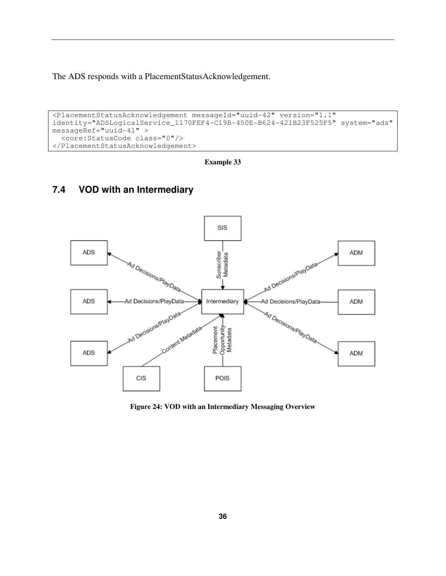The ADS responds with a PlacementStatusAcknowledgement.

```
<PlacementStatusAcknowledgement messageId="uuid-42" version="1.1" 
identity="ADSLogicalService_1170FEF4-C19B-450E-B624-421B23F525F5" system="ads" 
messageRef="uuid-41" > 
   <core:StatusCode class="0"/> 
</PlacementStatusAcknowledgement>
```
**Example 33** 

# **7.4 VOD with an Intermediary**



**Figure 24: VOD with an Intermediary Messaging Overview**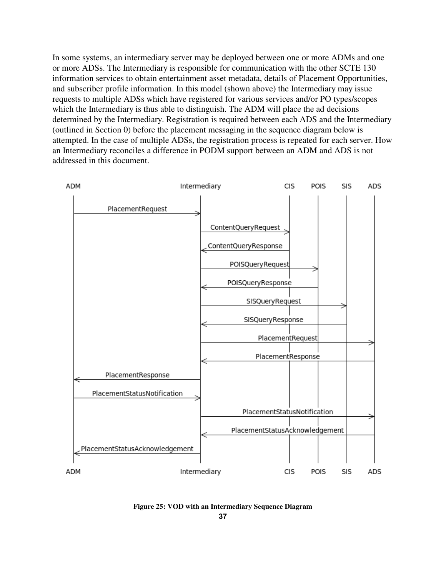In some systems, an intermediary server may be deployed between one or more ADMs and one or more ADSs. The Intermediary is responsible for communication with the other SCTE 130 information services to obtain entertainment asset metadata, details of Placement Opportunities, and subscriber profile information. In this model (shown above) the Intermediary may issue requests to multiple ADSs which have registered for various services and/or PO types/scopes which the Intermediary is thus able to distinguish. The ADM will place the ad decisions determined by the Intermediary. Registration is required between each ADS and the Intermediary (outlined in Section 0) before the placement messaging in the sequence diagram below is attempted. In the case of multiple ADSs, the registration process is repeated for each server. How an Intermediary reconciles a difference in PODM support between an ADM and ADS is not addressed in this document.



**Figure 25: VOD with an Intermediary Sequence Diagram**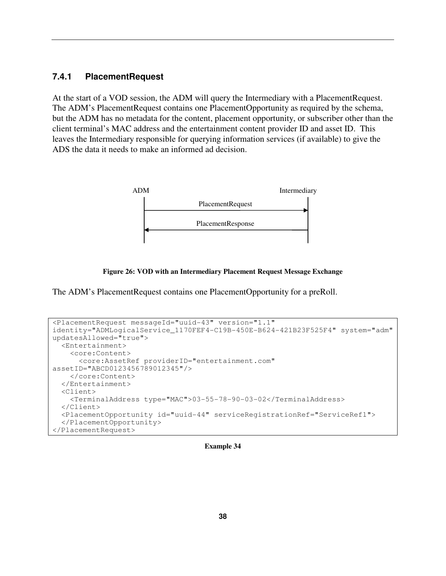## **7.4.1 PlacementRequest**

At the start of a VOD session, the ADM will query the Intermediary with a PlacementRequest. The ADM's PlacementRequest contains one PlacementOpportunity as required by the schema, but the ADM has no metadata for the content, placement opportunity, or subscriber other than the client terminal's MAC address and the entertainment content provider ID and asset ID. This leaves the Intermediary responsible for querying information services (if available) to give the ADS the data it needs to make an informed ad decision.



**Figure 26: VOD with an Intermediary Placement Request Message Exchange** 

The ADM's PlacementRequest contains one PlacementOpportunity for a preRoll.

```
<PlacementRequest messageId="uuid-43" version="1.1"
identity="ADMLogicalService_1170FEF4-C19B-450E-B624-421B23F525F4" system="adm" 
updatesAllowed="true"> 
   <Entertainment> 
     <core:Content> 
       <core:AssetRef providerID="entertainment.com"
assetID="ABCD0123456789012345"/> 
     </core:Content> 
   </Entertainment> 
   <Client> 
     <TerminalAddress type="MAC">03-55-78-90-03-02</TerminalAddress> 
   </Client> 
   <PlacementOpportunity id="uuid-44" serviceRegistrationRef="ServiceRef1"> 
   </PlacementOpportunity> 
</PlacementRequest>
```
**Example 34**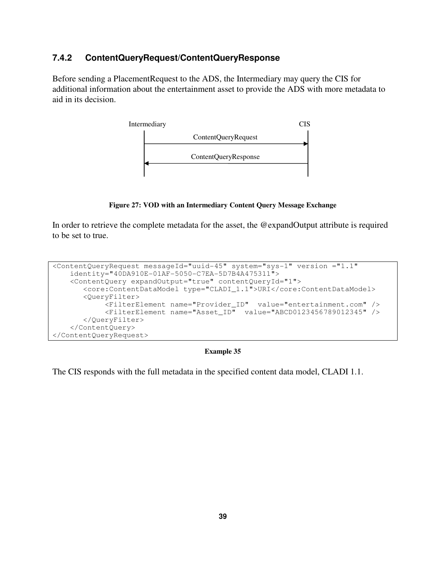# **7.4.2 ContentQueryRequest/ContentQueryResponse**

Before sending a PlacementRequest to the ADS, the Intermediary may query the CIS for additional information about the entertainment asset to provide the ADS with more metadata to aid in its decision.



**Figure 27: VOD with an Intermediary Content Query Message Exchange** 

In order to retrieve the complete metadata for the asset, the @expandOutput attribute is required to be set to true.

```
<ContentQueryRequest messageId="uuid-45" system="sys-1" version ="1.1" 
     identity="40DA910E-01AF-5050-C7EA-5D7B4A475311"> 
     <ContentQuery expandOutput="true" contentQueryId="1"> 
        <core:ContentDataModel type="CLADI_1.1">URI</core:ContentDataModel> 
        <QueryFilter> 
             <FilterElement name="Provider_ID" value="entertainment.com" /> 
             <FilterElement name="Asset_ID" value="ABCD0123456789012345" /> 
        </QueryFilter> 
     </ContentQuery> 
</ContentQueryRequest>
```
**Example 35** 

The CIS responds with the full metadata in the specified content data model, CLADI 1.1.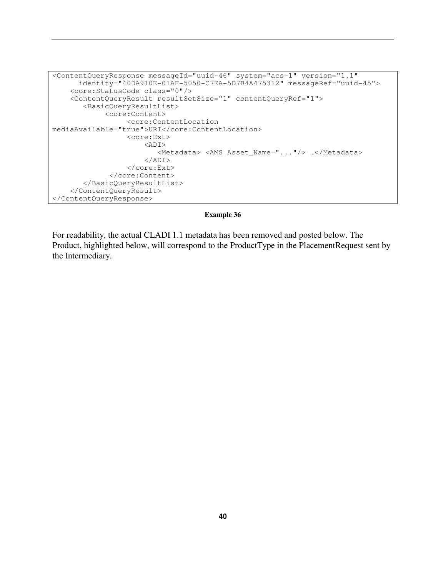```
<ContentQueryResponse messageId="uuid-46" system="acs-1" version="1.1" 
       identity="40DA910E-01AF-5050-C7EA-5D7B4A475312" messageRef="uuid-45"> 
     <core:StatusCode class="0"/> 
     <ContentQueryResult resultSetSize="1" contentQueryRef="1"> 
        <BasicQueryResultList> 
              <core:Content> 
                   <core:ContentLocation 
mediaAvailable="true">URI</core:ContentLocation> 
                   <core:Ext> 
                       <ADI> 
                           <Metadata> <AMS Asset_Name="..."/> …</Metadata> 
                       </ADI> 
                   </core:Ext> 
               </core:Content> 
        </BasicQueryResultList> 
     </ContentQueryResult> 
</ContentQueryResponse>
```
For readability, the actual CLADI 1.1 metadata has been removed and posted below. The Product, highlighted below, will correspond to the ProductType in the PlacementRequest sent by the Intermediary.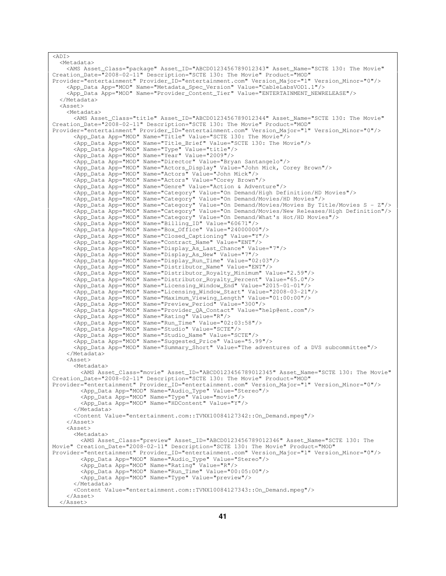```
<ADI> <Metadata> 
    <AMS Asset_Class="package" Asset_ID="ABCD0123456789012343" Asset_Name="SCTE 130: The Movie" 
Creation_Date="2008-02-11" Description="SCTE 130: The Movie" Product="MOD" 
Provider="entertainment" Provider_ID="entertainment.com" Version_Major="1" Version_Minor="0"/> 
 <App_Data App="MOD" Name="Metadata_Spec_Version" Value="CableLabsVOD1.1"/> 
     <App_Data App="MOD" Name="Provider_Content_Tier" Value="ENTERTAINMENT_NEWRELEASE"/> 
   </Metadata> 
   <Asset> 
     <Metadata> 
       <AMS Asset_Class="title" Asset_ID="ABCD0123456789012344" Asset_Name="SCTE 130: The Movie" 
Creation_Date="2008-02-11" Description="SCTE 130: The Movie" Product="MOD" 
Provider="entertainment" Provider_ID="entertainment.com" Version_Major="1" Version_Minor="0"/> 
       <App_Data App="MOD" Name="Title" Value="SCTE 130: The Movie"/> 
       <App_Data App="MOD" Name="Title_Brief" Value="SCTE 130: The Movie"/> 
       <App_Data App="MOD" Name="Type" Value="title"/> 
       <App_Data App="MOD" Name="Year" Value="2009"/> 
       <App_Data App="MOD" Name="Director" Value="Bryan Santangelo"/> 
 <App_Data App="MOD" Name="Actors_Display" Value="John Mick, Corey Brown"/> 
 <App_Data App="MOD" Name="Actors" Value="John Mick"/> 
       <App_Data App="MOD" Name="Actors" Value="Corey Brown"/> 
       <App_Data App="MOD" Name="Genre" Value="Action & Adventure"/> 
       <App_Data App="MOD" Name="Category" Value="On Demand/High Definition/HD Movies"/> 
       <App_Data App="MOD" Name="Category" Value="On Demand/Movies/HD Movies"/> 
       <App_Data App="MOD" Name="Category" Value="On Demand/Movies/Movies By Title/Movies S - Z"/> 
       <App_Data App="MOD" Name="Category" Value="On Demand/Movies/New Releases/High Definition"/> 
       <App_Data App="MOD" Name="Category" Value="On Demand/What's Hot/HD Movies"/> 
 <App_Data App="MOD" Name="Billing_ID" Value="60671"/> 
 <App_Data App="MOD" Name="Box_Office" Value="24000000"/> 
       <App_Data App="MOD" Name="Closed_Captioning" Value="Y"/> 
       <App_Data App="MOD" Name="Contract_Name" Value="ENT"/> 
       <App_Data App="MOD" Name="Display_As_Last_Chance" Value="7"/> 
       <App_Data App="MOD" Name="Display_As_New" Value="7"/> 
       <App_Data App="MOD" Name="Display_Run_Time" Value="02:03"/> 
       <App_Data App="MOD" Name="Distributor_Name" Value="ENT"/> 
 <App_Data App="MOD" Name="Distributor_Royalty_Minimum" Value="2.59"/> 
 <App_Data App="MOD" Name="Distributor_Royalty_Percent" Value="65.0"/> 
       <App_Data App="MOD" Name="Licensing_Window_End" Value="2015-01-01"/> 
       <App_Data App="MOD" Name="Licensing_Window_Start" Value="2008-03-21"/> 
       <App_Data App="MOD" Name="Maximum_Viewing_Length" Value="01:00:00"/> 
 <App_Data App="MOD" Name="Preview_Period" Value="300"/> 
 <App_Data App="MOD" Name="Provider_QA_Contact" Value="help@ent.com"/> 
       <App_Data App="MOD" Name="Rating" Value="R"/> 
       <App_Data App="MOD" Name="Run_Time" Value="02:03:58"/> 
       <App_Data App="MOD" Name="Studio" Value="SCTE"/> 
       <App_Data App="MOD" Name="Studio_Name" Value="SCTE"/> 
       <App_Data App="MOD" Name="Suggested_Price" Value="5.99"/> 
       <App_Data App="MOD" Name="Summary_Short" Value="The adventures of a DVS subcommittee"/> 
     </Metadata> 
     <Asset> 
       <Metadata> 
         <AMS Asset_Class="movie" Asset_ID="ABCD0123456789012345" Asset_Name="SCTE 130: The Movie" 
Creation_Date="2008-02-11" Description="SCTE 130: The Movie" Product="MOD" 
Provider="entertainment" Provider_ID="entertainment.com" Version_Major="1" Version_Minor="0"/> 
 <App_Data App="MOD" Name="Audio_Type" Value="Stereo"/> 
         <App_Data App="MOD" Name="Type" Value="movie"/> 
         <App_Data App="MOD" Name="HDContent" Value="Y"/> 
       </Metadata> 
       <Content Value="entertainment.com::TVNX10084127342::On_Demand.mpeg"/> 
     </Asset> 
     <Asset> 
       <Metadata> 
         <AMS Asset_Class="preview" Asset_ID="ABCD0123456789012346" Asset_Name="SCTE 130: The 
Movie" Creation_Date="2008-02-11" Description="SCTE 130: The Movie" Product="MOD" 
Provider="entertainment" Provider_ID="entertainment.com" Version_Major="1" Version_Minor="0"/> 
 <App_Data App="MOD" Name="Audio_Type" Value="Stereo"/> 
 <App_Data App="MOD" Name="Rating" Value="R"/> 
         <App_Data App="MOD" Name="Run_Time" Value="00:05:00"/> 
         <App_Data App="MOD" Name="Type" Value="preview"/> 
       </Metadata> 
       <Content Value="entertainment.com::TVNX10084127343::On_Demand.mpeg"/> 
     </Asset> 
   </Asset>
```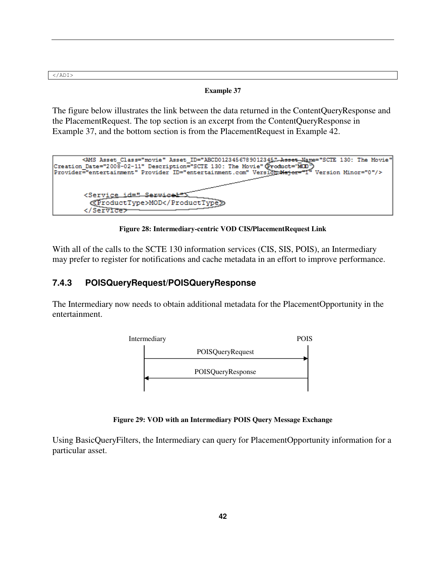$\langle$ ADI>

### **Example 37**

The figure below illustrates the link between the data returned in the ContentQueryResponse and the PlacementRequest. The top section is an excerpt from the ContentQueryResponse in Example 37, and the bottom section is from the PlacementRequest in Example 42.



**Figure 28: Intermediary-centric VOD CIS/PlacementRequest Link** 

With all of the calls to the SCTE 130 information services (CIS, SIS, POIS), an Intermediary may prefer to register for notifications and cache metadata in an effort to improve performance.

### **7.4.3 POISQueryRequest/POISQueryResponse**

The Intermediary now needs to obtain additional metadata for the PlacementOpportunity in the entertainment.



**Figure 29: VOD with an Intermediary POIS Query Message Exchange** 

Using BasicQueryFilters, the Intermediary can query for PlacementOpportunity information for a particular asset.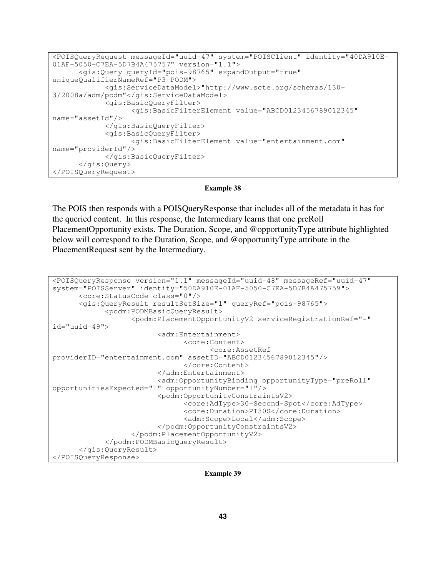```
<POISQueryRequest messageId="uuid-47" system="POISClient" identity="40DA910E-
01AF-5050-C7EA-5D7B4A475757" version="1.1"> 
       <gis:Query queryId="pois-98765" expandOutput="true" 
uniqueQualifierNameRef="P3-PODM"> 
              <gis:ServiceDataModel>"http://www.scte.org/schemas/130-
3/2008a/adm/podm"</gis:ServiceDataModel> 
             <gis:BasicQueryFilter> 
                    <gis:BasicFilterElement value="ABCD0123456789012345" 
name="assetId"/> 
             </gis:BasicQueryFilter> 
             <gis:BasicQueryFilter> 
                    <gis:BasicFilterElement value="entertainment.com" 
name="providerId"/> 
             </gis:BasicQueryFilter>
       </gis:Query> 
</POISQueryRequest>
```
The POIS then responds with a POISQueryResponse that includes all of the metadata it has for the queried content. In this response, the Intermediary learns that one preRoll PlacementOpportunity exists. The Duration, Scope, and @opportunityType attribute highlighted below will correspond to the Duration, Scope, and @opportunityType attribute in the PlacementRequest sent by the Intermediary.

```
<POISQueryResponse version="1.1" messageId="uuid-48" messageRef="uuid-47" 
system="POISServer" identity="50DA910E-01AF-5050-C7EA-5D7B4A475759"> 
       <core:StatusCode class="0"/> 
       <gis:QueryResult resultSetSize="1" queryRef="pois-98765"> 
             <podm:PODMBasicQueryResult> 
                    <podm:PlacementOpportunityV2 serviceRegistrationRef="-" 
id="uuid-49"> 
                          <adm:Entertainment> 
                                <core:Content> 
                                       <core:AssetRef 
providerID="entertainment.com" assetID="ABCD0123456789012345"/> 
                                </core:Content> 
                          </adm:Entertainment> 
                          <adm:OpportunityBinding opportunityType="preRoll" 
opportunitiesExpected="1" opportunityNumber="1"/> 
                          <podm:OpportunityConstraintsV2> 
                                 <core:AdType>30-Second-Spot</core:AdType> 
                                <core:Duration>PT30S</core:Duration> 
                                 <adm:Scope>Local</adm:Scope> 
                          </podm:OpportunityConstraintsV2> 
                    </podm:PlacementOpportunityV2> 
             </podm:PODMBasicQueryResult> 
       </gis:QueryResult> 
</POISQueryResponse>
```
**Example 39**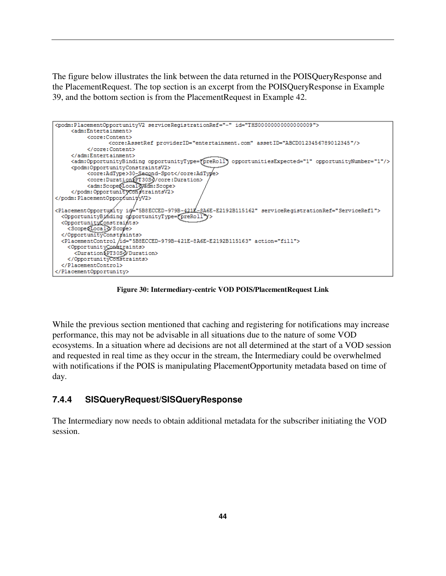The figure below illustrates the link between the data returned in the POISQueryResponse and the PlacementRequest. The top section is an excerpt from the POISQueryResponse in Example 39, and the bottom section is from the PlacementRequest in Example 42.



**Figure 30: Intermediary-centric VOD POIS/PlacementRequest Link** 

While the previous section mentioned that caching and registering for notifications may increase performance, this may not be advisable in all situations due to the nature of some VOD ecosystems. In a situation where ad decisions are not all determined at the start of a VOD session and requested in real time as they occur in the stream, the Intermediary could be overwhelmed with notifications if the POIS is manipulating PlacementOpportunity metadata based on time of day.

# **7.4.4 SISQueryRequest/SISQueryResponse**

The Intermediary now needs to obtain additional metadata for the subscriber initiating the VOD session.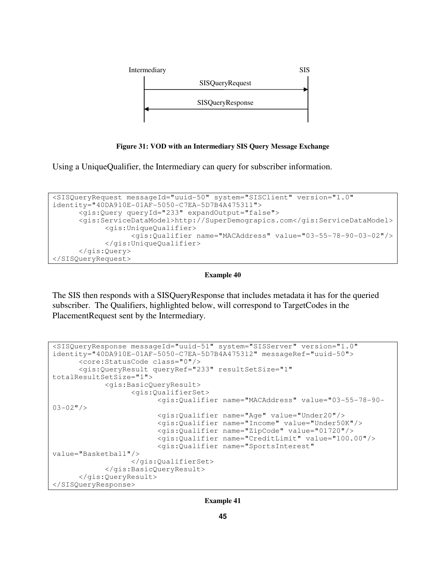

**Figure 31: VOD with an Intermediary SIS Query Message Exchange** 

Using a UniqueQualifier, the Intermediary can query for subscriber information.

```
<SISQueryRequest messageId="uuid-50" system="SISClient" version="1.0" 
identity="40DA910E-01AF-5050-C7EA-5D7B4A475311"> 
       <gis:Query queryId="233" expandOutput="false"> 
       <gis:ServiceDataModel>http://SuperDemograpics.com</gis:ServiceDataModel> 
             <gis:UniqueQualifier> 
                    <gis:Qualifier name="MACAddress" value="03-55-78-90-03-02"/> 
             </gis:UniqueQualifier> 
       </gis:Query> 
</SISQueryRequest>
```
#### **Example 40**

The SIS then responds with a SISQueryResponse that includes metadata it has for the queried subscriber. The Qualifiers, highlighted below, will correspond to TargetCodes in the PlacementRequest sent by the Intermediary.

```
<SISQueryResponse messageId="uuid-51" system="SISServer" version="1.0" 
identity="40DA910E-01AF-5050-C7EA-5D7B4A475312" messageRef="uuid-50"> 
       <core:StatusCode class="0"/> 
       <gis:QueryResult queryRef="233" resultSetSize="1" 
totalResultSetSize="1"> 
             <gis:BasicQueryResult> 
                    <gis:QualifierSet> 
                          <gis:Qualifier name="MACAddress" value="03-55-78-90-
03-02"/>
                          <gis:Qualifier name="Age" value="Under20"/> 
                          <gis:Qualifier name="Income" value="Under50K"/> 
                          <gis:Qualifier name="ZipCode" value="01720"/> 
                          <gis:Qualifier name="CreditLimit" value="100.00"/> 
                          <gis:Qualifier name="SportsInterest" 
value="Basketball"/> 
                    </gis:QualifierSet> 
             </gis:BasicQueryResult> 
       </gis:QueryResult> 
</SISQueryResponse>
```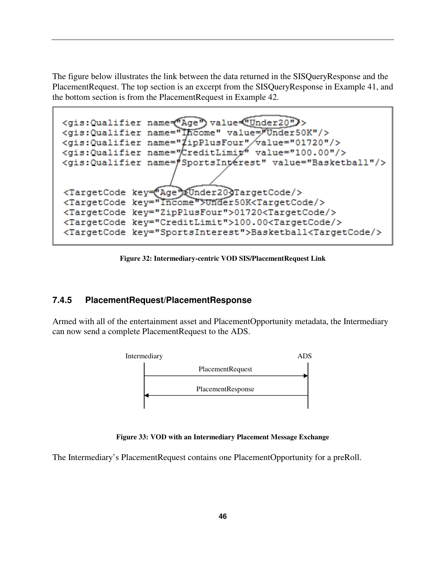The figure below illustrates the link between the data returned in the SISQueryResponse and the PlacementRequest. The top section is an excerpt from the SISQueryResponse in Example 41, and the bottom section is from the PlacementRequest in Example 42.

```
<gis:Qualifier name="Age") value="Under20")>
<gis: Qualifier name="Income" value="Under50K"/>
<gis:Qualifier name="#ipPlusFour"/value="01720"/>
<gis:Qualifier name="CreditLimit" value="100.00"/>
<gis:Qualifier name="SportsIntérest" value="Basketball"/>
<TargetCode key="Age")&Under203TargetCode/>
<TargetCode key="Income">Under50K<TargetCode/>
<TargetCode key="ZipPlusFour">01720<TargetCode/>
<TargetCode key="CreditLimit">100.00<TargetCode/>
<TargetCode key="SportsInterest">Basketball<TargetCode/>
```
**Figure 32: Intermediary-centric VOD SIS/PlacementRequest Link** 

### **7.4.5 PlacementRequest/PlacementResponse**

Armed with all of the entertainment asset and PlacementOpportunity metadata, the Intermediary can now send a complete PlacementRequest to the ADS.



**Figure 33: VOD with an Intermediary Placement Message Exchange** 

The Intermediary's PlacementRequest contains one PlacementOpportunity for a preRoll.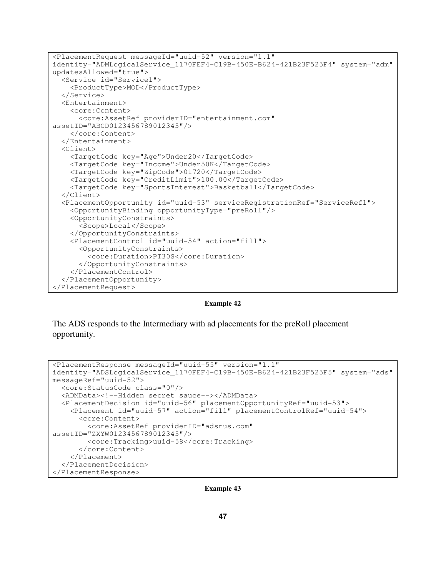```
<PlacementRequest messageId="uuid-52" version="1.1"
identity="ADMLogicalService_1170FEF4-C19B-450E-B624-421B23F525F4" system="adm" 
updatesAllowed="true"> 
   <Service id="Service1"> 
     <ProductType>MOD</ProductType> 
   </Service> 
   <Entertainment> 
     <core:Content> 
       <core:AssetRef providerID="entertainment.com"
assetID="ABCD0123456789012345"/> 
     </core:Content> 
   </Entertainment> 
   <Client> 
     <TargetCode key="Age">Under20</TargetCode> 
     <TargetCode key="Income">Under50K</TargetCode> 
     <TargetCode key="ZipCode">01720</TargetCode> 
     <TargetCode key="CreditLimit">100.00</TargetCode> 
     <TargetCode key="SportsInterest">Basketball</TargetCode> 
   </Client> 
   <PlacementOpportunity id="uuid-53" serviceRegistrationRef="ServiceRef1"> 
     <OpportunityBinding opportunityType="preRoll"/>
     <OpportunityConstraints> 
       <Scope>Local</Scope> 
     </OpportunityConstraints> 
     <PlacementControl id="uuid-54" action="fill"> 
       <OpportunityConstraints> 
         <core:Duration>PT30S</core:Duration> 
       </OpportunityConstraints> 
     </PlacementControl> 
   </PlacementOpportunity> 
</PlacementRequest>
```
**Example 42** 

The ADS responds to the Intermediary with ad placements for the preRoll placement opportunity.

```
<PlacementResponse messageId="uuid-55" version="1.1" 
identity="ADSLogicalService_1170FEF4-C19B-450E-B624-421B23F525F5" system="ads" 
messageRef="uuid-52"> 
   <core:StatusCode class="0"/> 
   <ADMData><!--Hidden secret sauce--></ADMData> 
   <PlacementDecision id="uuid-56" placementOpportunityRef="uuid-53"> 
     <Placement id="uuid-57" action="fill" placementControlRef="uuid-54"> 
       <core:Content> 
         <core:AssetRef providerID="adsrus.com" 
assetID="ZXYW0123456789012345"/> 
         <core:Tracking>uuid-58</core:Tracking> 
       </core:Content> 
     </Placement> 
   </PlacementDecision> 
</PlacementResponse>
```
**Example 43**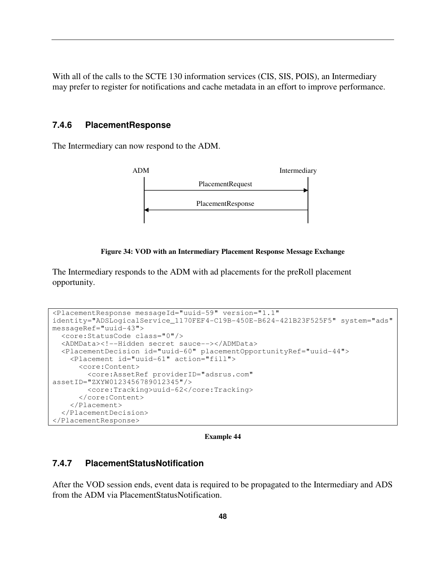With all of the calls to the SCTE 130 information services (CIS, SIS, POIS), an Intermediary may prefer to register for notifications and cache metadata in an effort to improve performance.

### **7.4.6 PlacementResponse**

The Intermediary can now respond to the ADM.



### **Figure 34: VOD with an Intermediary Placement Response Message Exchange**

The Intermediary responds to the ADM with ad placements for the preRoll placement opportunity.

```
<PlacementResponse messageId="uuid-59" version="1.1" 
identity="ADSLogicalService_1170FEF4-C19B-450E-B624-421B23F525F5" system="ads" 
messageRef="uuid-43"> 
   <core:StatusCode class="0"/> 
   <ADMData><!--Hidden secret sauce--></ADMData> 
   <PlacementDecision id="uuid-60" placementOpportunityRef="uuid-44"> 
     <Placement id="uuid-61" action="fill"> 
       <core:Content> 
         <core:AssetRef providerID="adsrus.com" 
assetID="ZXYW0123456789012345"/> 
         <core:Tracking>uuid-62</core:Tracking> 
       </core:Content> 
     </Placement> 
   </PlacementDecision> 
</PlacementResponse>
```
**Example 44** 

### **7.4.7 PlacementStatusNotification**

After the VOD session ends, event data is required to be propagated to the Intermediary and ADS from the ADM via PlacementStatusNotification.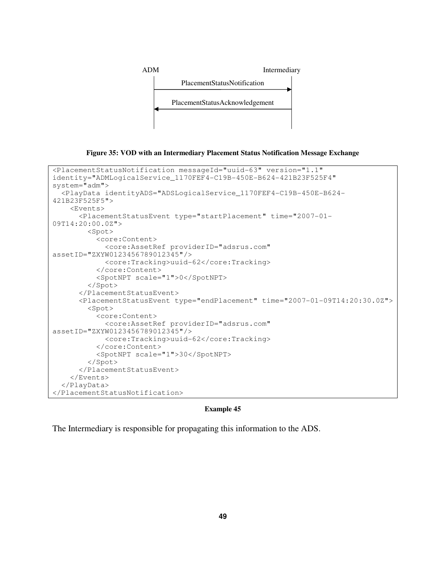

**Figure 35: VOD with an Intermediary Placement Status Notification Message Exchange** 

```
<PlacementStatusNotification messageId="uuid-63" version="1.1" 
identity="ADMLogicalService_1170FEF4-C19B-450E-B624-421B23F525F4" 
system="adm"> 
   <PlayData identityADS="ADSLogicalService_1170FEF4-C19B-450E-B624-
421B23F525F5"> 
     <Events> 
       <PlacementStatusEvent type="startPlacement" time="2007-01-
09T14:20:00.0Z"> 
         <Spot> 
           <core:Content> 
              <core:AssetRef providerID="adsrus.com" 
assetID="ZXYW0123456789012345"/> 
              <core:Tracking>uuid-62</core:Tracking> 
           </core:Content> 
           <SpotNPT scale="1">0</SpotNPT> 
         </Spot> 
       </PlacementStatusEvent> 
       <PlacementStatusEvent type="endPlacement" time="2007-01-09T14:20:30.0Z"> 
         <Spot> 
           <core:Content> 
              <core:AssetRef providerID="adsrus.com" 
assetID="ZXYW0123456789012345"/> 
              <core:Tracking>uuid-62</core:Tracking> 
           </core:Content> 
           <SpotNPT scale="1">30</SpotNPT> 
         </Spot> 
       </PlacementStatusEvent> 
     </Events> 
   </PlayData> 
</PlacementStatusNotification>
```
The Intermediary is responsible for propagating this information to the ADS.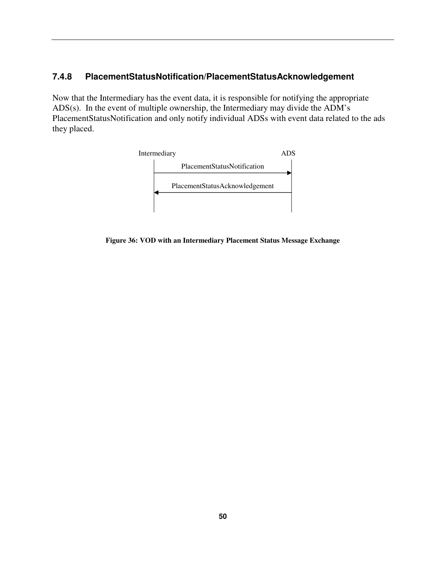# **7.4.8 PlacementStatusNotification/PlacementStatusAcknowledgement**

Now that the Intermediary has the event data, it is responsible for notifying the appropriate ADS(s). In the event of multiple ownership, the Intermediary may divide the ADM's PlacementStatusNotification and only notify individual ADSs with event data related to the ads they placed.



**Figure 36: VOD with an Intermediary Placement Status Message Exchange**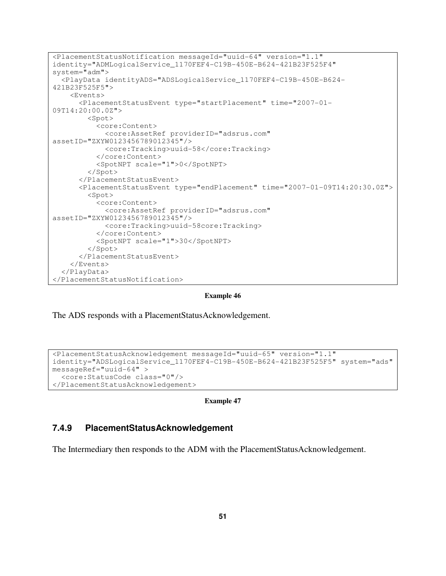```
<PlacementStatusNotification messageId="uuid-64" version="1.1" 
identity="ADMLogicalService_1170FEF4-C19B-450E-B624-421B23F525F4" 
system="adm"> 
   <PlayData identityADS="ADSLogicalService_1170FEF4-C19B-450E-B624-
421B23F525F5"> 
     <Events> 
       <PlacementStatusEvent type="startPlacement" time="2007-01-
09T14:20:00.0Z"> 
         <Spot> 
            <core:Content> 
              <core:AssetRef providerID="adsrus.com" 
assetID="ZXYW0123456789012345"/> 
              <core:Tracking>uuid-58</core:Tracking> 
            </core:Content> 
            <SpotNPT scale="1">0</SpotNPT> 
         </Spot> 
       </PlacementStatusEvent> 
       <PlacementStatusEvent type="endPlacement" time="2007-01-09T14:20:30.0Z"> 
         <Spot> 
            <core:Content> 
              <core:AssetRef providerID="adsrus.com" 
assetID="ZXYW0123456789012345"/> 
              <core:Tracking>uuid-58core:Tracking> 
            </core:Content> 
            <SpotNPT scale="1">30</SpotNPT> 
         </Spot> 
       </PlacementStatusEvent> 
     </Events> 
   </PlayData> 
</PlacementStatusNotification>
```
The ADS responds with a PlacementStatusAcknowledgement.

```
<PlacementStatusAcknowledgement messageId="uuid-65" version="1.1" 
identity="ADSLogicalService_1170FEF4-C19B-450E-B624-421B23F525F5" system="ads" 
messageRef="uuid-64" > 
   <core:StatusCode class="0"/> 
</PlacementStatusAcknowledgement>
```

```
Example 47
```
## **7.4.9 PlacementStatusAcknowledgement**

The Intermediary then responds to the ADM with the PlacementStatusAcknowledgement.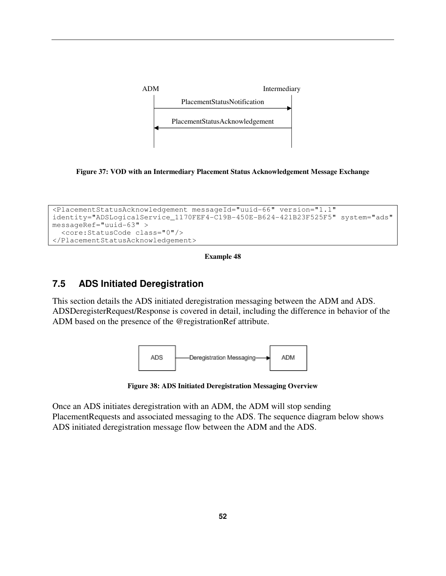

**Figure 37: VOD with an Intermediary Placement Status Acknowledgement Message Exchange** 

```
<PlacementStatusAcknowledgement messageId="uuid-66" version="1.1" 
identity="ADSLogicalService_1170FEF4-C19B-450E-B624-421B23F525F5" system="ads" 
messageRef="uuid-63" > 
   <core:StatusCode class="0"/> 
</PlacementStatusAcknowledgement>
```
# **7.5 ADS Initiated Deregistration**

This section details the ADS initiated deregistration messaging between the ADM and ADS. ADSDeregisterRequest/Response is covered in detail, including the difference in behavior of the ADM based on the presence of the @registrationRef attribute.



**Figure 38: ADS Initiated Deregistration Messaging Overview** 

Once an ADS initiates deregistration with an ADM, the ADM will stop sending PlacementRequests and associated messaging to the ADS. The sequence diagram below shows ADS initiated deregistration message flow between the ADM and the ADS.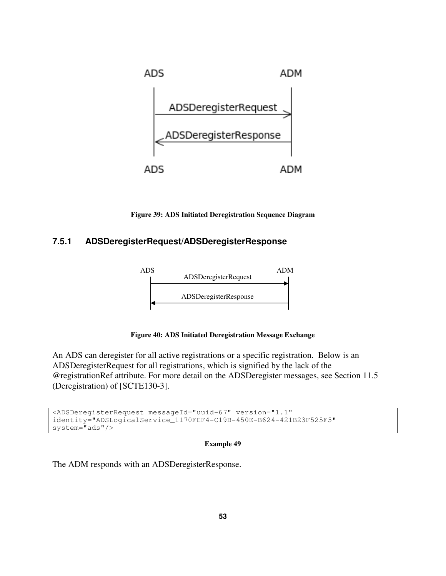

**Figure 39: ADS Initiated Deregistration Sequence Diagram** 

# **7.5.1 ADSDeregisterRequest/ADSDeregisterResponse**



**Figure 40: ADS Initiated Deregistration Message Exchange** 

An ADS can deregister for all active registrations or a specific registration. Below is an ADSDeregisterRequest for all registrations, which is signified by the lack of the @registrationRef attribute. For more detail on the ADSDeregister messages, see Section 11.5 (Deregistration) of [SCTE130-3].

```
<ADSDeregisterRequest messageId="uuid-67" version="1.1" 
identity="ADSLogicalService_1170FEF4-C19B-450E-B624-421B23F525F5" 
system="ads"/>
```
### **Example 49**

The ADM responds with an ADSDeregisterResponse.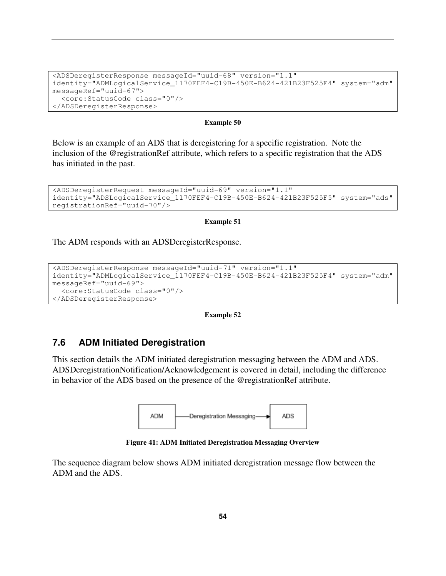```
<ADSDeregisterResponse messageId="uuid-68" version="1.1" 
identity="ADMLogicalService_1170FEF4-C19B-450E-B624-421B23F525F4" system="adm" 
messageRef="uuid-67"> 
   <core:StatusCode class="0"/> 
</ADSDeregisterResponse>
```
Below is an example of an ADS that is deregistering for a specific registration. Note the inclusion of the @registrationRef attribute, which refers to a specific registration that the ADS has initiated in the past.

```
<ADSDeregisterRequest messageId="uuid-69" version="1.1" 
identity="ADSLogicalService_1170FEF4-C19B-450E-B624-421B23F525F5" system="ads" 
registrationRef="uuid-70"/>
```
#### **Example 51**

The ADM responds with an ADSDeregisterResponse.

```
<ADSDeregisterResponse messageId="uuid-71" version="1.1" 
identity="ADMLogicalService_1170FEF4-C19B-450E-B624-421B23F525F4" system="adm" 
messageRef="uuid-69"> 
   <core:StatusCode class="0"/> 
</ADSDeregisterResponse>
```
#### **Example 52**

### **7.6 ADM Initiated Deregistration**

This section details the ADM initiated deregistration messaging between the ADM and ADS. ADSDeregistrationNotification/Acknowledgement is covered in detail, including the difference in behavior of the ADS based on the presence of the @registrationRef attribute.



**Figure 41: ADM Initiated Deregistration Messaging Overview** 

The sequence diagram below shows ADM initiated deregistration message flow between the ADM and the ADS.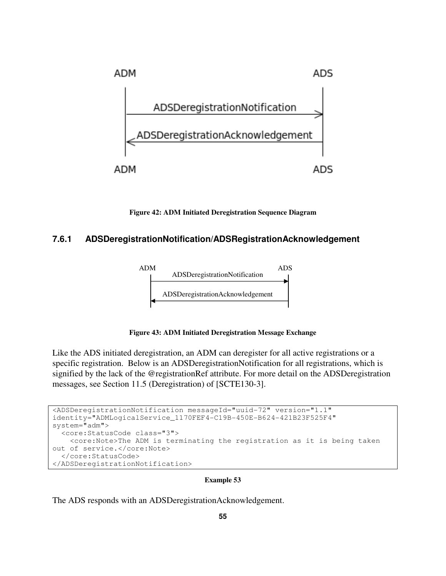

**Figure 42: ADM Initiated Deregistration Sequence Diagram** 

## **7.6.1 ADSDeregistrationNotification/ADSRegistrationAcknowledgement**



**Figure 43: ADM Initiated Deregistration Message Exchange** 

Like the ADS initiated deregistration, an ADM can deregister for all active registrations or a specific registration. Below is an ADSDeregistrationNotification for all registrations, which is signified by the lack of the @registrationRef attribute. For more detail on the ADSDeregistration messages, see Section 11.5 (Deregistration) of [SCTE130-3].

```
<ADSDeregistrationNotification messageId="uuid-72" version="1.1" 
identity="ADMLogicalService_1170FEF4-C19B-450E-B624-421B23F525F4" 
system="adm"> 
   <core:StatusCode class="3"> 
     <core:Note>The ADM is terminating the registration as it is being taken 
out of service.</core:Note> 
   </core:StatusCode> 
</ADSDeregistrationNotification>
```
### **Example 53**

The ADS responds with an ADSDeregistrationAcknowledgement.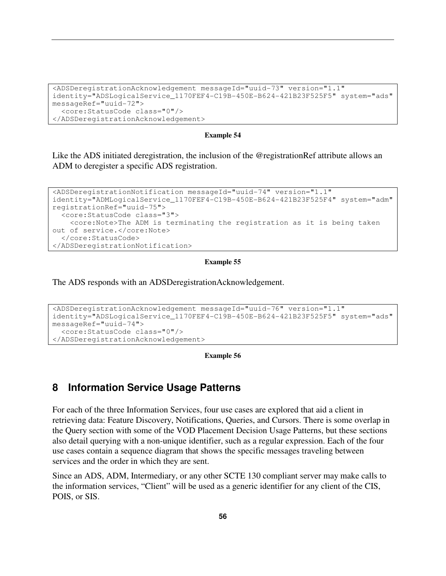```
<ADSDeregistrationAcknowledgement messageId="uuid-73" version="1.1" 
identity="ADSLogicalService_1170FEF4-C19B-450E-B624-421B23F525F5" system="ads" 
messageRef="uuid-72"> 
   <core:StatusCode class="0"/> 
</ADSDeregistrationAcknowledgement>
```
Like the ADS initiated deregistration, the inclusion of the @registrationRef attribute allows an ADM to deregister a specific ADS registration.

```
<ADSDeregistrationNotification messageId="uuid-74" version="1.1" 
identity="ADMLogicalService_1170FEF4-C19B-450E-B624-421B23F525F4" system="adm" 
registrationRef="uuid-75"> 
   <core:StatusCode class="3"> 
     <core:Note>The ADM is terminating the registration as it is being taken 
out of service.</core:Note> 
  </core:StatusCode> 
</ADSDeregistrationNotification>
```
#### **Example 55**

The ADS responds with an ADSDeregistrationAcknowledgement.

```
<ADSDeregistrationAcknowledgement messageId="uuid-76" version="1.1" 
identity="ADSLogicalService_1170FEF4-C19B-450E-B624-421B23F525F5" system="ads" 
messageRef="uuid-74"> 
   <core:StatusCode class="0"/> 
</ADSDeregistrationAcknowledgement>
```
#### **Example 56**

## **8 Information Service Usage Patterns**

For each of the three Information Services, four use cases are explored that aid a client in retrieving data: Feature Discovery, Notifications, Queries, and Cursors. There is some overlap in the Query section with some of the VOD Placement Decision Usage Patterns, but these sections also detail querying with a non-unique identifier, such as a regular expression. Each of the four use cases contain a sequence diagram that shows the specific messages traveling between services and the order in which they are sent.

Since an ADS, ADM, Intermediary, or any other SCTE 130 compliant server may make calls to the information services, "Client" will be used as a generic identifier for any client of the CIS, POIS, or SIS.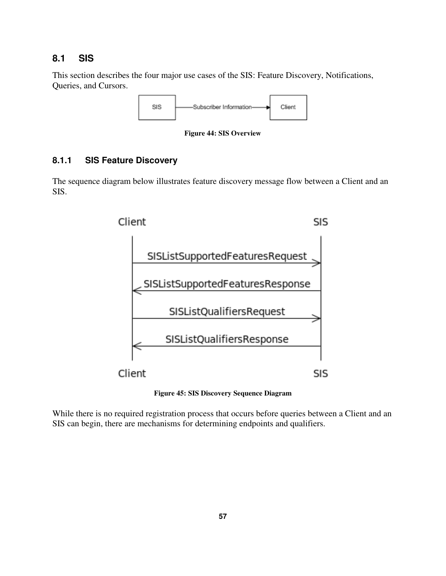# **8.1 SIS**

This section describes the four major use cases of the SIS: Feature Discovery, Notifications, Queries, and Cursors.



**Figure 44: SIS Overview** 

## **8.1.1 SIS Feature Discovery**

The sequence diagram below illustrates feature discovery message flow between a Client and an SIS.



**Figure 45: SIS Discovery Sequence Diagram** 

While there is no required registration process that occurs before queries between a Client and an SIS can begin, there are mechanisms for determining endpoints and qualifiers.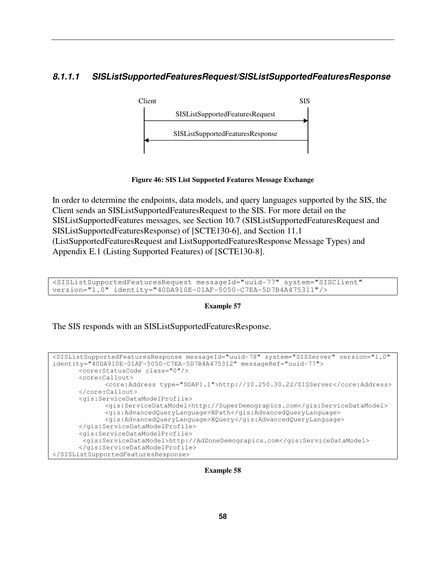# **8.1.1.1 SISListSupportedFeaturesRequest/SISListSupportedFeaturesResponse**



**Figure 46: SIS List Supported Features Message Exchange** 

In order to determine the endpoints, data models, and query languages supported by the SIS, the Client sends an SISListSupportedFeaturesRequest to the SIS. For more detail on the SISListSupportedFeatures messages, see Section 10.7 (SISListSupportedFeaturesRequest and SISListSupportedFeaturesResponse) of [SCTE130-6], and Section 11.1 (ListSupportedFeaturesRequest and ListSupportedFeaturesResponse Message Types) and Appendix E.1 (Listing Supported Features) of [SCTE130-8].

<SISListSupportedFeaturesRequest messageId="uuid-77" system="SISClient" version="1.0" identity="40DA910E-01AF-5050-C7EA-5D7B4A475311"/>

### **Example 57**

The SIS responds with an SISListSupportedFeaturesResponse.

```
<SISListSupportedFeaturesResponse messageId="uuid-78" system="SISServer" version="1.0" 
identity="40DA910E-01AF-5050-C7EA-5D7B4A475312" messageRef="uuid-77"> 
        <core:StatusCode class="0"/> 
        <core:Callout> 
              <core:Address type="SOAP1.1">http://10.250.30.22/SISServer</core:Address> 
        </core:Callout> 
        <gis:ServiceDataModelProfile> 
              <gis:ServiceDataModel>http://SuperDemograpics.com</gis:ServiceDataModel> 
               <gis:AdvancedQueryLanguage>XPath</gis:AdvancedQueryLanguage> 
              <gis:AdvancedQueryLanguage>XQuery</gis:AdvancedQueryLanguage> 
        </gis:ServiceDataModelProfile> 
        <gis:ServiceDataModelProfile> 
        <gis:ServiceDataModel>http://AdZoneDemograpics.com</gis:ServiceDataModel> 
        </gis:ServiceDataModelProfile> 
</SISListSupportedFeaturesResponse>
```
**Example 58**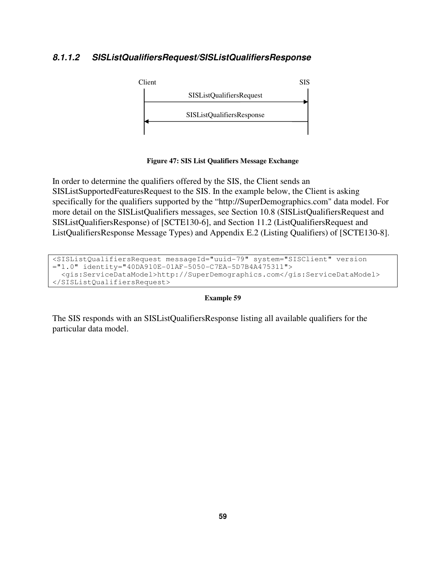## **8.1.1.2 SISListQualifiersRequest/SISListQualifiersResponse**



**Figure 47: SIS List Qualifiers Message Exchange** 

In order to determine the qualifiers offered by the SIS, the Client sends an SISListSupportedFeaturesRequest to the SIS. In the example below, the Client is asking specifically for the qualifiers supported by the "http://SuperDemographics.com" data model. For more detail on the SISListQualifiers messages, see Section 10.8 (SISListQualifiersRequest and SISListQualifiersResponse) of [SCTE130-6], and Section 11.2 (ListQualifiersRequest and ListQualifiersResponse Message Types) and Appendix E.2 (Listing Qualifiers) of [SCTE130-8].

```
<SISListQualifiersRequest messageId="uuid-79" system="SISClient" version 
="1.0" identity="40DA910E-01AF-5050-C7EA-5D7B4A475311"> 
   <gis:ServiceDataModel>http://SuperDemographics.com</gis:ServiceDataModel> 
</SISListQualifiersRequest>
```
### **Example 59**

The SIS responds with an SISListQualifiersResponse listing all available qualifiers for the particular data model.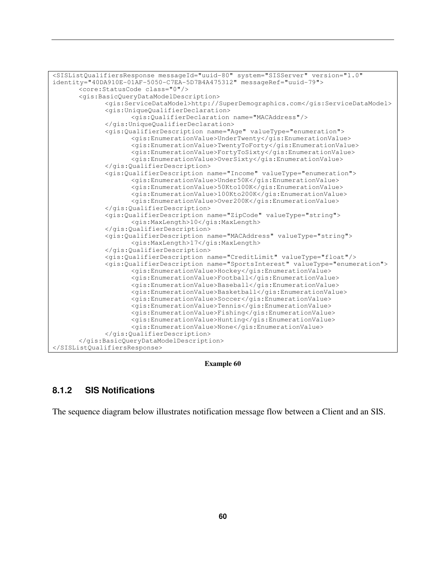

**Example 60** 

## **8.1.2 SIS Notifications**

The sequence diagram below illustrates notification message flow between a Client and an SIS.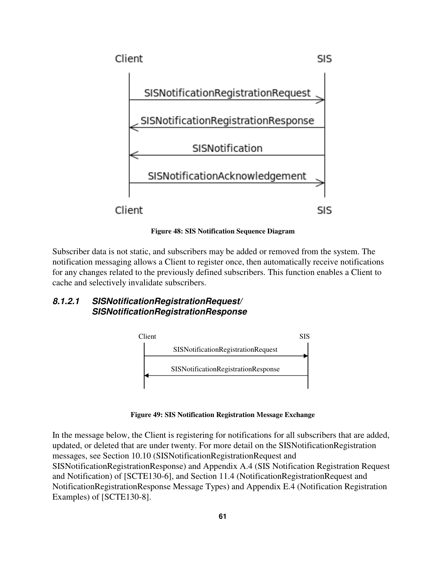

**Figure 48: SIS Notification Sequence Diagram** 

Subscriber data is not static, and subscribers may be added or removed from the system. The notification messaging allows a Client to register once, then automatically receive notifications for any changes related to the previously defined subscribers. This function enables a Client to cache and selectively invalidate subscribers.

## **8.1.2.1 SISNotificationRegistrationRequest/ SISNotificationRegistrationResponse**



**Figure 49: SIS Notification Registration Message Exchange** 

In the message below, the Client is registering for notifications for all subscribers that are added, updated, or deleted that are under twenty. For more detail on the SISNotificationRegistration messages, see Section 10.10 (SISNotificationRegistrationRequest and SISNotificationRegistrationResponse) and Appendix A.4 (SIS Notification Registration Request and Notification) of [SCTE130-6], and Section 11.4 (NotificationRegistrationRequest and NotificationRegistrationResponse Message Types) and Appendix E.4 (Notification Registration Examples) of [SCTE130-8].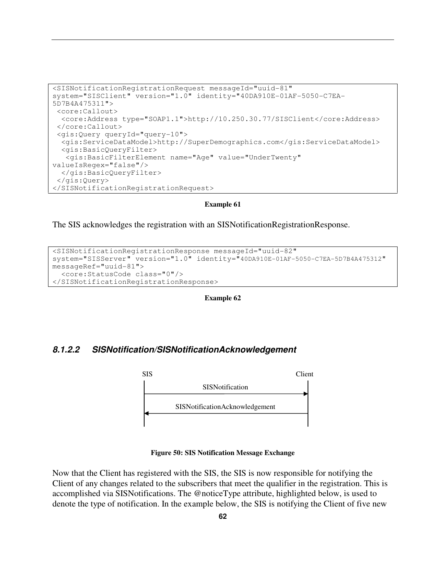```
<SISNotificationRegistrationRequest messageId="uuid-81" 
system="SISClient" version="1.0" identity="40DA910E-01AF-5050-C7EA-
5D7B4A475311"> 
  <core:Callout> 
   <core:Address type="SOAP1.1">http://10.250.30.77/SISClient</core:Address> 
  </core:Callout> 
  <gis:Query queryId="query-10"> 
   <gis:ServiceDataModel>http://SuperDemographics.com</gis:ServiceDataModel> 
   <gis:BasicQueryFilter> 
    <gis:BasicFilterElement name="Age" value="UnderTwenty" 
valueIsRegex="false"/> 
  </gis:BasicQueryFilter> 
  </gis:Query> 
</SISNotificationRegistrationRequest>
```
The SIS acknowledges the registration with an SISNotificationRegistrationResponse.

```
<SISNotificationRegistrationResponse messageId="uuid-82" 
system="SISServer" version="1.0" identity="40DA910E-01AF-5050-C7EA-5D7B4A475312" 
messageRef="uuid-81"> 
   <core:StatusCode class="0"/> 
</SISNotificationRegistrationResponse>
```
**Example 62** 

## **8.1.2.2 SISNotification/SISNotificationAcknowledgement**



#### **Figure 50: SIS Notification Message Exchange**

Now that the Client has registered with the SIS, the SIS is now responsible for notifying the Client of any changes related to the subscribers that meet the qualifier in the registration. This is accomplished via SISNotifications. The @noticeType attribute, highlighted below, is used to denote the type of notification. In the example below, the SIS is notifying the Client of five new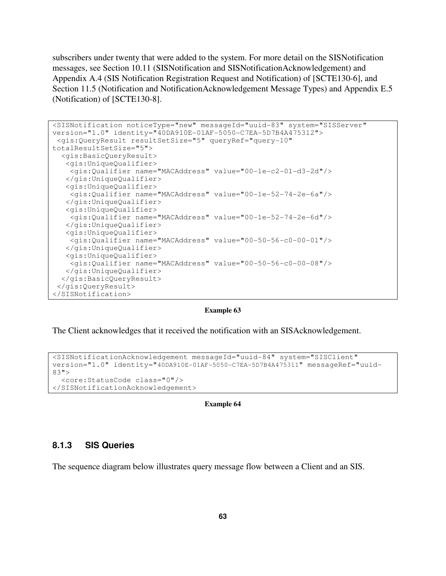subscribers under twenty that were added to the system. For more detail on the SISNotification messages, see Section 10.11 (SISNotification and SISNotificationAcknowledgement) and Appendix A.4 (SIS Notification Registration Request and Notification) of [SCTE130-6], and Section 11.5 (Notification and NotificationAcknowledgement Message Types) and Appendix E.5 (Notification) of [SCTE130-8].

```
<SISNotification noticeType="new" messageId="uuid-83" system="SISServer" 
version="1.0" identity="40DA910E-01AF-5050-C7EA-5D7B4A475312"> 
  <gis:QueryResult resultSetSize="5" queryRef="query-10" 
totalResultSetSize="5"> 
   <gis:BasicQueryResult> 
    <gis:UniqueQualifier> 
     <gis:Qualifier name="MACAddress" value="00-1e-c2-01-d3-2d"/> 
    </gis:UniqueQualifier> 
    <gis:UniqueQualifier> 
    <gis:Qualifier name="MACAddress" value="00-1e-52-74-2e-6a"/> 
    </gis:UniqueQualifier> 
    <gis:UniqueQualifier> 
     <gis:Qualifier name="MACAddress" value="00-1e-52-74-2e-6d"/> 
    </gis:UniqueQualifier> 
    <gis:UniqueQualifier> 
    <gis:Qualifier name="MACAddress" value="00-50-56-c0-00-01"/> 
    </gis:UniqueQualifier> 
    <gis:UniqueQualifier> 
     <gis:Qualifier name="MACAddress" value="00-50-56-c0-00-08"/> 
    </gis:UniqueQualifier> 
   </gis:BasicQueryResult> 
  </gis:QueryResult> 
</SISNotification>
```
#### **Example 63**

The Client acknowledges that it received the notification with an SISAcknowledgement.

```
<SISNotificationAcknowledgement messageId="uuid-84" system="SISClient" 
version="1.0" identity="40DA910E-01AF-5050-C7EA-5D7B4A475311" messageRef="uuid-
83"> 
   <core:StatusCode class="0"/> 
</SISNotificationAcknowledgement>
```
#### **Example 64**

## **8.1.3 SIS Queries**

The sequence diagram below illustrates query message flow between a Client and an SIS.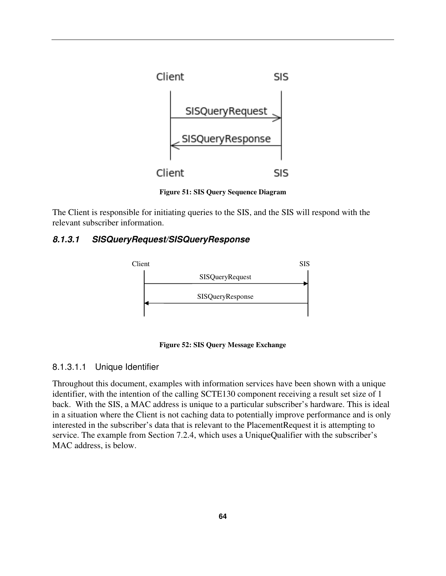

**Figure 51: SIS Query Sequence Diagram** 

The Client is responsible for initiating queries to the SIS, and the SIS will respond with the relevant subscriber information.

## **8.1.3.1 SISQueryRequest/SISQueryResponse**



**Figure 52: SIS Query Message Exchange** 

## 8.1.3.1.1 Unique Identifier

Throughout this document, examples with information services have been shown with a unique identifier, with the intention of the calling SCTE130 component receiving a result set size of 1 back. With the SIS, a MAC address is unique to a particular subscriber's hardware. This is ideal in a situation where the Client is not caching data to potentially improve performance and is only interested in the subscriber's data that is relevant to the PlacementRequest it is attempting to service. The example from Section 7.2.4, which uses a UniqueQualifier with the subscriber's MAC address, is below.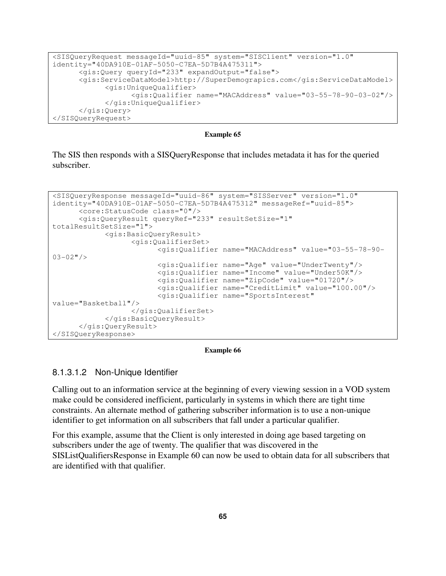```
<SISQueryRequest messageId="uuid-85" system="SISClient" version="1.0" 
identity="40DA910E-01AF-5050-C7EA-5D7B4A475311"> 
       <gis:Query queryId="233" expandOutput="false"> 
       <gis:ServiceDataModel>http://SuperDemograpics.com</gis:ServiceDataModel> 
             <gis:UniqueQualifier> 
                    <gis:Qualifier name="MACAddress" value="03-55-78-90-03-02"/> 
             </gis:UniqueQualifier> 
       </gis:Query> 
</SISQueryRequest>
```
The SIS then responds with a SISQueryResponse that includes metadata it has for the queried subscriber.

```
<SISQueryResponse messageId="uuid-86" system="SISServer" version="1.0" 
identity="40DA910E-01AF-5050-C7EA-5D7B4A475312" messageRef="uuid-85"> 
       <core:StatusCode class="0"/> 
       <gis:QueryResult queryRef="233" resultSetSize="1" 
totalResultSetSize="1"> 
             <gis:BasicQueryResult> 
                    <gis:QualifierSet> 
                          <gis:Qualifier name="MACAddress" value="03-55-78-90-
03-02"/>
                          <gis:Qualifier name="Age" value="UnderTwenty"/>
                          <gis:Qualifier name="Income" value="Under50K"/>
                          <gis:Qualifier name="ZipCode" value="01720"/> 
                          <gis:Qualifier name="CreditLimit" value="100.00"/> 
                          <gis:Qualifier name="SportsInterest" 
value="Basketball"/> 
                    </gis:QualifierSet> 
             </gis:BasicQueryResult> 
       </gis:QueryResult> 
</SISQueryResponse>
```
#### **Example 66**

### 8.1.3.1.2 Non-Unique Identifier

Calling out to an information service at the beginning of every viewing session in a VOD system make could be considered inefficient, particularly in systems in which there are tight time constraints. An alternate method of gathering subscriber information is to use a non-unique identifier to get information on all subscribers that fall under a particular qualifier.

For this example, assume that the Client is only interested in doing age based targeting on subscribers under the age of twenty. The qualifier that was discovered in the SISListQualifiersResponse in Example 60 can now be used to obtain data for all subscribers that are identified with that qualifier.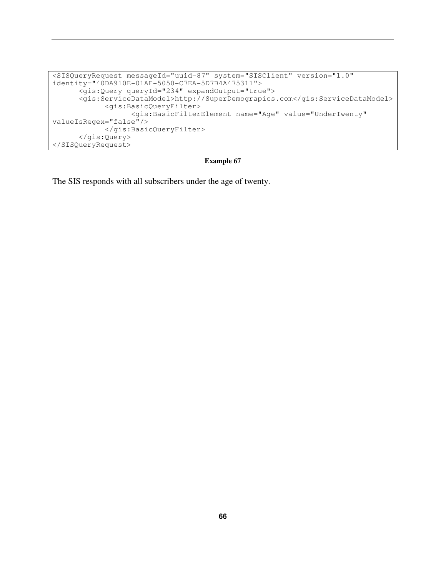```
<SISQueryRequest messageId="uuid-87" system="SISClient" version="1.0" 
identity="40DA910E-01AF-5050-C7EA-5D7B4A475311"> 
       <gis:Query queryId="234" expandOutput="true"> 
       <gis:ServiceDataModel>http://SuperDemograpics.com</gis:ServiceDataModel> 
             <gis:BasicQueryFilter> 
                    <gis:BasicFilterElement name="Age" value="UnderTwenty" 
valueIsRegex="false"/> 
             </gis:BasicQueryFilter> 
       </gis:Query> 
</SISQueryRequest>
```
The SIS responds with all subscribers under the age of twenty.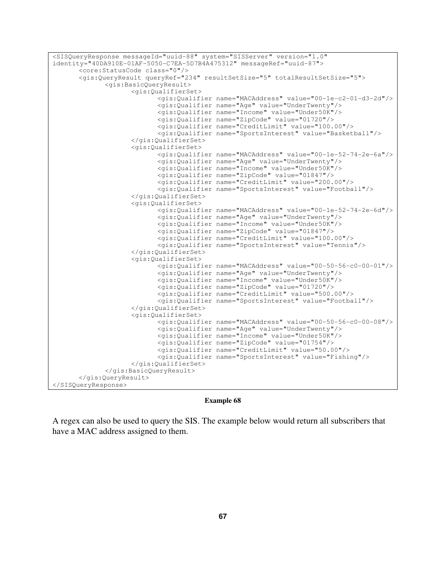```
<SISQueryResponse messageId="uuid-88" system="SISServer" version="1.0" 
identity="40DA910E-01AF-5050-C7EA-5D7B4A475312" messageRef="uuid-87"> 
        <core:StatusCode class="0"/> 
        <gis:QueryResult queryRef="234" resultSetSize="5" totalResultSetSize="5"> 
               <gis:BasicQueryResult> 
                      <gis:QualifierSet> 
                             <gis:Qualifier name="MACAddress" value="00-1e-c2-01-d3-2d"/> 
                             <gis:Qualifier name="Age" value="UnderTwenty"/>
                             <gis:Qualifier name="Income" value="Under50K"/>
                             <gis:Qualifier name="ZipCode" value="01720"/> 
                             <gis:Qualifier name="CreditLimit" value="100.00"/> 
                             <gis:Qualifier name="SportsInterest" value="Basketball"/> 
                      </gis:QualifierSet> 
                      <gis:QualifierSet> 
                             <gis:Qualifier name="MACAddress" value="00-1e-52-74-2e-6a"/> 
                             <gis:Qualifier name="Age" value="UnderTwenty"/>
                             <gis:Qualifier name="Income" value="Under50K"/>
                             <gis:Qualifier name="ZipCode" value="01847"/> 
                             <gis:Qualifier name="CreditLimit" value="200.00"/> 
                             <gis:Qualifier name="SportsInterest" value="Football"/> 
                      </gis:QualifierSet> 
                      <gis:QualifierSet> 
                             <gis:Qualifier name="MACAddress" value="00-1e-52-74-2e-6d"/> 
                             <gis:Qualifier name="Age" value="UnderTwenty"/>
                             <gis:Qualifier name="Income" value="Under50K"/>
                             <gis:Qualifier name="ZipCode" value="01847"/> 
                             <gis:Qualifier name="CreditLimit" value="100.00"/> 
                             <gis:Qualifier name="SportsInterest" value="Tennis"/> 
                      </gis:QualifierSet> 
                      <gis:QualifierSet> 
                             <gis:Qualifier name="MACAddress" value="00-50-56-c0-00-01"/> 
                             <gis:Qualifier name="Age" value="UnderTwenty"/>
                             <gis:Qualifier name="Income" value="Under50K"/>
                             <gis:Qualifier name="ZipCode" value="01720"/> 
                             <gis:Qualifier name="CreditLimit" value="500.00"/> 
                             <gis:Qualifier name="SportsInterest" value="Football"/> 
                      </gis:QualifierSet> 
                      <gis:QualifierSet> 
                             <gis:Qualifier name="MACAddress" value="00-50-56-c0-00-08"/> 
                             <gis:Qualifier name="Age" value="UnderTwenty"/>
                             <gis:Qualifier name="Income" value="Under50K"/>
                             <gis:Qualifier name="ZipCode" value="01754"/> 
                             <gis:Qualifier name="CreditLimit" value="50.00"/> 
                             <gis:Qualifier name="SportsInterest" value="Fishing"/> 
                      </gis:QualifierSet> 
               </gis:BasicQueryResult> 
        </gis:QueryResult> 
</SISQueryResponse>
```
A regex can also be used to query the SIS. The example below would return all subscribers that have a MAC address assigned to them.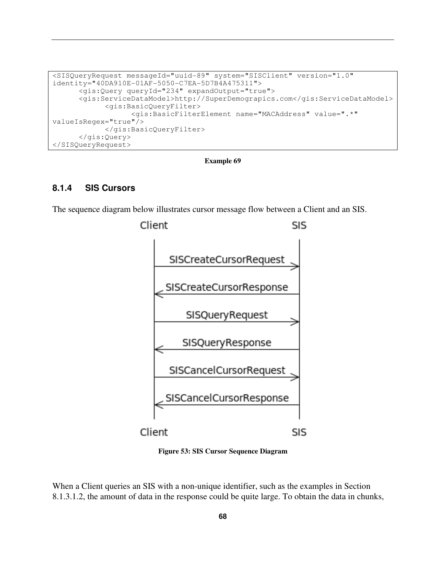```
<SISQueryRequest messageId="uuid-89" system="SISClient" version="1.0" 
identity="40DA910E-01AF-5050-C7EA-5D7B4A475311"> 
       <gis:Query queryId="234" expandOutput="true"> 
       <gis:ServiceDataModel>http://SuperDemograpics.com</gis:ServiceDataModel> 
             <gis:BasicQueryFilter> 
                    <gis:BasicFilterElement name="MACAddress" value=".*" 
valueIsRegex="true"/> 
             </gis:BasicQueryFilter> 
       </gis:Query> 
</SISQueryRequest>
```
**Example 69** 

## **8.1.4 SIS Cursors**

The sequence diagram below illustrates cursor message flow between a Client and an SIS.



**Figure 53: SIS Cursor Sequence Diagram** 

When a Client queries an SIS with a non-unique identifier, such as the examples in Section 8.1.3.1.2, the amount of data in the response could be quite large. To obtain the data in chunks,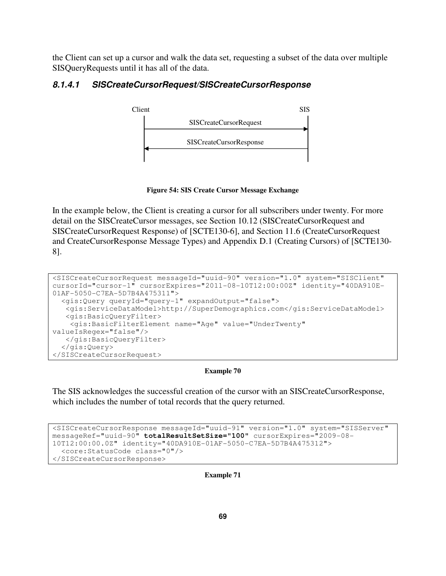the Client can set up a cursor and walk the data set, requesting a subset of the data over multiple SISQueryRequests until it has all of the data.

## **8.1.4.1 SISCreateCursorRequest/SISCreateCursorResponse**



**Figure 54: SIS Create Cursor Message Exchange** 

In the example below, the Client is creating a cursor for all subscribers under twenty. For more detail on the SISCreateCursor messages, see Section 10.12 (SISCreateCursorRequest and SISCreateCursorRequest Response) of [SCTE130-6], and Section 11.6 (CreateCursorRequest and CreateCursorResponse Message Types) and Appendix D.1 (Creating Cursors) of [SCTE130- 8].

```
<SISCreateCursorRequest messageId="uuid-90" version="1.0" system="SISClient" 
cursorId="cursor-1" cursorExpires="2011-08-10T12:00:00Z" identity="40DA910E-
01AF-5050-C7EA-5D7B4A475311"> 
   <gis:Query queryId="query-1" expandOutput="false"> 
    <gis:ServiceDataModel>http://SuperDemographics.com</gis:ServiceDataModel> 
    <gis:BasicQueryFilter> 
     <gis:BasicFilterElement name="Age" value="UnderTwenty" 
valueIsRegex="false"/> 
   </gis:BasicQueryFilter> 
   </gis:Query> 
</SISCreateCursorRequest>
```
**Example 70** 

The SIS acknowledges the successful creation of the cursor with an SISCreateCursorResponse, which includes the number of total records that the query returned.

```
<SISCreateCursorResponse messageId="uuid-91" version="1.0" system="SISServer" 
messageRef="uuid-90" totalResultSetSize="100" cursorExpires="2009-08-
10T12:00:00.0Z" identity="40DA910E-01AF-5050-C7EA-5D7B4A475312"> 
   <core:StatusCode class="0"/> 
</SISCreateCursorResponse>
```
**Example 71**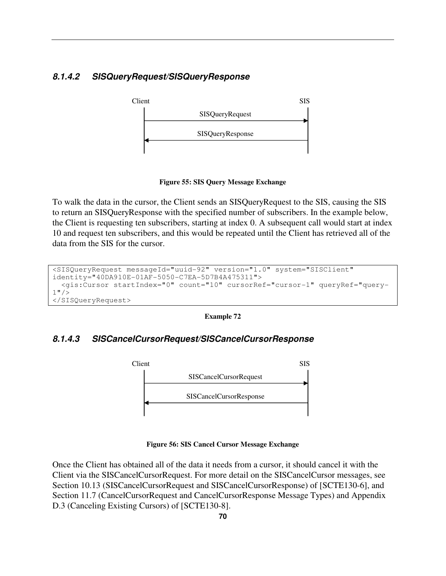# **8.1.4.2 SISQueryRequest/SISQueryResponse**



**Figure 55: SIS Query Message Exchange** 

To walk the data in the cursor, the Client sends an SISQueryRequest to the SIS, causing the SIS to return an SISQueryResponse with the specified number of subscribers. In the example below, the Client is requesting ten subscribers, starting at index 0. A subsequent call would start at index 10 and request ten subscribers, and this would be repeated until the Client has retrieved all of the data from the SIS for the cursor.

```
<SISQueryRequest messageId="uuid-92" version="1.0" system="SISClient" 
identity="40DA910E-01AF-5050-C7EA-5D7B4A475311"> 
   <gis:Cursor startIndex="0" count="10" cursorRef="cursor-1" queryRef="query-
1" />
</SISQueryRequest>
```


# **8.1.4.3 SISCancelCursorRequest/SISCancelCursorResponse**



**Figure 56: SIS Cancel Cursor Message Exchange** 

Once the Client has obtained all of the data it needs from a cursor, it should cancel it with the Client via the SISCancelCursorRequest. For more detail on the SISCancelCursor messages, see Section 10.13 (SISCancelCursorRequest and SISCancelCursorResponse) of [SCTE130-6], and Section 11.7 (CancelCursorRequest and CancelCursorResponse Message Types) and Appendix D.3 (Canceling Existing Cursors) of [SCTE130-8].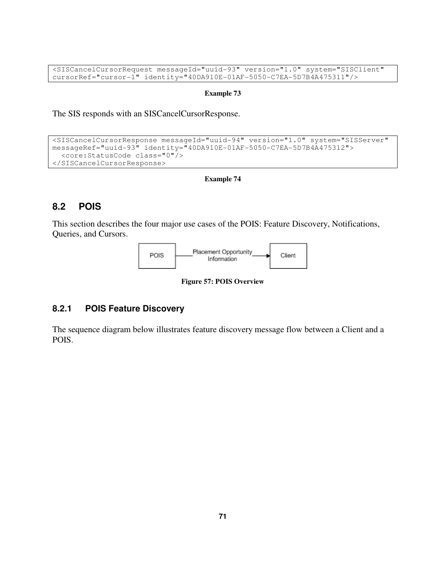<SISCancelCursorRequest messageId="uuid-93" version="1.0" system="SISClient" cursorRef="cursor-1" identity="40DA910E-01AF-5050-C7EA-5D7B4A475311"/>

#### **Example 73**

The SIS responds with an SISCancelCursorResponse.

```
<SISCancelCursorResponse messageId="uuid-94" version="1.0" system="SISServer" 
messageRef="uuid-93" identity="40DA910E-01AF-5050-C7EA-5D7B4A475312"> 
   <core:StatusCode class="0"/> 
</SISCancelCursorResponse>
```
### **Example 74**

# **8.2 POIS**

This section describes the four major use cases of the POIS: Feature Discovery, Notifications, Queries, and Cursors.



**Figure 57: POIS Overview** 

# **8.2.1 POIS Feature Discovery**

The sequence diagram below illustrates feature discovery message flow between a Client and a POIS.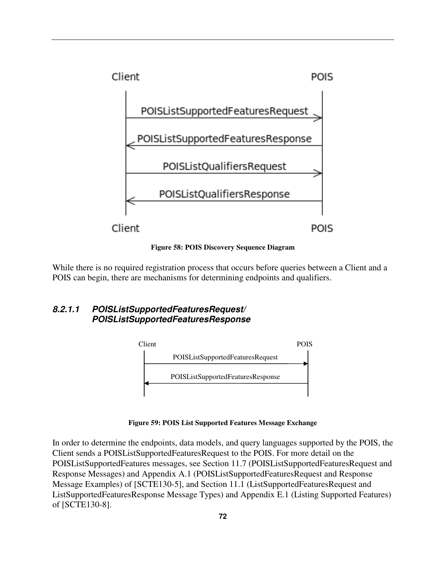

**Figure 58: POIS Discovery Sequence Diagram**

While there is no required registration process that occurs before queries between a Client and a POIS can begin, there are mechanisms for determining endpoints and qualifiers.

# **8.2.1.1 POISListSupportedFeaturesRequest/ POISListSupportedFeaturesResponse**



**Figure 59: POIS List Supported Features Message Exchange** 

In order to determine the endpoints, data models, and query languages supported by the POIS, the Client sends a POISListSupportedFeaturesRequest to the POIS. For more detail on the POISListSupportedFeatures messages, see Section 11.7 (POISListSupportedFeaturesRequest and Response Messages) and Appendix A.1 (POISListSupportedFeaturesRequest and Response Message Examples) of [SCTE130-5], and Section 11.1 (ListSupportedFeaturesRequest and ListSupportedFeaturesResponse Message Types) and Appendix E.1 (Listing Supported Features) of [SCTE130-8].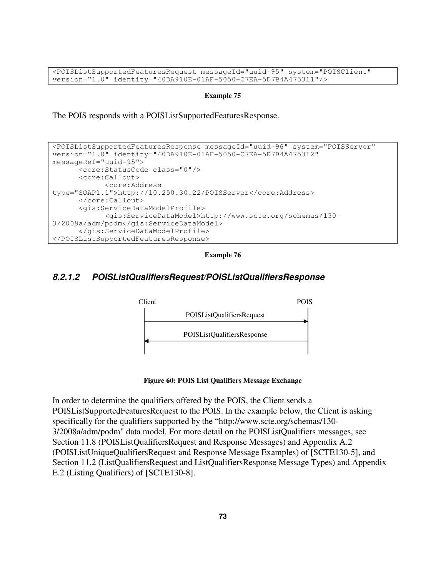<POISListSupportedFeaturesRequest messageId="uuid-95" system="POISClient" version="1.0" identity="40DA910E-01AF-5050-C7EA-5D7B4A475311"/>

### **Example 75**

The POIS responds with a POISListSupportedFeaturesResponse.

```
<POISListSupportedFeaturesResponse messageId="uuid-96" system="POISServer" 
version="1.0" identity="40DA910E-01AF-5050-C7EA-5D7B4A475312" 
messageRef="uuid-95"> 
       <core:StatusCode class="0"/> 
       <core:Callout> 
             <core:Address 
type="SOAP1.1">http://10.250.30.22/POISServer</core:Address> 
       </core:Callout> 
       <gis:ServiceDataModelProfile> 
             <gis:ServiceDataModel>http://www.scte.org/schemas/130-
3/2008a/adm/podm</gis:ServiceDataModel> 
       </gis:ServiceDataModelProfile> 
</POISListSupportedFeaturesResponse>
```
**Example 76** 

# **8.2.1.2 POISListQualifiersRequest/POISListQualifiersResponse**



**Figure 60: POIS List Qualifiers Message Exchange** 

In order to determine the qualifiers offered by the POIS, the Client sends a POISListSupportedFeaturesRequest to the POIS. In the example below, the Client is asking specifically for the qualifiers supported by the "http://www.scte.org/schemas/130- 3/2008a/adm/podm" data model. For more detail on the POISListQualifiers messages, see Section 11.8 (POISListQualifiersRequest and Response Messages) and Appendix A.2 (POISListUniqueQualifiersRequest and Response Message Examples) of [SCTE130-5], and Section 11.2 (ListQualifiersRequest and ListQualifiersResponse Message Types) and Appendix E.2 (Listing Qualifiers) of [SCTE130-8].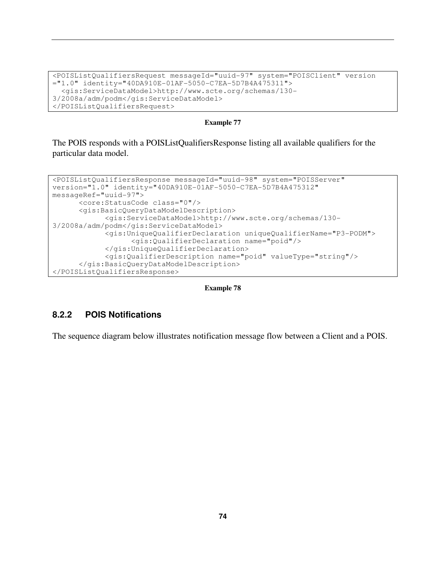```
<POISListQualifiersRequest messageId="uuid-97" system="POISClient" version 
="1.0" identity="40DA910E-01AF-5050-C7EA-5D7B4A475311"> 
   <gis:ServiceDataModel>http://www.scte.org/schemas/130-
3/2008a/adm/podm</gis:ServiceDataModel> 
</POISListQualifiersRequest>
```
The POIS responds with a POISListQualifiersResponse listing all available qualifiers for the particular data model.

```
<POISListQualifiersResponse messageId="uuid-98" system="POISServer" 
version="1.0" identity="40DA910E-01AF-5050-C7EA-5D7B4A475312" 
messageRef="uuid-97"> 
       <core:StatusCode class="0"/> 
       <gis:BasicQueryDataModelDescription> 
              <gis:ServiceDataModel>http://www.scte.org/schemas/130-
3/2008a/adm/podm</gis:ServiceDataModel> 
             <gis:UniqueQualifierDeclaration uniqueQualifierName="P3-PODM"> 
                    <gis:QualifierDeclaration name="poid"/> 
             </gis:UniqueQualifierDeclaration> 
             <gis:QualifierDescription name="poid" valueType="string"/> 
       </gis:BasicQueryDataModelDescription> 
</POISListQualifiersResponse>
```
**Example 78** 

# **8.2.2 POIS Notifications**

The sequence diagram below illustrates notification message flow between a Client and a POIS.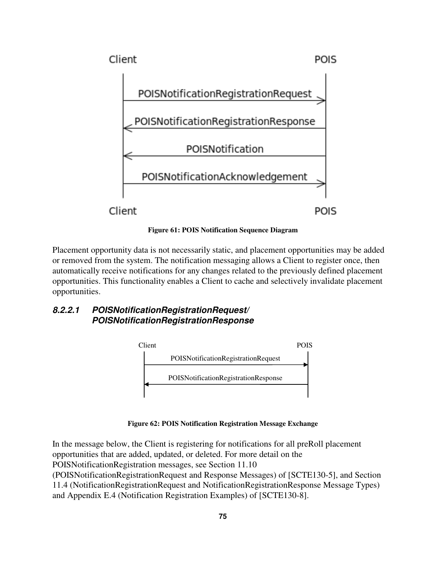

**Figure 61: POIS Notification Sequence Diagram** 

Placement opportunity data is not necessarily static, and placement opportunities may be added or removed from the system. The notification messaging allows a Client to register once, then automatically receive notifications for any changes related to the previously defined placement opportunities. This functionality enables a Client to cache and selectively invalidate placement opportunities.

# **8.2.2.1 POISNotificationRegistrationRequest/ POISNotificationRegistrationResponse**



**Figure 62: POIS Notification Registration Message Exchange** 

In the message below, the Client is registering for notifications for all preRoll placement opportunities that are added, updated, or deleted. For more detail on the POISNotificationRegistration messages, see Section 11.10

(POISNotificationRegistrationRequest and Response Messages) of [SCTE130-5], and Section 11.4 (NotificationRegistrationRequest and NotificationRegistrationResponse Message Types) and Appendix E.4 (Notification Registration Examples) of [SCTE130-8].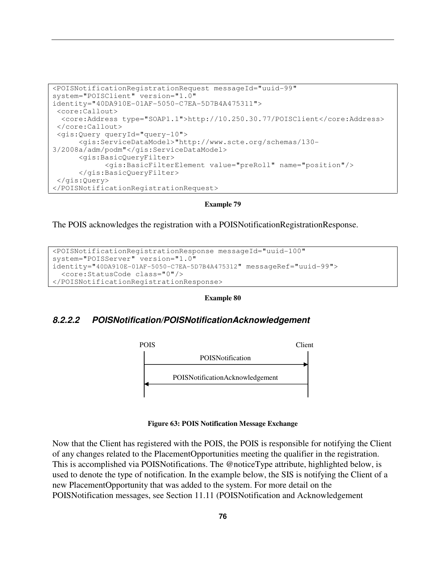```
<POISNotificationRegistrationRequest messageId="uuid-99" 
system="POISClient" version="1.0" 
identity="40DA910E-01AF-5050-C7EA-5D7B4A475311"> 
  <core:Callout> 
   <core:Address type="SOAP1.1">http://10.250.30.77/POISClient</core:Address> 
  </core:Callout> 
  <gis:Query queryId="query-10"> 
       <gis:ServiceDataModel>"http://www.scte.org/schemas/130-
3/2008a/adm/podm"</gis:ServiceDataModel> 
       <gis:BasicQueryFilter> 
             <gis:BasicFilterElement value="preRoll" name="position"/> 
       </gis:BasicQueryFilter> 
  </gis:Query> 
</POISNotificationRegistrationRequest>
```
The POIS acknowledges the registration with a POISNotificationRegistrationResponse.

```
<POISNotificationRegistrationResponse messageId="uuid-100" 
system="POISServer" version="1.0" 
identity="40DA910E-01AF-5050-C7EA-5D7B4A475312" messageRef="uuid-99"> 
   <core:StatusCode class="0"/> 
</POISNotificationRegistrationResponse>
```
### **Example 80**

## **8.2.2.2 POISNotification/POISNotificationAcknowledgement**



**Figure 63: POIS Notification Message Exchange** 

Now that the Client has registered with the POIS, the POIS is responsible for notifying the Client of any changes related to the PlacementOpportunities meeting the qualifier in the registration. This is accomplished via POISNotifications. The @noticeType attribute, highlighted below, is used to denote the type of notification. In the example below, the SIS is notifying the Client of a new PlacementOpportunity that was added to the system. For more detail on the POISNotification messages, see Section 11.11 (POISNotification and Acknowledgement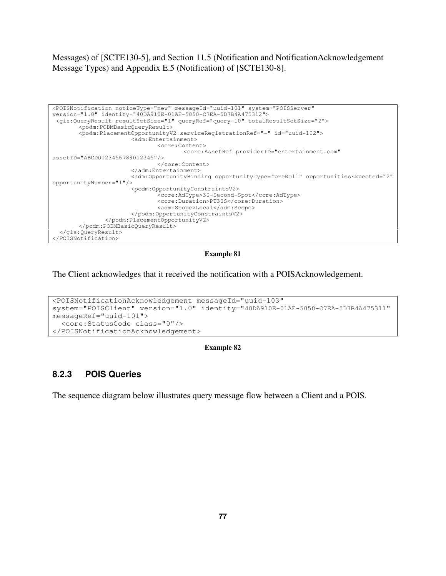Messages) of [SCTE130-5], and Section 11.5 (Notification and NotificationAcknowledgement Message Types) and Appendix E.5 (Notification) of [SCTE130-8].

```
<POISNotification noticeType="new" messageId="uuid-101" system="POISServer" 
version="1.0" identity="40DA910E-01AF-5050-C7EA-5D7B4A475312"> 
 <gis:QueryResult resultSetSize="1" queryRef="query-10" totalResultSetSize="2"> 
        <podm:PODMBasicQueryResult> 
        <podm:PlacementOpportunityV2 serviceRegistrationRef="-" id="uuid-102"> 
                        <adm:Entertainment> 
                                <core:Content> 
                                        <core:AssetRef providerID="entertainment.com" 
assetID="ABCD0123456789012345"/> 
                                </core:Content> 
                        </adm:Entertainment> 
                        <adm:OpportunityBinding opportunityType="preRoll" opportunitiesExpected="2" 
opportunityNumber="1"/> 
                        <podm:OpportunityConstraintsV2> 
                                <core:AdType>30-Second-Spot</core:AdType> 
                                <core:Duration>PT30S</core:Duration> 
                               <adm:Scope>Local</adm:Scope>
                        </podm:OpportunityConstraintsV2> 
                </podm:PlacementOpportunityV2> 
        </podm:PODMBasicQueryResult> 
   </gis:QueryResult> 
</POISNotification>
```
### **Example 81**

The Client acknowledges that it received the notification with a POISAcknowledgement.

```
<POISNotificationAcknowledgement messageId="uuid-103" 
system="POISClient" version="1.0" identity="40DA910E-01AF-5050-C7EA-5D7B4A475311" 
messageRef="uuid-101"> 
   <core:StatusCode class="0"/> 
</POISNotificationAcknowledgement>
```
### **Example 82**

## **8.2.3 POIS Queries**

The sequence diagram below illustrates query message flow between a Client and a POIS.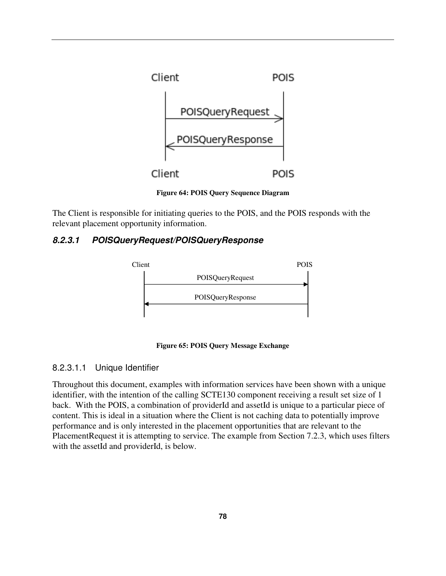

**Figure 64: POIS Query Sequence Diagram** 

The Client is responsible for initiating queries to the POIS, and the POIS responds with the relevant placement opportunity information.

# **8.2.3.1 POISQueryRequest/POISQueryResponse**



**Figure 65: POIS Query Message Exchange** 

## 8.2.3.1.1 Unique Identifier

Throughout this document, examples with information services have been shown with a unique identifier, with the intention of the calling SCTE130 component receiving a result set size of 1 back. With the POIS, a combination of providerId and assetId is unique to a particular piece of content. This is ideal in a situation where the Client is not caching data to potentially improve performance and is only interested in the placement opportunities that are relevant to the PlacementRequest it is attempting to service. The example from Section 7.2.3, which uses filters with the assetId and providerId, is below.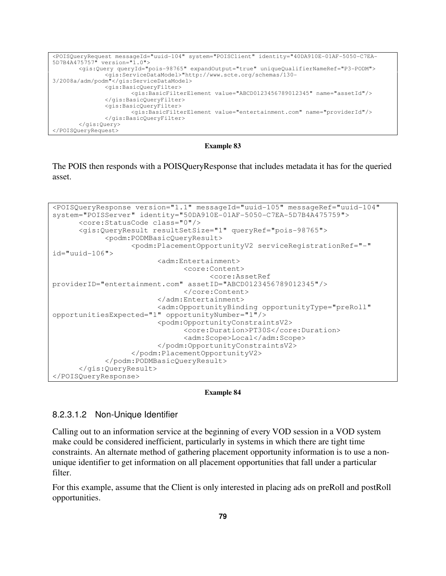```
<POISQueryRequest messageId="uuid-104" system="POISClient" identity="40DA910E-01AF-5050-C7EA-
5D7B4A475757" version="1.0"> 
        <gis:Query queryId="pois-98765" expandOutput="true" uniqueQualifierNameRef="P3-PODM"> 
                <gis:ServiceDataModel>"http://www.scte.org/schemas/130-
3/2008a/adm/podm"</gis:ServiceDataModel> 
                <gis:BasicQueryFilter> 
                        <gis:BasicFilterElement value="ABCD0123456789012345" name="assetId"/> 
                </gis:BasicQueryFilter> 
                <gis:BasicQueryFilter> 
                        <gis:BasicFilterElement value="entertainment.com" name="providerId"/> 
                </gis:BasicQueryFilter> 
        </gis:Query> 
</POISQueryRequest>
```
The POIS then responds with a POISQueryResponse that includes metadata it has for the queried asset.

```
<POISQueryResponse version="1.1" messageId="uuid-105" messageRef="uuid-104" 
system="POISServer" identity="50DA910E-01AF-5050-C7EA-5D7B4A475759"> 
       <core:StatusCode class="0"/> 
       <gis:QueryResult resultSetSize="1" queryRef="pois-98765"> 
             <podm:PODMBasicQueryResult> 
                    <podm:PlacementOpportunityV2 serviceRegistrationRef="-" 
id="uuid-106"> 
                          <adm:Entertainment> 
                                <core:Content> 
                                      <core:AssetRef 
providerID="entertainment.com" assetID="ABCD0123456789012345"/> 
                                </core:Content> 
                          </adm:Entertainment> 
                          <adm:OpportunityBinding opportunityType="preRoll" 
opportunitiesExpected="1" opportunityNumber="1"/> 
                          <podm:OpportunityConstraintsV2> 
                                 <core:Duration>PT30S</core:Duration> 
                                 <adm:Scope>Local</adm:Scope> 
                          </podm:OpportunityConstraintsV2> 
                    </podm:PlacementOpportunityV2> 
             </podm:PODMBasicQueryResult> 
       </gis:QueryResult> 
</POISQueryResponse>
```
### **Example 84**

## 8.2.3.1.2 Non-Unique Identifier

Calling out to an information service at the beginning of every VOD session in a VOD system make could be considered inefficient, particularly in systems in which there are tight time constraints. An alternate method of gathering placement opportunity information is to use a nonunique identifier to get information on all placement opportunities that fall under a particular filter.

For this example, assume that the Client is only interested in placing ads on preRoll and postRoll opportunities.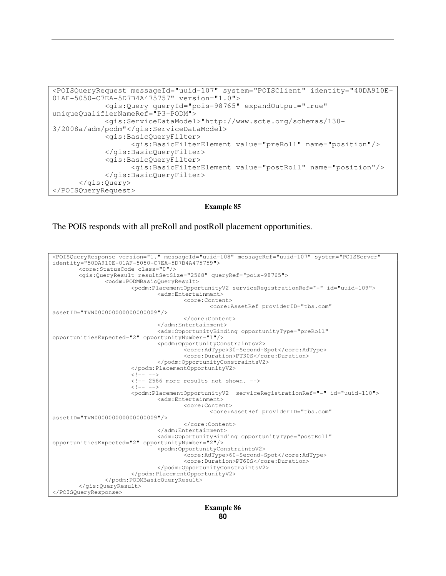```
<POISQueryRequest messageId="uuid-107" system="POISClient" identity="40DA910E-
01AF-5050-C7EA-5D7B4A475757" version="1.0"> 
              <gis:Query queryId="pois-98765" expandOutput="true" 
uniqueQualifierNameRef="P3-PODM"> 
             <gis:ServiceDataModel>"http://www.scte.org/schemas/130-
3/2008a/adm/podm"</gis:ServiceDataModel> 
             <gis:BasicQueryFilter> 
                    <gis:BasicFilterElement value="preRoll" name="position"/> 
             </gis:BasicQueryFilter> 
             <gis:BasicQueryFilter> 
                    <gis:BasicFilterElement value="postRoll" name="position"/> 
             </gis:BasicQueryFilter>
       </gis:Query> 
</POISQueryRequest>
```
The POIS responds with all preRoll and postRoll placement opportunities.

```
<POISQueryResponse version="1." messageId="uuid-108" messageRef="uuid-107" system="POISServer" 
identity="50DA910E-01AF-5050-C7EA-5D7B4A475759"> 
         <core:StatusCode class="0"/> 
         <gis:QueryResult resultSetSize="2568" queryRef="pois-98765"> 
                 <podm:PODMBasicQueryResult> 
                         <podm:PlacementOpportunityV2 serviceRegistrationRef="-" id="uuid-109"> 
                                 <adm:Entertainment> 
                                         <core:Content> 
                                                 <core:AssetRef providerID="tbs.com" 
assetID="TVN000000000000000009"/> 
                                         </core:Content> 
                                 </adm:Entertainment> 
                                 <adm:OpportunityBinding opportunityType="preRoll" 
opportunitiesExpected="2" opportunityNumber="1"/> 
                                 <podm:OpportunityConstraintsV2> 
                                         <core:AdType>30-Second-Spot</core:AdType> 
                                         <core:Duration>PT30S</core:Duration> 
                                 </podm:OpportunityConstraintsV2> 
                         </podm:PlacementOpportunityV2> 
                        21 - - - - <!-- 2566 more results not shown. --> 
                        \langle!-- -->
                         <podm:PlacementOpportunityV2 serviceRegistrationRef="-" id="uuid-110"> 
                                 <adm:Entertainment> 
                                        <core:Content> 
                                                 <core:AssetRef providerID="tbs.com" 
assetID="TVN000000000000000009"/> 
                                         </core:Content> 
                                 </adm:Entertainment> 
                                 <adm:OpportunityBinding opportunityType="postRoll" 
opportunitiesExpected="2" opportunityNumber="2"/> 
                                 <podm:OpportunityConstraintsV2> 
                                         <core:AdType>60-Second-Spot</core:AdType> 
                                         <core:Duration>PT60S</core:Duration> 
                                 </podm:OpportunityConstraintsV2> 
                         </podm:PlacementOpportunityV2> 
                 </podm:PODMBasicQueryResult> 
         </gis:QueryResult> 
</POISQueryResponse>
```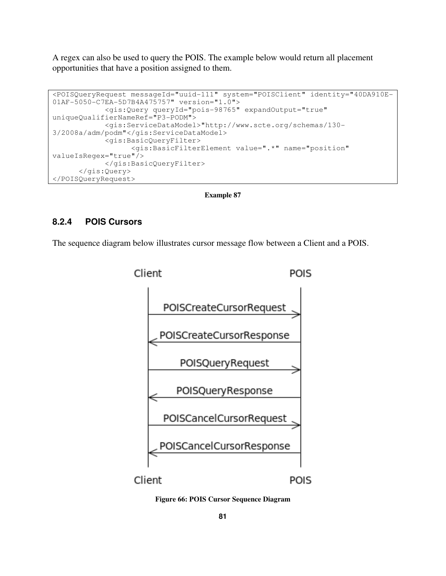A regex can also be used to query the POIS. The example below would return all placement opportunities that have a position assigned to them.

```
<POISQueryRequest messageId="uuid-111" system="POISClient" identity="40DA910E-
01AF-5050-C7EA-5D7B4A475757" version="1.0"> 
             <gis:Query queryId="pois-98765" expandOutput="true" 
uniqueQualifierNameRef="P3-PODM"> 
             <gis:ServiceDataModel>"http://www.scte.org/schemas/130-
3/2008a/adm/podm"</gis:ServiceDataModel> 
             <gis:BasicQueryFilter> 
                   <gis:BasicFilterElement value=".*" name="position" 
valueIsRegex="true"/> 
             </gis:BasicQueryFilter> 
       </gis:Query> 
</POISQueryRequest>
```
**Example 87** 

## **8.2.4 POIS Cursors**

The sequence diagram below illustrates cursor message flow between a Client and a POIS.



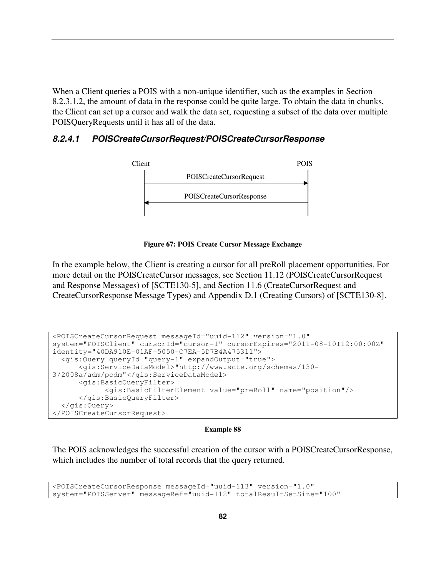When a Client queries a POIS with a non-unique identifier, such as the examples in Section 8.2.3.1.2, the amount of data in the response could be quite large. To obtain the data in chunks, the Client can set up a cursor and walk the data set, requesting a subset of the data over multiple POISQueryRequests until it has all of the data.

# **8.2.4.1 POISCreateCursorRequest/POISCreateCursorResponse**



**Figure 67: POIS Create Cursor Message Exchange** 

In the example below, the Client is creating a cursor for all preRoll placement opportunities. For more detail on the POISCreateCursor messages, see Section 11.12 (POISCreateCursorRequest and Response Messages) of [SCTE130-5], and Section 11.6 (CreateCursorRequest and CreateCursorResponse Message Types) and Appendix D.1 (Creating Cursors) of [SCTE130-8].

```
<POISCreateCursorRequest messageId="uuid-112" version="1.0" 
system="POISClient" cursorId="cursor-1" cursorExpires="2011-08-10T12:00:00Z" 
identity="40DA910E-01AF-5050-C7EA-5D7B4A475311"> 
   <gis:Query queryId="query-1" expandOutput="true"> 
       <gis:ServiceDataModel>"http://www.scte.org/schemas/130-
3/2008a/adm/podm"</gis:ServiceDataModel> 
       <gis:BasicQueryFilter> 
             <gis:BasicFilterElement value="preRoll" name="position"/> 
       </gis:BasicQueryFilter> 
   </gis:Query> 
</POISCreateCursorRequest>
```
### **Example 88**

The POIS acknowledges the successful creation of the cursor with a POISCreateCursorResponse, which includes the number of total records that the query returned.

```
<POISCreateCursorResponse messageId="uuid-113" version="1.0" 
system="POISServer" messageRef="uuid-112" totalResultSetSize="100"
```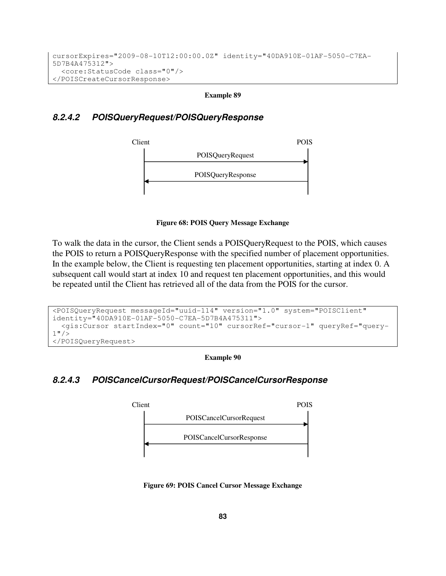```
cursorExpires="2009-08-10T12:00:00.0Z" identity="40DA910E-01AF-5050-C7EA-
5D7B4A475312"> 
   <core:StatusCode class="0"/> 
</POISCreateCursorResponse>
```
# **8.2.4.2 POISQueryRequest/POISQueryResponse**



**Figure 68: POIS Query Message Exchange** 

To walk the data in the cursor, the Client sends a POISQueryRequest to the POIS, which causes the POIS to return a POISQueryResponse with the specified number of placement opportunities. In the example below, the Client is requesting ten placement opportunities, starting at index 0. A subsequent call would start at index 10 and request ten placement opportunities, and this would be repeated until the Client has retrieved all of the data from the POIS for the cursor.

```
<POISQueryRequest messageId="uuid-114" version="1.0" system="POISClient" 
identity="40DA910E-01AF-5050-C7EA-5D7B4A475311"> 
   <gis:Cursor startIndex="0" count="10" cursorRef="cursor-1" queryRef="query-
1" />
</POISQueryRequest>
```
**Example 90** 

# **8.2.4.3 POISCancelCursorRequest/POISCancelCursorResponse**



**Figure 69: POIS Cancel Cursor Message Exchange**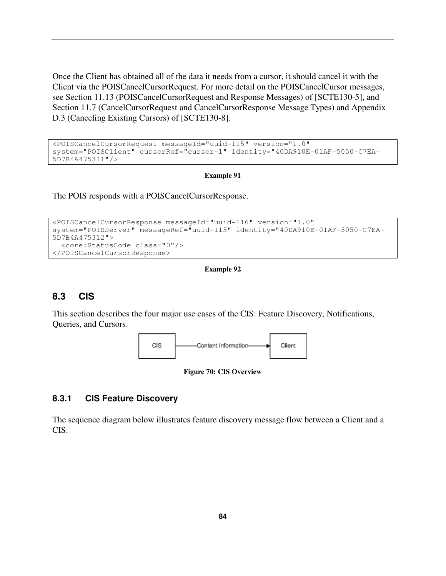Once the Client has obtained all of the data it needs from a cursor, it should cancel it with the Client via the POISCancelCursorRequest. For more detail on the POISCancelCursor messages, see Section 11.13 (POISCancelCursorRequest and Response Messages) of [SCTE130-5], and Section 11.7 (CancelCursorRequest and CancelCursorResponse Message Types) and Appendix D.3 (Canceling Existing Cursors) of [SCTE130-8].

```
<POISCancelCursorRequest messageId="uuid-115" version="1.0" 
system="POISClient" cursorRef="cursor-1" identity="40DA910E-01AF-5050-C7EA-
5D7B4A475311"/>
```
### **Example 91**

The POIS responds with a POISCancelCursorResponse.

```
<POISCancelCursorResponse messageId="uuid-116" version="1.0" 
system="POISServer" messageRef="uuid-115" identity="40DA910E-01AF-5050-C7EA-
5D7B4A475312"> 
   <core:StatusCode class="0"/> 
</POISCancelCursorResponse>
```
## **Example 92**

# **8.3 CIS**

This section describes the four major use cases of the CIS: Feature Discovery, Notifications, Queries, and Cursors.



**Figure 70: CIS Overview** 

## **8.3.1 CIS Feature Discovery**

The sequence diagram below illustrates feature discovery message flow between a Client and a CIS.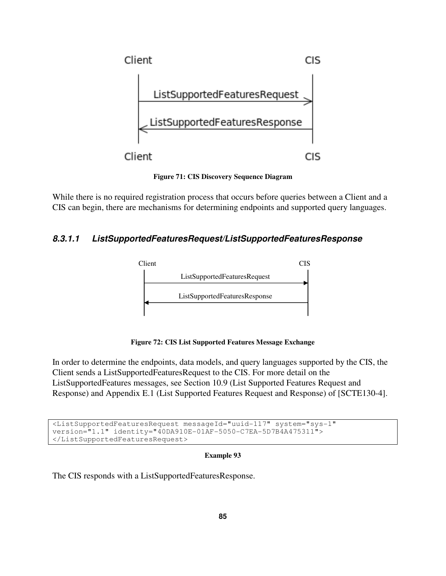

**Figure 71: CIS Discovery Sequence Diagram**

While there is no required registration process that occurs before queries between a Client and a CIS can begin, there are mechanisms for determining endpoints and supported query languages.

# **8.3.1.1 ListSupportedFeaturesRequest/ListSupportedFeaturesResponse**



**Figure 72: CIS List Supported Features Message Exchange** 

In order to determine the endpoints, data models, and query languages supported by the CIS, the Client sends a ListSupportedFeaturesRequest to the CIS. For more detail on the ListSupportedFeatures messages, see Section 10.9 (List Supported Features Request and Response) and Appendix E.1 (List Supported Features Request and Response) of [SCTE130-4].

<ListSupportedFeaturesRequest messageId="uuid-117" system="sys-1" version="1.1" identity="40DA910E-01AF-5050-C7EA-5D7B4A475311"> </ListSupportedFeaturesRequest>

## **Example 93**

The CIS responds with a ListSupportedFeaturesResponse.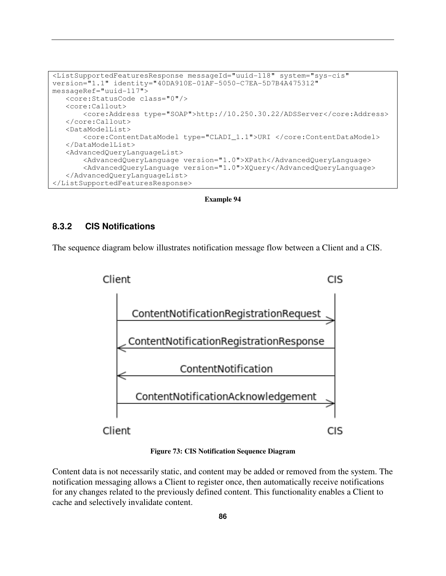```
<ListSupportedFeaturesResponse messageId="uuid-118" system="sys-cis" 
version="1.1" identity="40DA910E-01AF-5050-C7EA-5D7B4A475312" 
messageRef="uuid-117"> 
    <core:StatusCode class="0"/> 
    <core:Callout> 
        <core:Address type="SOAP">http://10.250.30.22/ADSServer</core:Address> 
    </core:Callout> 
    <DataModelList> 
        <core:ContentDataModel type="CLADI_1.1">URI </core:ContentDataModel> 
    </DataModelList> 
    <AdvancedQueryLanguageList> 
        <AdvancedQueryLanguage version="1.0">XPath</AdvancedQueryLanguage> 
        <AdvancedQueryLanguage version="1.0">XQuery</AdvancedQueryLanguage> 
    </AdvancedQueryLanguageList> 
</ListSupportedFeaturesResponse>
```
## **8.3.2 CIS Notifications**

The sequence diagram below illustrates notification message flow between a Client and a CIS.



**Figure 73: CIS Notification Sequence Diagram** 

Content data is not necessarily static, and content may be added or removed from the system. The notification messaging allows a Client to register once, then automatically receive notifications for any changes related to the previously defined content. This functionality enables a Client to cache and selectively invalidate content.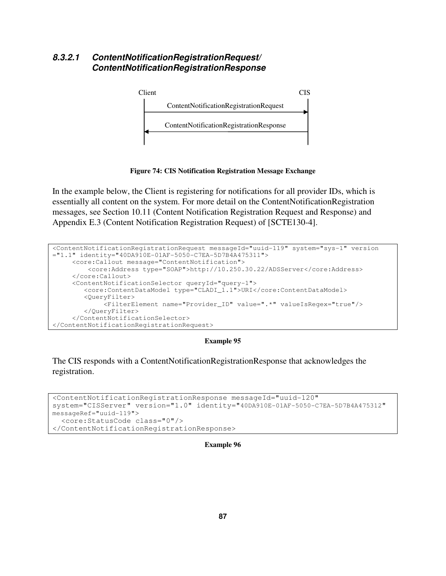# **8.3.2.1 ContentNotificationRegistrationRequest/ ContentNotificationRegistrationResponse**



**Figure 74: CIS Notification Registration Message Exchange** 

In the example below, the Client is registering for notifications for all provider IDs, which is essentially all content on the system. For more detail on the ContentNotificationRegistration messages, see Section 10.11 (Content Notification Registration Request and Response) and Appendix E.3 (Content Notification Registration Request) of [SCTE130-4].

```
<ContentNotificationRegistrationRequest messageId="uuid-119" system="sys-1" version 
="1.1" identity="40DA910E-01AF-5050-C7EA-5D7B4A475311"> 
      <core:Callout message="ContentNotification"> 
          <core:Address type="SOAP">http://10.250.30.22/ADSServer</core:Address> 
      </core:Callout> 
      <ContentNotificationSelector queryId="query-1"> 
         <core:ContentDataModel type="CLADI_1.1">URI</core:ContentDataModel> 
         <QueryFilter> 
              <FilterElement name="Provider_ID" value=".*" valueIsRegex="true"/> 
         </QueryFilter> 
      </ContentNotificationSelector> 
</ContentNotificationRegistrationRequest>
```
## **Example 95**

The CIS responds with a ContentNotificationRegistrationResponse that acknowledges the registration.

```
<ContentNotificationRegistrationResponse messageId="uuid-120" 
system="CISServer" version="1.0" identity="40DA910E-01AF-5050-C7EA-5D7B4A475312" 
messageRef="uuid-119"> 
   <core:StatusCode class="0"/> 
</ContentNotificationRegistrationResponse>
```
#### **Example 96**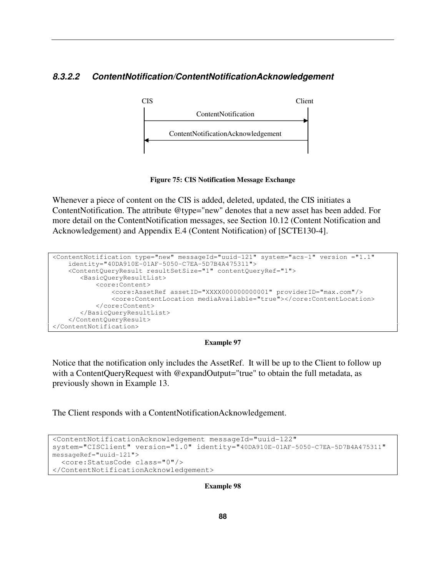# **8.3.2.2 ContentNotification/ContentNotificationAcknowledgement**



**Figure 75: CIS Notification Message Exchange** 

Whenever a piece of content on the CIS is added, deleted, updated, the CIS initiates a ContentNotification. The attribute @type="new" denotes that a new asset has been added. For more detail on the ContentNotification messages, see Section 10.12 (Content Notification and Acknowledgement) and Appendix E.4 (Content Notification) of [SCTE130-4].

```
<ContentNotification type="new" messageId="uuid-121" system="acs-1" version ="1.1" 
     identity="40DA910E-01AF-5050-C7EA-5D7B4A475311"> 
     <ContentQueryResult resultSetSize="1" contentQueryRef="1"> 
        <BasicQueryResultList> 
            <core:Content> 
                <core:AssetRef assetID="XXXX000000000001" providerID="max.com"/> 
                <core:ContentLocation mediaAvailable="true"></core:ContentLocation> 
            </core:Content> 
        </BasicQueryResultList> 
     </ContentQueryResult> 
</ContentNotification>
```
## **Example 97**

Notice that the notification only includes the AssetRef. It will be up to the Client to follow up with a ContentQueryRequest with @expandOutput="true" to obtain the full metadata, as previously shown in Example 13.

The Client responds with a ContentNotificationAcknowledgement.

```
<ContentNotificationAcknowledgement messageId="uuid-122" 
system="CISClient" version="1.0" identity="40DA910E-01AF-5050-C7EA-5D7B4A475311" 
messageRef="uuid-121"> 
   <core:StatusCode class="0"/> 
</ContentNotificationAcknowledgement>
```
**Example 98**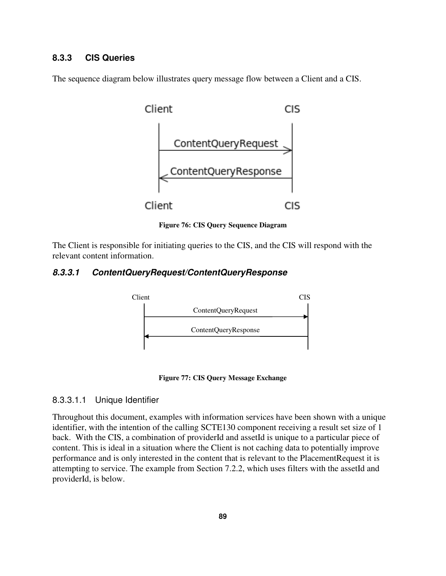# **8.3.3 CIS Queries**

The sequence diagram below illustrates query message flow between a Client and a CIS.



**Figure 76: CIS Query Sequence Diagram** 

The Client is responsible for initiating queries to the CIS, and the CIS will respond with the relevant content information.

# **8.3.3.1 ContentQueryRequest/ContentQueryResponse**



**Figure 77: CIS Query Message Exchange** 

## 8.3.3.1.1 Unique Identifier

Throughout this document, examples with information services have been shown with a unique identifier, with the intention of the calling SCTE130 component receiving a result set size of 1 back. With the CIS, a combination of providerId and assetId is unique to a particular piece of content. This is ideal in a situation where the Client is not caching data to potentially improve performance and is only interested in the content that is relevant to the PlacementRequest it is attempting to service. The example from Section 7.2.2, which uses filters with the assetId and providerId, is below.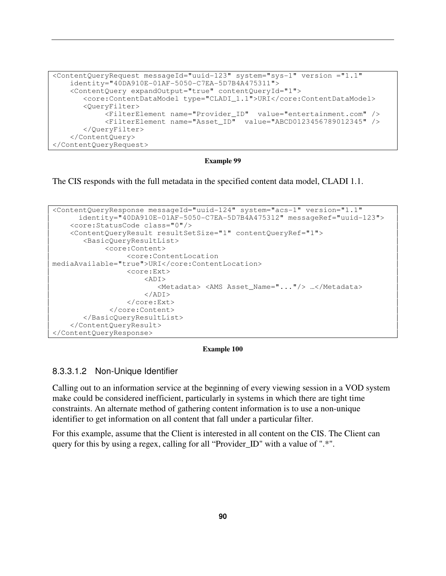```
<ContentQueryRequest messageId="uuid-123" system="sys-1" version ="1.1" 
     identity="40DA910E-01AF-5050-C7EA-5D7B4A475311"> 
     <ContentQuery expandOutput="true" contentQueryId="1"> 
        <core:ContentDataModel type="CLADI_1.1">URI</core:ContentDataModel> 
        <QueryFilter> 
             <FilterElement name="Provider_ID" value="entertainment.com" /> 
             <FilterElement name="Asset_ID" value="ABCD0123456789012345" /> 
        </QueryFilter> 
     </ContentQuery> 
</ContentQueryRequest>
```
The CIS responds with the full metadata in the specified content data model, CLADI 1.1.

```
<ContentQueryResponse messageId="uuid-124" system="acs-1" version="1.1" 
       identity="40DA910E-01AF-5050-C7EA-5D7B4A475312" messageRef="uuid-123"> 
     <core:StatusCode class="0"/> 
     <ContentQueryResult resultSetSize="1" contentQueryRef="1"> 
        <BasicQueryResultList> 
              <core:Content> 
                   <core:ContentLocation 
mediaAvailable="true">URI</core:ContentLocation> 
                   <core:Ext> 
                      <ADT> <Metadata> <AMS Asset_Name="..."/> …</Metadata> 
                       </ADI> 
                   </core:Ext> 
               </core:Content> 
        </BasicQueryResultList> 
     </ContentQueryResult> 
</ContentQueryResponse>
```
### **Example 100**

## 8.3.3.1.2 Non-Unique Identifier

Calling out to an information service at the beginning of every viewing session in a VOD system make could be considered inefficient, particularly in systems in which there are tight time constraints. An alternate method of gathering content information is to use a non-unique identifier to get information on all content that fall under a particular filter.

For this example, assume that the Client is interested in all content on the CIS. The Client can query for this by using a regex, calling for all "Provider\_ID" with a value of ".\*".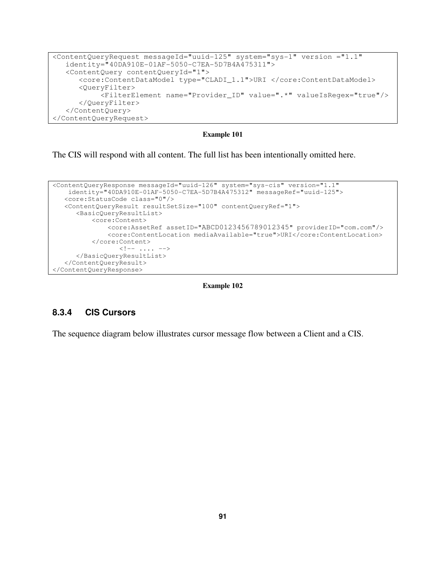```
<ContentQueryRequest messageId="uuid-125" system="sys-1" version ="1.1" 
    identity="40DA910E-01AF-5050-C7EA-5D7B4A475311"> 
    <ContentQuery contentQueryId="1"> 
       <core:ContentDataModel type="CLADI_1.1">URI </core:ContentDataModel> 
       <QueryFilter> 
            <FilterElement name="Provider_ID" value=".*" valueIsRegex="true"/> 
       </QueryFilter> 
    </ContentQuery> 
</ContentQueryRequest>
```
The CIS will respond with all content. The full list has been intentionally omitted here.

```
<ContentQueryResponse messageId="uuid-126" system="sys-cis" version="1.1" 
    identity="40DA910E-01AF-5050-C7EA-5D7B4A475312" messageRef="uuid-125"> 
    <core:StatusCode class="0"/> 
    <ContentQueryResult resultSetSize="100" contentQueryRef="1"> 
       <BasicQueryResultList> 
           <core:Content> 
                <core:AssetRef assetID="ABCD0123456789012345" providerID="com.com"/> 
                <core:ContentLocation mediaAvailable="true">URI</core:ContentLocation> 
            </core:Content> 
                  \langle \cdot | -- \cdot \ldots \cdot -- \rangle </BasicQueryResultList> 
    </ContentQueryResult> 
</ContentQueryResponse>
```
#### **Example 102**

## **8.3.4 CIS Cursors**

The sequence diagram below illustrates cursor message flow between a Client and a CIS.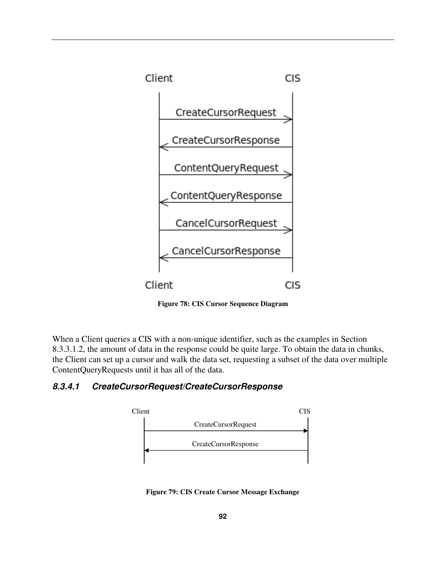

**Figure 78: CIS Cursor Sequence Diagram** 

When a Client queries a CIS with a non-unique identifier, such as the examples in Section 8.3.3.1.2, the amount of data in the response could be quite large. To obtain the data in chunks, the Client can set up a cursor and walk the data set, requesting a subset of the data over multiple ContentQueryRequests until it has all of the data.

# **8.3.4.1 CreateCursorRequest/CreateCursorResponse**



**Figure 79: CIS Create Cursor Message Exchange**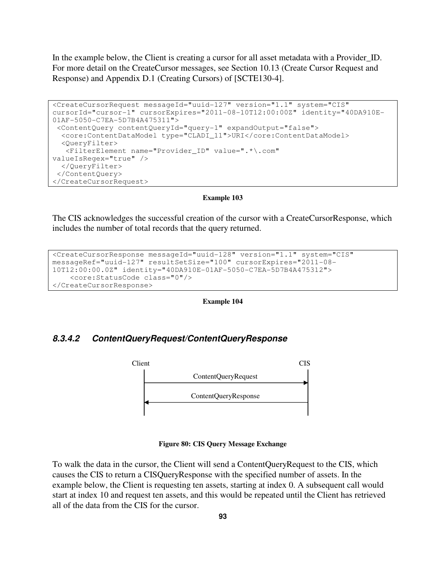In the example below, the Client is creating a cursor for all asset metadata with a Provider ID. For more detail on the CreateCursor messages, see Section 10.13 (Create Cursor Request and Response) and Appendix D.1 (Creating Cursors) of [SCTE130-4].

```
<CreateCursorRequest messageId="uuid-127" version="1.1" system="CIS" 
cursorId="cursor-1" cursorExpires="2011-08-10T12:00:00Z" identity="40DA910E-
01AF-5050-C7EA-5D7B4A475311"> 
  <ContentQuery contentQueryId="query-1" expandOutput="false"> 
   <core:ContentDataModel type="CLADI_11">URI</core:ContentDataModel> 
   <QueryFilter> 
    <FilterElement name="Provider_ID" value=".*\.com" 
valueIsRegex="true" /> 
   </QueryFilter> 
 </ContentQuery> 
</CreateCursorRequest>
```
### **Example 103**

The CIS acknowledges the successful creation of the cursor with a CreateCursorResponse, which includes the number of total records that the query returned.

```
<CreateCursorResponse messageId="uuid-128" version="1.1" system="CIS" 
messageRef="uuid-127" resultSetSize="100" cursorExpires="2011-08-
10T12:00:00.0Z" identity="40DA910E-01AF-5050-C7EA-5D7B4A475312"> 
     <core:StatusCode class="0"/> 
</CreateCursorResponse>
```
**Example 104** 

## **8.3.4.2 ContentQueryRequest/ContentQueryResponse**



**Figure 80: CIS Query Message Exchange** 

To walk the data in the cursor, the Client will send a ContentQueryRequest to the CIS, which causes the CIS to return a CISQueryResponse with the specified number of assets. In the example below, the Client is requesting ten assets, starting at index 0. A subsequent call would start at index 10 and request ten assets, and this would be repeated until the Client has retrieved all of the data from the CIS for the cursor.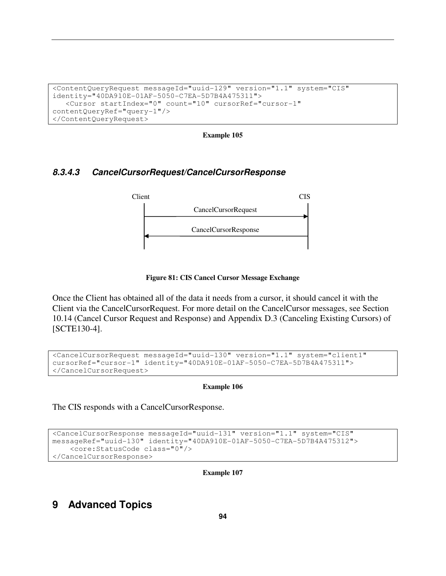```
<ContentQueryRequest messageId="uuid-129" version="1.1" system="CIS" 
identity="40DA910E-01AF-5050-C7EA-5D7B4A475311"> 
    <Cursor startIndex="0" count="10" cursorRef="cursor-1" 
contentQueryRef="query-1"/> 
</ContentQueryRequest>
```
# **8.3.4.3 CancelCursorRequest/CancelCursorResponse**



### **Figure 81: CIS Cancel Cursor Message Exchange**

Once the Client has obtained all of the data it needs from a cursor, it should cancel it with the Client via the CancelCursorRequest. For more detail on the CancelCursor messages, see Section 10.14 (Cancel Cursor Request and Response) and Appendix D.3 (Canceling Existing Cursors) of [SCTE130-4].

```
<CancelCursorRequest messageId="uuid-130" version="1.1" system="client1" 
cursorRef="cursor-1" identity="40DA910E-01AF-5050-C7EA-5D7B4A475311"> 
</CancelCursorRequest>
```
### **Example 106**

The CIS responds with a CancelCursorResponse.

```
<CancelCursorResponse messageId="uuid-131" version="1.1" system="CIS" 
messageRef="uuid-130" identity="40DA910E-01AF-5050-C7EA-5D7B4A475312"> 
     <core:StatusCode class="0"/> 
</CancelCursorResponse>
```
**Example 107** 

# **9 Advanced Topics**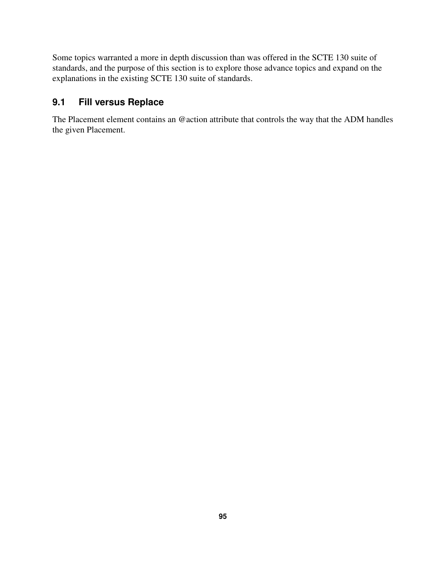Some topics warranted a more in depth discussion than was offered in the SCTE 130 suite of standards, and the purpose of this section is to explore those advance topics and expand on the explanations in the existing SCTE 130 suite of standards.

# **9.1 Fill versus Replace**

The Placement element contains an @action attribute that controls the way that the ADM handles the given Placement.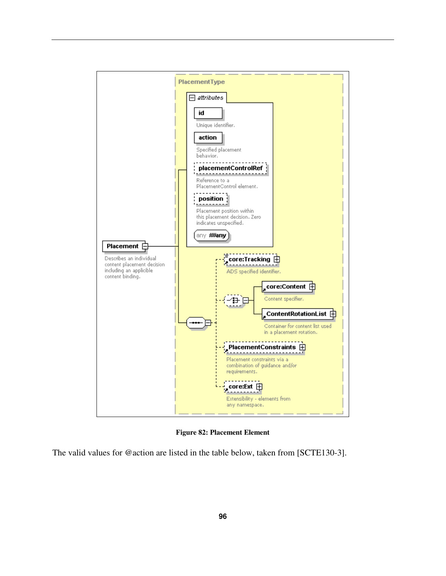

**Figure 82: Placement Element** 

The valid values for @action are listed in the table below, taken from [SCTE130-3].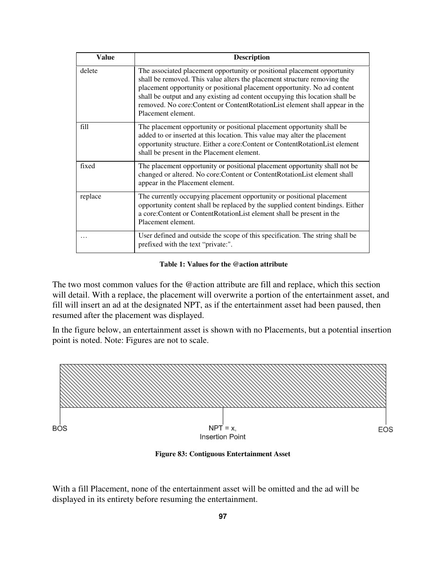| <b>Value</b> | <b>Description</b>                                                                                                                                                                                                                                                                                                                                                                                                       |
|--------------|--------------------------------------------------------------------------------------------------------------------------------------------------------------------------------------------------------------------------------------------------------------------------------------------------------------------------------------------------------------------------------------------------------------------------|
| delete       | The associated placement opportunity or positional placement opportunity<br>shall be removed. This value alters the placement structure removing the<br>placement opportunity or positional placement opportunity. No ad content<br>shall be output and any existing ad content occupying this location shall be<br>removed. No core: Content or Content Rotation List element shall appear in the<br>Placement element. |
| fill         | The placement opportunity or positional placement opportunity shall be<br>added to or inserted at this location. This value may alter the placement<br>opportunity structure. Either a core: Content or ContentRotationList element<br>shall be present in the Placement element.                                                                                                                                        |
| fixed        | The placement opportunity or positional placement opportunity shall not be<br>changed or altered. No core: Content or Content Rotation List element shall<br>appear in the Placement element.                                                                                                                                                                                                                            |
| replace      | The currently occupying placement opportunity or positional placement<br>opportunity content shall be replaced by the supplied content bindings. Either<br>a core:Content or ContentRotationList element shall be present in the<br>Placement element.                                                                                                                                                                   |
|              | User defined and outside the scope of this specification. The string shall be<br>prefixed with the text "private:".                                                                                                                                                                                                                                                                                                      |

## **Table 1: Values for the @action attribute**

The two most common values for the @action attribute are fill and replace, which this section will detail. With a replace, the placement will overwrite a portion of the entertainment asset, and fill will insert an ad at the designated NPT, as if the entertainment asset had been paused, then resumed after the placement was displayed.

In the figure below, an entertainment asset is shown with no Placements, but a potential insertion point is noted. Note: Figures are not to scale.



**Figure 83: Contiguous Entertainment Asset** 

With a fill Placement, none of the entertainment asset will be omitted and the ad will be displayed in its entirety before resuming the entertainment.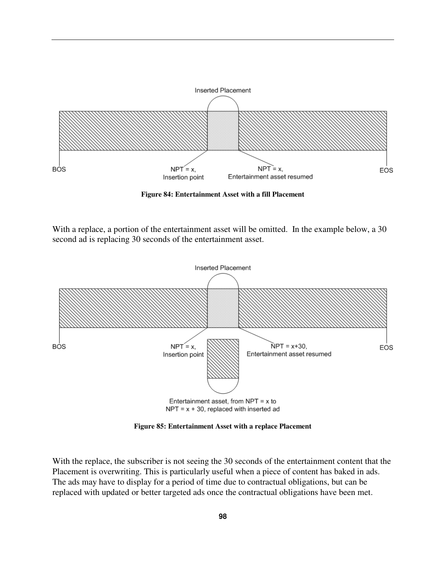

**Figure 84: Entertainment Asset with a fill Placement** 

With a replace, a portion of the entertainment asset will be omitted. In the example below, a 30 second ad is replacing 30 seconds of the entertainment asset.



**Figure 85: Entertainment Asset with a replace Placement** 

With the replace, the subscriber is not seeing the 30 seconds of the entertainment content that the Placement is overwriting. This is particularly useful when a piece of content has baked in ads. The ads may have to display for a period of time due to contractual obligations, but can be replaced with updated or better targeted ads once the contractual obligations have been met.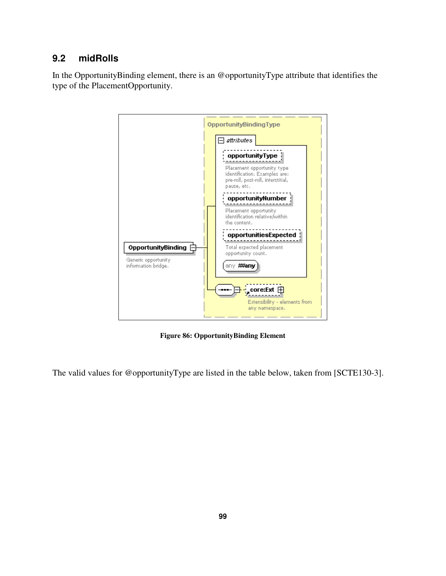# **9.2 midRolls**

In the OpportunityBinding element, there is an @opportunityType attribute that identifies the type of the PlacementOpportunity.



**Figure 86: OpportunityBinding Element** 

The valid values for @opportunityType are listed in the table below, taken from [SCTE130-3].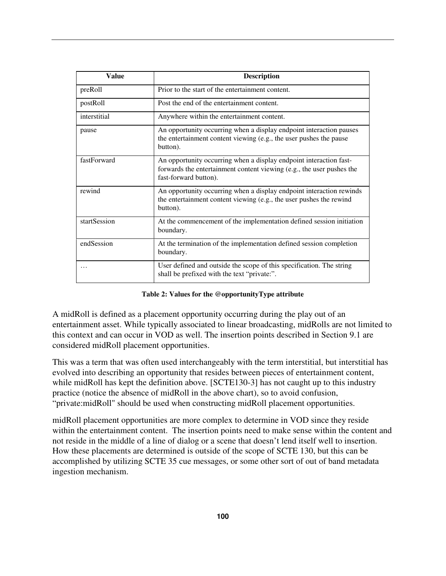| Value        | <b>Description</b>                                                                                                                                                   |
|--------------|----------------------------------------------------------------------------------------------------------------------------------------------------------------------|
| preRoll      | Prior to the start of the entertainment content.                                                                                                                     |
| postRoll     | Post the end of the entertainment content.                                                                                                                           |
| interstitial | Anywhere within the entertainment content.                                                                                                                           |
| pause        | An opportunity occurring when a display endpoint interaction pauses<br>the entertainment content viewing (e.g., the user pushes the pause<br>button).                |
| fastForward  | An opportunity occurring when a display endpoint interaction fast-<br>forwards the entertainment content viewing (e.g., the user pushes the<br>fast-forward button). |
| rewind       | An opportunity occurring when a display endpoint interaction rewinds<br>the entertainment content viewing (e.g., the user pushes the rewind<br>button).              |
| startSession | At the commencement of the implementation defined session initiation<br>boundary.                                                                                    |
| endSession   | At the termination of the implementation defined session completion<br>boundary.                                                                                     |
|              | User defined and outside the scope of this specification. The string<br>shall be prefixed with the text "private:".                                                  |

**Table 2: Values for the @opportunityType attribute** 

A midRoll is defined as a placement opportunity occurring during the play out of an entertainment asset. While typically associated to linear broadcasting, midRolls are not limited to this context and can occur in VOD as well. The insertion points described in Section 9.1 are considered midRoll placement opportunities.

This was a term that was often used interchangeably with the term interstitial, but interstitial has evolved into describing an opportunity that resides between pieces of entertainment content, while midRoll has kept the definition above. [SCTE130-3] has not caught up to this industry practice (notice the absence of midRoll in the above chart), so to avoid confusion, "private:midRoll" should be used when constructing midRoll placement opportunities.

midRoll placement opportunities are more complex to determine in VOD since they reside within the entertainment content. The insertion points need to make sense within the content and not reside in the middle of a line of dialog or a scene that doesn't lend itself well to insertion. How these placements are determined is outside of the scope of SCTE 130, but this can be accomplished by utilizing SCTE 35 cue messages, or some other sort of out of band metadata ingestion mechanism.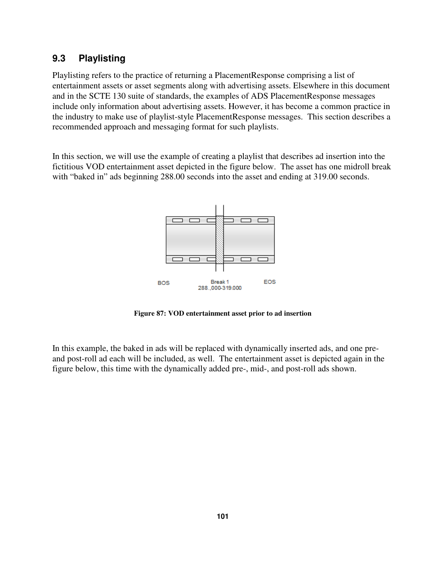# **9.3 Playlisting**

Playlisting refers to the practice of returning a PlacementResponse comprising a list of entertainment assets or asset segments along with advertising assets. Elsewhere in this document and in the SCTE 130 suite of standards, the examples of ADS PlacementResponse messages include only information about advertising assets. However, it has become a common practice in the industry to make use of playlist-style PlacementResponse messages. This section describes a recommended approach and messaging format for such playlists.

In this section, we will use the example of creating a playlist that describes ad insertion into the fictitious VOD entertainment asset depicted in the figure below. The asset has one midroll break with "baked in" ads beginning 288.00 seconds into the asset and ending at 319.00 seconds.



**Figure 87: VOD entertainment asset prior to ad insertion** 

In this example, the baked in ads will be replaced with dynamically inserted ads, and one preand post-roll ad each will be included, as well. The entertainment asset is depicted again in the figure below, this time with the dynamically added pre-, mid-, and post-roll ads shown.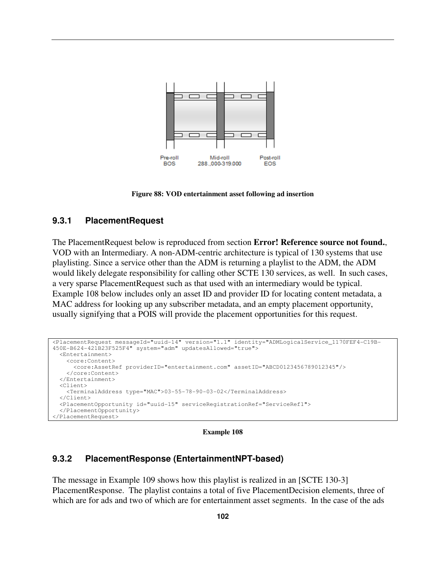

**Figure 88: VOD entertainment asset following ad insertion** 

## **9.3.1 PlacementRequest**

The PlacementRequest below is reproduced from section **Error! Reference source not found.**, VOD with an Intermediary. A non-ADM-centric architecture is typical of 130 systems that use playlisting. Since a service other than the ADM is returning a playlist to the ADM, the ADM would likely delegate responsibility for calling other SCTE 130 services, as well. In such cases, a very sparse PlacementRequest such as that used with an intermediary would be typical. Example 108 below includes only an asset ID and provider ID for locating content metadata, a MAC address for looking up any subscriber metadata, and an empty placement opportunity, usually signifying that a POIS will provide the placement opportunities for this request.

```
<PlacementRequest messageId="uuid-14" version="1.1" identity="ADMLogicalService_1170FEF4-C19B-
450E-B624-421B23F525F4" system="adm" updatesAllowed="true"> 
   <Entertainment> 
     <core:Content> 
       <core:AssetRef providerID="entertainment.com" assetID="ABCD0123456789012345"/> 
     </core:Content> 
   </Entertainment> 
   <Client> 
     <TerminalAddress type="MAC">03-55-78-90-03-02</TerminalAddress> 
   </Client> 
   <PlacementOpportunity id="uuid-15" serviceRegistrationRef="ServiceRef1"> 
   </PlacementOpportunity> 
</PlacementRequest>
```
### **Example 108**

# **9.3.2 PlacementResponse (EntertainmentNPT-based)**

The message in Example 109 shows how this playlist is realized in an [SCTE 130-3] PlacementResponse. The playlist contains a total of five PlacementDecision elements, three of which are for ads and two of which are for entertainment asset segments. In the case of the ads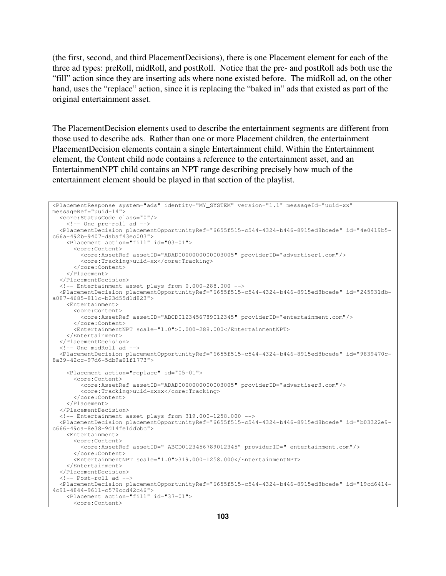(the first, second, and third PlacementDecisions), there is one Placement element for each of the three ad types: preRoll, midRoll, and postRoll. Notice that the pre- and postRoll ads both use the "fill" action since they are inserting ads where none existed before. The midRoll ad, on the other hand, uses the "replace" action, since it is replacing the "baked in" ads that existed as part of the original entertainment asset.

The PlacementDecision elements used to describe the entertainment segments are different from those used to describe ads. Rather than one or more Placement children, the entertainment PlacementDecision elements contain a single Entertainment child. Within the Entertainment element, the Content child node contains a reference to the entertainment asset, and an EntertainmentNPT child contains an NPT range describing precisely how much of the entertainment element should be played in that section of the playlist.

```
<PlacementResponse system="ads" identity="MY_SYSTEM" version="1.1" messageId="uuid-xx" 
messageRef="uuid-14"> 
   <core:StatusCode class="0"/> 
     <!-- One pre-roll ad --> 
   <PlacementDecision placementOpportunityRef="6655f515-c544-4324-b446-8915ed8bcede" id="4e0419b5-
c66a-492b-9407-dabaf43ec003"> 
     <Placement action="fill" id="03-01"> 
       <core:Content> 
         <core:AssetRef assetID="ADAD0000000000003005" providerID="advertiser1.com"/> 
         <core:Tracking>uuid-xx</core:Tracking> 
       </core:Content> 
     </Placement> 
   </PlacementDecision> 
   <!-- Entertainment asset plays from 0.000-288.000 --> 
   <PlacementDecision placementOpportunityRef="6655f515-c544-4324-b446-8915ed8bcede" id="245931db-
a087-4685-811c-b23d55d1d823"> 
    <Entertainment> 
       <core:Content> 
         <core:AssetRef assetID="ABCD0123456789012345" providerID="entertainment.com"/> 
       </core:Content> 
       <EntertainmentNPT scale="1.0">0.000-288.000</EntertainmentNPT> 
     </Entertainment> 
   </PlacementDecision> 
   <!-- One midRoll ad --> 
   <PlacementDecision placementOpportunityRef="6655f515-c544-4324-b446-8915ed8bcede" id="9839470c-
8a39-42cc-97d6-5db9a01f1773"> 
     <Placement action="replace" id="05-01"> 
       <core:Content> 
         <core:AssetRef assetID="ADAD0000000000003005" providerID="advertiser3.com"/> 
         <core:Tracking>uuid-xxxx</core:Tracking> 
       </core:Content> 
     </Placement> 
   </PlacementDecision> 
   <!-- Entertainment asset plays from 319.000-1258.000 --> 
   <PlacementDecision placementOpportunityRef="6655f515-c544-4324-b446-8915ed8bcede" id="b03322e9-
c666-49ca-8e38-9d14fe1ddbbc"> 
     <Entertainment> 
       <core:Content> 
         <core:AssetRef assetID=" ABCD0123456789012345" providerID=" entertainment.com"/> 
       </core:Content> 
       <EntertainmentNPT scale="1.0">319.000-1258.000</EntertainmentNPT> 
     </Entertainment> 
   </PlacementDecision> 
   <!-- Post-roll ad --> 
   <PlacementDecision placementOpportunityRef="6655f515-c544-4324-b446-8915ed8bcede" id="19cd6414-
4c91-4844-9611-c579ccd42c46"> 
     <Placement action="fill" id="37-01"> 
       <core:Content>
```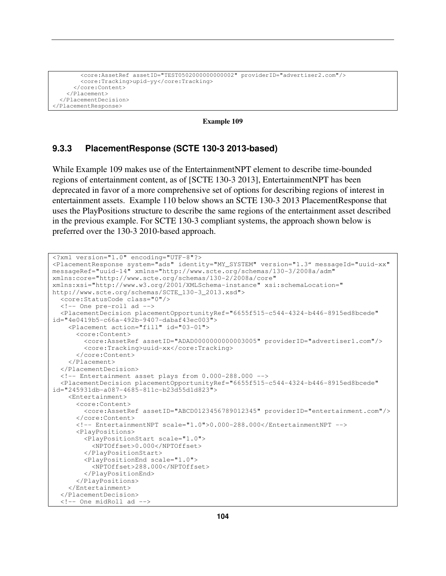```
 <core:AssetRef assetID="TEST0502000000000002" providerID="advertiser2.com"/> 
         <core:Tracking>upid-yy</core:Tracking> 
       </core:Content> 
     </Placement> 
   </PlacementDecision> 
</PlacementResponse>
```
**Example 109** 

## **9.3.3 PlacementResponse (SCTE 130-3 2013-based)**

While Example 109 makes use of the EntertainmentNPT element to describe time-bounded regions of entertainment content, as of [SCTE 130-3 2013], EntertainmentNPT has been deprecated in favor of a more comprehensive set of options for describing regions of interest in entertainment assets. Example 110 below shows an SCTE 130-3 2013 PlacementResponse that uses the PlayPositions structure to describe the same regions of the entertainment asset described in the previous example. For SCTE 130-3 compliant systems, the approach shown below is preferred over the 130-3 2010-based approach.

```
<?xml version="1.0" encoding="UTF-8"?> 
<PlacementResponse system="ads" identity="MY_SYSTEM" version="1.3" messageId="uuid-xx" 
messageRef="uuid-14" xmlns="http://www.scte.org/schemas/130-3/2008a/adm" 
xmlns:core="http://www.scte.org/schemas/130-2/2008a/core" 
xmlns:xsi="http://www.w3.org/2001/XMLSchema-instance" xsi:schemaLocation=" 
http://www.scte.org/schemas/SCTE_130-3_2013.xsd"> 
   <core:StatusCode class="0"/> 
   <!-- One pre-roll ad --> 
   <PlacementDecision placementOpportunityRef="6655f515-c544-4324-b446-8915ed8bcede" 
id="4e0419b5-c66a-492b-9407-dabaf43ec003"> 
     <Placement action="fill" id="03-01"> 
       <core:Content> 
         <core:AssetRef assetID="ADAD0000000000003005" providerID="advertiser1.com"/> 
         <core:Tracking>uuid-xx</core:Tracking> 
       </core:Content> 
     </Placement> 
   </PlacementDecision> 
   <!-- Entertainment asset plays from 0.000-288.000 --> 
   <PlacementDecision placementOpportunityRef="6655f515-c544-4324-b446-8915ed8bcede" 
id="245931db-a087-4685-811c-b23d55d1d823"> 
     <Entertainment> 
       <core:Content> 
         <core:AssetRef assetID="ABCD0123456789012345" providerID="entertainment.com"/> 
       </core:Content> 
       <!-- EntertainmentNPT scale="1.0">0.000-288.000</EntertainmentNPT --> 
       <PlayPositions> 
         <PlayPositionStart scale="1.0"> 
           <NPTOffset>0.000</NPTOffset> 
         </PlayPositionStart> 
         <PlayPositionEnd scale="1.0"> 
           <NPTOffset>288.000</NPTOffset> 
         </PlayPositionEnd> 
       </PlayPositions> 
     </Entertainment> 
   </PlacementDecision> 
   <!-- One midRoll ad -->
```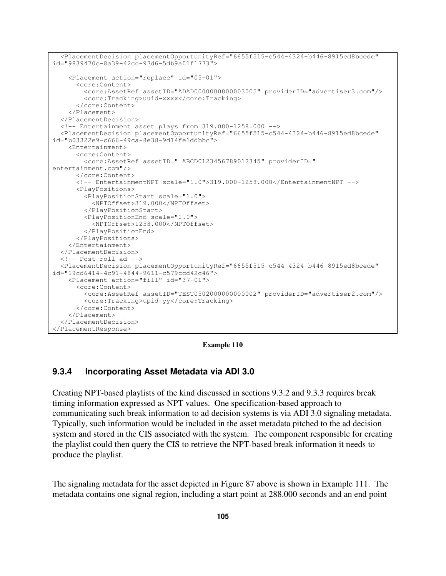```
 <PlacementDecision placementOpportunityRef="6655f515-c544-4324-b446-8915ed8bcede" 
id="9839470c-8a39-42cc-97d6-5db9a01f1773"> 
     <Placement action="replace" id="05-01"> 
       <core:Content> 
         <core:AssetRef assetID="ADAD0000000000003005" providerID="advertiser3.com"/> 
         <core:Tracking>uuid-xxxx</core:Tracking> 
       </core:Content> 
     </Placement> 
   </PlacementDecision> 
   <!-- Entertainment asset plays from 319.000-1258.000 --> 
   <PlacementDecision placementOpportunityRef="6655f515-c544-4324-b446-8915ed8bcede" 
id="b03322e9-c666-49ca-8e38-9d14fe1ddbbc"> 
     <Entertainment> 
       <core:Content> 
         <core:AssetRef assetID=" ABCD0123456789012345" providerID=" 
entertainment.com"/> 
       </core:Content> 
       <!-- EntertainmentNPT scale="1.0">319.000-1258.000</EntertainmentNPT --> 
       <PlayPositions> 
         <PlayPositionStart scale="1.0"> 
           <NPTOffset>319.000</NPTOffset> 
         </PlayPositionStart> 
         <PlayPositionEnd scale="1.0"> 
           <NPTOffset>1258.000</NPTOffset> 
         </PlayPositionEnd> 
       </PlayPositions> 
     </Entertainment> 
   </PlacementDecision> 
   <!-- Post-roll ad --> 
   <PlacementDecision placementOpportunityRef="6655f515-c544-4324-b446-8915ed8bcede" 
id="19cd6414-4c91-4844-9611-c579ccd42c46"> 
     <Placement action="fill" id="37-01"> 
       <core:Content> 
         <core:AssetRef assetID="TEST0502000000000002" providerID="advertiser2.com"/> 
         <core:Tracking>upid-yy</core:Tracking> 
       </core:Content> 
     </Placement> 
   </PlacementDecision> 
</PlacementResponse>
```
**Example 110** 

## **9.3.4 Incorporating Asset Metadata via ADI 3.0**

Creating NPT-based playlists of the kind discussed in sections 9.3.2 and 9.3.3 requires break timing information expressed as NPT values. One specification-based approach to communicating such break information to ad decision systems is via ADI 3.0 signaling metadata. Typically, such information would be included in the asset metadata pitched to the ad decision system and stored in the CIS associated with the system. The component responsible for creating the playlist could then query the CIS to retrieve the NPT-based break information it needs to produce the playlist.

The signaling metadata for the asset depicted in Figure 87 above is shown in Example 111. The metadata contains one signal region, including a start point at 288.000 seconds and an end point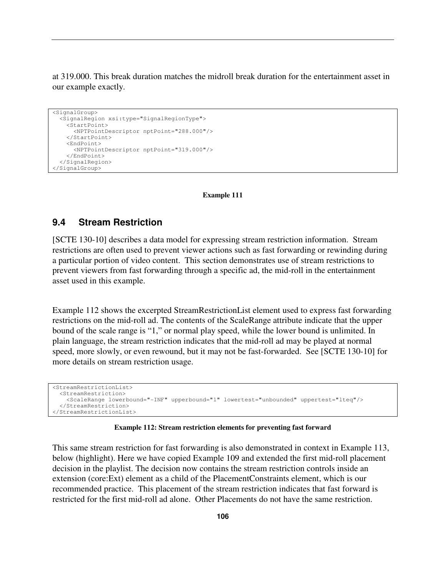at 319.000. This break duration matches the midroll break duration for the entertainment asset in our example exactly.

```
<SignalGroup> 
   <SignalRegion xsi:type="SignalRegionType"> 
     <StartPoint> 
       <NPTPointDescriptor nptPoint="288.000"/> 
     </StartPoint> 
     <EndPoint> 
       <NPTPointDescriptor nptPoint="319.000"/> 
     </EndPoint> 
   </SignalRegion> 
</SignalGroup>
```
#### **Example 111**

## **9.4 Stream Restriction**

[SCTE 130-10] describes a data model for expressing stream restriction information. Stream restrictions are often used to prevent viewer actions such as fast forwarding or rewinding during a particular portion of video content. This section demonstrates use of stream restrictions to prevent viewers from fast forwarding through a specific ad, the mid-roll in the entertainment asset used in this example.

Example 112 shows the excerpted StreamRestrictionList element used to express fast forwarding restrictions on the mid-roll ad. The contents of the ScaleRange attribute indicate that the upper bound of the scale range is "1," or normal play speed, while the lower bound is unlimited. In plain language, the stream restriction indicates that the mid-roll ad may be played at normal speed, more slowly, or even rewound, but it may not be fast-forwarded. See [SCTE 130-10] for more details on stream restriction usage.

```
<StreamRestrictionList> 
   <StreamRestriction> 
     <ScaleRange lowerbound="-INF" upperbound="1" lowertest="unbounded" uppertest="lteq"/> 
   </StreamRestriction> 
</StreamRestrictionList>
```
#### **Example 112: Stream restriction elements for preventing fast forward**

This same stream restriction for fast forwarding is also demonstrated in context in Example 113, below (highlight). Here we have copied Example 109 and extended the first mid-roll placement decision in the playlist. The decision now contains the stream restriction controls inside an extension (core:Ext) element as a child of the PlacementConstraints element, which is our recommended practice. This placement of the stream restriction indicates that fast forward is restricted for the first mid-roll ad alone. Other Placements do not have the same restriction.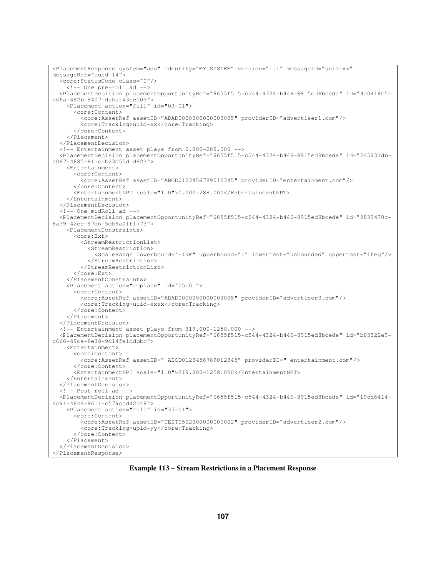```
<PlacementResponse system="ads" identity="MY_SYSTEM" version="1.1" messageId="uuid-xx" 
messageRef="uuid-14"> 
   <core:StatusCode class="0"/> 
     <!-- One pre-roll ad --> 
   <PlacementDecision placementOpportunityRef="6655f515-c544-4324-b446-8915ed8bcede" id="4e0419b5-
c66a-492b-9407-dabaf43ec003"> 
     <Placement action="fill" id="03-01"> 
       <core:Content> 
         <core:AssetRef assetID="ADAD0000000000003005" providerID="advertiser1.com"/> 
         <core:Tracking>uuid-xx</core:Tracking> 
       </core:Content> 
     </Placement> 
   </PlacementDecision> 
   <!-- Entertainment asset plays from 0.000-288.000 --> 
   <PlacementDecision placementOpportunityRef="6655f515-c544-4324-b446-8915ed8bcede" id="245931db-
a087-4685-811c-b23d55d1d823"> 
     <Entertainment> 
       <core:Content> 
         <core:AssetRef assetID="ABCD0123456789012345" providerID="entertainment.com"/> 
       </core:Content> 
       <EntertainmentNPT scale="1.0">0.000-288.000</EntertainmentNPT> 
     </Entertainment> 
   </PlacementDecision> 
   <!-- One midRoll ad --> 
   <PlacementDecision placementOpportunityRef="6655f515-c544-4324-b446-8915ed8bcede" id="9839470c-
8a39-42cc-97d6-5db9a01f1773"> 
     <PlacementConstraints> 
       <core:Ext> 
         <StreamRestrictionList> 
           <StreamRestriction> 
              <ScaleRange lowerbound="-INF" upperbound="1" lowertest="unbounded" uppertest="lteq"/> 
           </StreamRestriction> 
         </StreamRestrictionList> 
       </core:Ext> 
     </PlacementConstraints> 
     <Placement action="replace" id="05-01"> 
       <core:Content> 
         <core:AssetRef assetID="ADAD0000000000003005" providerID="advertiser3.com"/> 
         <core:Tracking>uuid-xxxx</core:Tracking> 
       </core:Content> 
     </Placement> 
   </PlacementDecision> 
   <!-- Entertainment asset plays from 319.000-1258.000 --> 
   <PlacementDecision placementOpportunityRef="6655f515-c544-4324-b446-8915ed8bcede" id="b03322e9-
c666-49ca-8e38-9d14fe1ddbbc"> 
     <Entertainment> 
       <core:Content> 
         <core:AssetRef assetID=" ABCD0123456789012345" providerID=" entertainment.com"/> 
       </core:Content> 
       <EntertainmentNPT scale="1.0">319.000-1258.000</EntertainmentNPT> 
     </Entertainment> 
   </PlacementDecision> 
   <!-- Post-roll ad --> 
   <PlacementDecision placementOpportunityRef="6655f515-c544-4324-b446-8915ed8bcede" id="19cd6414-
4c91-4844-9611-c579ccd42c46"> 
     <Placement action="fill" id="37-01"> 
       <core:Content> 
         <core:AssetRef assetID="TEST0502000000000002" providerID="advertiser2.com"/> 
         <core:Tracking>upid-yy</core:Tracking> 
       </core:Content> 
     </Placement> 
   </PlacementDecision> 
</PlacementResponse>
```
**Example 113 – Stream Restrictions in a Placement Response**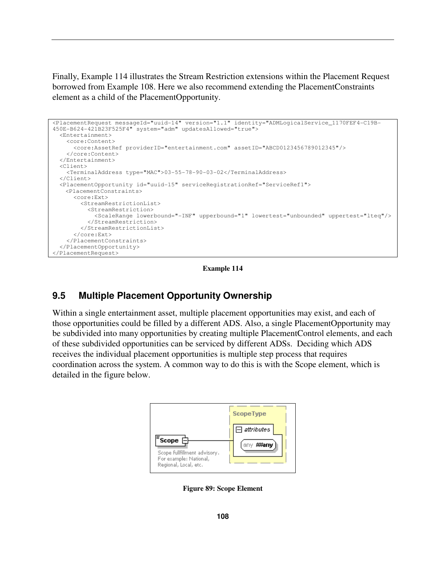Finally, Example 114 illustrates the Stream Restriction extensions within the Placement Request borrowed from Example 108. Here we also recommend extending the PlacementConstraints element as a child of the PlacementOpportunity.



**Example 114** 

## **9.5 Multiple Placement Opportunity Ownership**

Within a single entertainment asset, multiple placement opportunities may exist, and each of those opportunities could be filled by a different ADS. Also, a single PlacementOpportunity may be subdivided into many opportunities by creating multiple PlacementControl elements, and each of these subdivided opportunities can be serviced by different ADSs. Deciding which ADS receives the individual placement opportunities is multiple step process that requires coordination across the system. A common way to do this is with the Scope element, which is detailed in the figure below.



**Figure 89: Scope Element**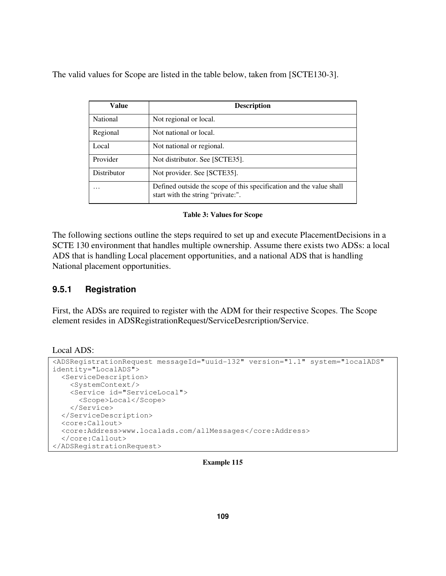The valid values for Scope are listed in the table below, taken from [SCTE130-3].

| Value              | <b>Description</b>                                                                                       |
|--------------------|----------------------------------------------------------------------------------------------------------|
| National           | Not regional or local.                                                                                   |
| Regional           | Not national or local.                                                                                   |
| Local              | Not national or regional.                                                                                |
| Provider           | Not distributor. See [SCTE35].                                                                           |
| <b>Distributor</b> | Not provider. See [SCTE35].                                                                              |
| .                  | Defined outside the scope of this specification and the value shall<br>start with the string "private:". |

### **Table 3: Values for Scope**

The following sections outline the steps required to set up and execute PlacementDecisions in a SCTE 130 environment that handles multiple ownership. Assume there exists two ADSs: a local ADS that is handling Local placement opportunities, and a national ADS that is handling National placement opportunities.

## **9.5.1 Registration**

First, the ADSs are required to register with the ADM for their respective Scopes. The Scope element resides in ADSRegistrationRequest/ServiceDesrcription/Service.

Local ADS:

```
<ADSRegistrationRequest messageId="uuid-132" version="1.1" system="localADS" 
identity="LocalADS"> 
   <ServiceDescription> 
    <SystemContext/> 
     <Service id="ServiceLocal"> 
      <Scope>Local</Scope> 
     </Service> 
   </ServiceDescription> 
   <core:Callout> 
   <core:Address>www.localads.com/allMessages</core:Address> 
   </core:Callout> 
</ADSRegistrationRequest>
```
### **Example 115**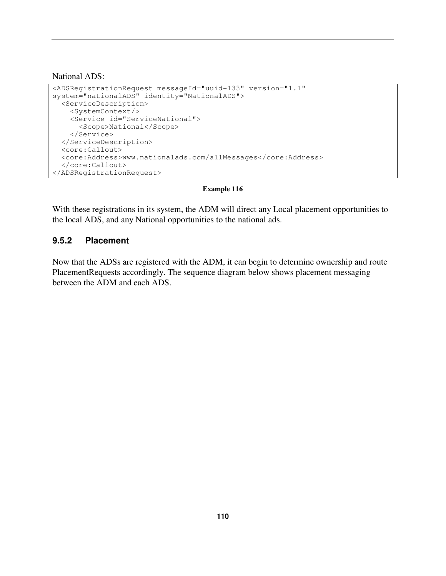National ADS:

```
<ADSRegistrationRequest messageId="uuid-133" version="1.1" 
system="nationalADS" identity="NationalADS"> 
   <ServiceDescription> 
     <SystemContext/> 
     <Service id="ServiceNational"> 
       <Scope>National</Scope> 
     </Service> 
   </ServiceDescription> 
   <core:Callout> 
   <core:Address>www.nationalads.com/allMessages</core:Address> 
   </core:Callout> 
</ADSRegistrationRequest>
```
### **Example 116**

With these registrations in its system, the ADM will direct any Local placement opportunities to the local ADS, and any National opportunities to the national ads.

### **9.5.2 Placement**

Now that the ADSs are registered with the ADM, it can begin to determine ownership and route PlacementRequests accordingly. The sequence diagram below shows placement messaging between the ADM and each ADS.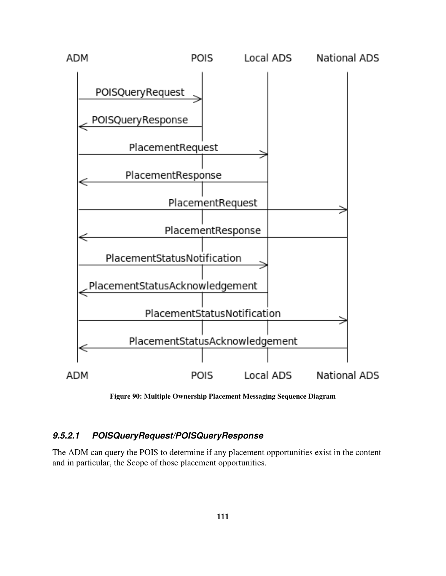

**Figure 90: Multiple Ownership Placement Messaging Sequence Diagram** 

## **9.5.2.1 POISQueryRequest/POISQueryResponse**

The ADM can query the POIS to determine if any placement opportunities exist in the content and in particular, the Scope of those placement opportunities.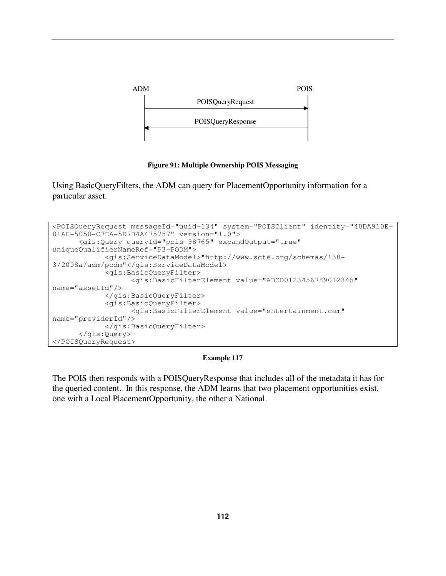

### **Figure 91: Multiple Ownership POIS Messaging**

Using BasicQueryFilters, the ADM can query for PlacementOpportunity information for a particular asset.

```
<POISQueryRequest messageId="uuid-134" system="POISClient" identity="40DA910E-
01AF-5050-C7EA-5D7B4A475757" version="1.0"> 
       <gis:Query queryId="pois-98765" expandOutput="true" 
uniqueQualifierNameRef="P3-PODM"> 
             <gis:ServiceDataModel>"http://www.scte.org/schemas/130-
3/2008a/adm/podm"</gis:ServiceDataModel> 
             <gis:BasicQueryFilter> 
                    <gis:BasicFilterElement value="ABCD0123456789012345" 
name="assetId"/> 
             </gis:BasicQueryFilter> 
             <gis:BasicQueryFilter> 
                    <gis:BasicFilterElement value="entertainment.com" 
name="providerId"/> 
             </gis:BasicQueryFilter>
       </gis:Query> 
</POISQueryRequest>
```
### **Example 117**

The POIS then responds with a POISQueryResponse that includes all of the metadata it has for the queried content. In this response, the ADM learns that two placement opportunities exist, one with a Local PlacementOpportunity, the other a National.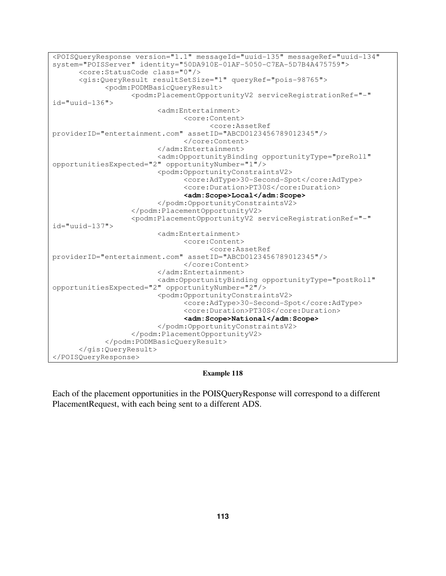```
<POISQueryResponse version="1.1" messageId="uuid-135" messageRef="uuid-134" 
system="POISServer" identity="50DA910E-01AF-5050-C7EA-5D7B4A475759"> 
       <core:StatusCode class="0"/> 
       <gis:QueryResult resultSetSize="1" queryRef="pois-98765"> 
              <podm:PODMBasicQueryResult> 
                    <podm:PlacementOpportunityV2 serviceRegistrationRef="-" 
id="uuid-136"> 
                          <adm:Entertainment> 
                                 <core:Content> 
                                       <core:AssetRef 
providerID="entertainment.com" assetID="ABCD0123456789012345"/> 
                                 </core:Content> 
                          </adm:Entertainment> 
                          <adm:OpportunityBinding opportunityType="preRoll" 
opportunitiesExpected="2" opportunityNumber="1"/> 
                          <podm:OpportunityConstraintsV2> 
                                 <core:AdType>30-Second-Spot</core:AdType> 
                                 <core:Duration>PT30S</core:Duration> 
                                 <adm:Scope>Local</adm:Scope> 
                          </podm:OpportunityConstraintsV2> 
                    </podm:PlacementOpportunityV2> 
                    <podm:PlacementOpportunityV2 serviceRegistrationRef="-" 
id="uuid-137"> 
                          <adm:Entertainment> 
                                 <core:Content> 
                                       <core:AssetRef 
providerID="entertainment.com" assetID="ABCD0123456789012345"/> 
                                 </core:Content> 
                          </adm:Entertainment> 
                          <adm:OpportunityBinding opportunityType="postRoll" 
opportunitiesExpected="2" opportunityNumber="2"/> 
                          <podm:OpportunityConstraintsV2> 
                                 <core:AdType>30-Second-Spot</core:AdType> 
                                 <core:Duration>PT30S</core:Duration> 
                                 <adm:Scope>National</adm:Scope> 
                          </podm:OpportunityConstraintsV2> 
                    </podm:PlacementOpportunityV2> 
              </podm:PODMBasicQueryResult> 
       </gis:QueryResult> 
</POISQueryResponse>
```
### **Example 118**

Each of the placement opportunities in the POISQueryResponse will correspond to a different PlacementRequest, with each being sent to a different ADS.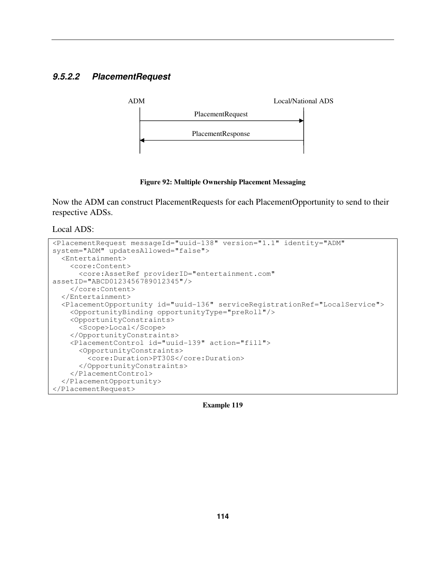## **9.5.2.2 PlacementRequest**



**Figure 92: Multiple Ownership Placement Messaging** 

Now the ADM can construct PlacementRequests for each PlacementOpportunity to send to their respective ADSs.

Local ADS:

| <placementrequest <="" identity="ADM" messageid="uuid-138" th="" version="1.1"></placementrequest> |  |
|----------------------------------------------------------------------------------------------------|--|
| system="ADM" updatesAllowed="false">                                                               |  |
| $\epsilon$ Entertainment>                                                                          |  |
| <core:content></core:content>                                                                      |  |
| <core:assetref <="" providerid="entertainment.com" td=""></core:assetref>                          |  |
| assetID="ABCD0123456789012345"/>                                                                   |  |
|                                                                                                    |  |
|                                                                                                    |  |
| <placementopportunity id="uuid-136" serviceregistrationref="LocalService"></placementopportunity>  |  |
| <opportunitybinding opportunitytype="preRoll"></opportunitybinding>                                |  |
| <opportunityconstraints></opportunityconstraints>                                                  |  |
| <scope>Local</scope>                                                                               |  |
|                                                                                                    |  |
| <placementcontrol action="fill" id="uuid-139"></placementcontrol>                                  |  |
| <opportunityconstraints></opportunityconstraints>                                                  |  |
| <core:duration>PT30S</core:duration>                                                               |  |
|                                                                                                    |  |
|                                                                                                    |  |
|                                                                                                    |  |
|                                                                                                    |  |

**Example 119**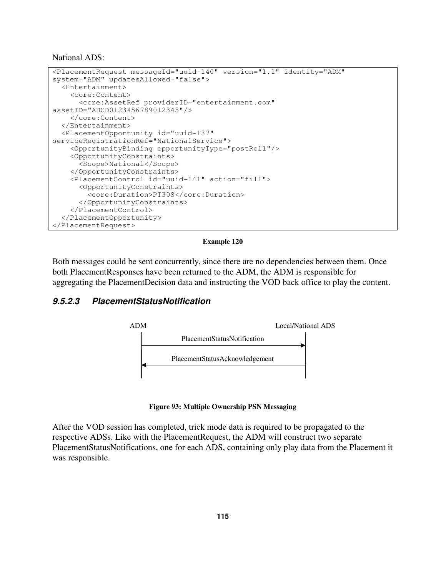National ADS:

```
<PlacementRequest messageId="uuid-140" version="1.1" identity="ADM" 
system="ADM" updatesAllowed="false"> 
   <Entertainment> 
     <core:Content> 
       <core:AssetRef providerID="entertainment.com"
assetID="ABCD0123456789012345"/> 
     </core:Content> 
   </Entertainment> 
   <PlacementOpportunity id="uuid-137" 
serviceRegistrationRef="NationalService"> 
     <OpportunityBinding opportunityType="postRoll"/> 
     <OpportunityConstraints> 
       <Scope>National</Scope> 
     </OpportunityConstraints> 
     <PlacementControl id="uuid-141" action="fill"> 
       <OpportunityConstraints> 
         <core:Duration>PT30S</core:Duration> 
       </OpportunityConstraints> 
     </PlacementControl> 
   </PlacementOpportunity> 
</PlacementRequest>
```
#### **Example 120**

Both messages could be sent concurrently, since there are no dependencies between them. Once both PlacementResponses have been returned to the ADM, the ADM is responsible for aggregating the PlacementDecision data and instructing the VOD back office to play the content.

## **9.5.2.3 PlacementStatusNotification**



**Figure 93: Multiple Ownership PSN Messaging** 

After the VOD session has completed, trick mode data is required to be propagated to the respective ADSs. Like with the PlacementRequest, the ADM will construct two separate PlacementStatusNotifications, one for each ADS, containing only play data from the Placement it was responsible.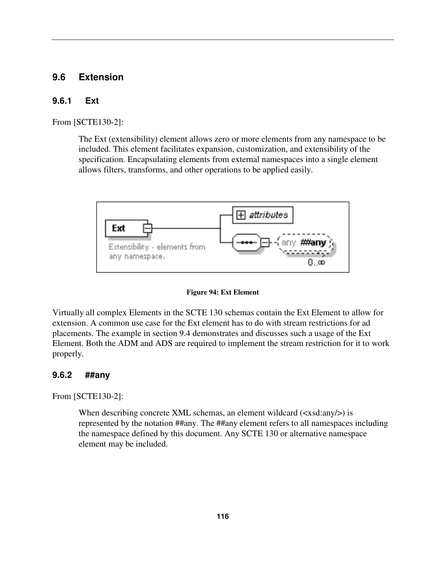## **9.6 Extension**

### **9.6.1 Ext**

From [SCTE130-2]:

The Ext (extensibility) element allows zero or more elements from any namespace to be included. This element facilitates expansion, customization, and extensibility of the specification. Encapsulating elements from external namespaces into a single element allows filters, transforms, and other operations to be applied easily.



### **Figure 94: Ext Element**

Virtually all complex Elements in the SCTE 130 schemas contain the Ext Element to allow for extension. A common use case for the Ext element has to do with stream restrictions for ad placements. The example in section 9.4 demonstrates and discusses such a usage of the Ext Element. Both the ADM and ADS are required to implement the stream restriction for it to work properly.

### **9.6.2 ##any**

From [SCTE130-2]:

When describing concrete XML schemas, an element wildcard  $(\langle xsd:any \rangle)$  is represented by the notation ##any. The ##any element refers to all namespaces including the namespace defined by this document. Any SCTE 130 or alternative namespace element may be included.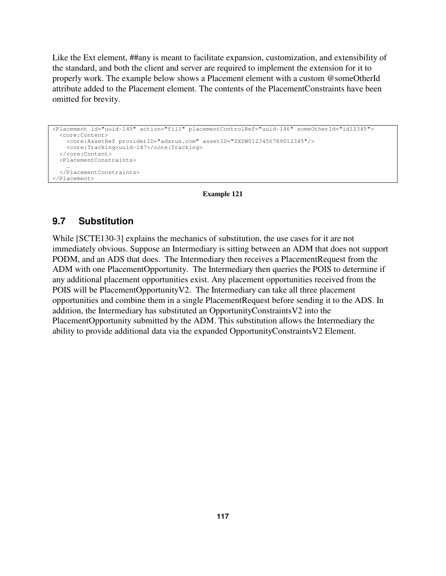Like the Ext element, ##any is meant to facilitate expansion, customization, and extensibility of the standard, and both the client and server are required to implement the extension for it to properly work. The example below shows a Placement element with a custom @someOtherId attribute added to the Placement element. The contents of the PlacementConstraints have been omitted for brevity.

```
<Placement id="uuid-145" action="fill" placementControlRef="uuid-146" someOtherId="id12345"> 
   <core:Content> 
    <core:AssetRef providerID="adsrus.com" assetID="ZXYW0123456789012345"/> 
     <core:Tracking>uuid-147</core:Tracking> 
   </core:Content> 
  <PlacementConstraints> 
 … 
   </PlacementConstraints> 
</Placement>
```
#### **Example 121**

## **9.7 Substitution**

While [SCTE130-3] explains the mechanics of substitution, the use cases for it are not immediately obvious. Suppose an Intermediary is sitting between an ADM that does not support PODM, and an ADS that does. The Intermediary then receives a PlacementRequest from the ADM with one PlacementOpportunity. The Intermediary then queries the POIS to determine if any additional placement opportunities exist. Any placement opportunities received from the POIS will be PlacementOpportunityV2. The Intermediary can take all three placement opportunities and combine them in a single PlacementRequest before sending it to the ADS. In addition, the Intermediary has substituted an OpportunityConstraintsV2 into the PlacementOpportunity submitted by the ADM. This substitution allows the Intermediary the ability to provide additional data via the expanded OpportunityConstraintsV2 Element.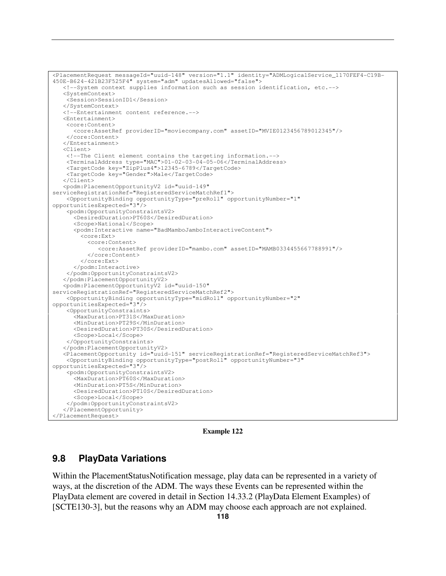```
<PlacementRequest messageId="uuid-148" version="1.1" identity="ADMLogicalService_1170FEF4-C19B-
450E-B624-421B23F525F4" system="adm" updatesAllowed="false"> 
    <!--System context supplies information such as session identification, etc.--> 
    <SystemContext> 
     <Session>SessionID1</Session> 
    </SystemContext> 
    <!--Entertainment content reference.--> 
    <Entertainment> 
     <core:Content> 
       <core:AssetRef providerID="moviecompany.com" assetID="MVIE0123456789012345"/> 
     </core:Content> 
    </Entertainment> 
    <Client> 
     <!--The Client element contains the targeting information.--> 
 <TerminalAddress type="MAC">01-02-03-04-05-06</TerminalAddress> 
 <TargetCode key="ZipPlus4">12345-6789</TargetCode> 
     <TargetCode key="Gender">Male</TargetCode> 
    </Client> 
    <podm:PlacementOpportunityV2 id="uuid-149" 
serviceRegistrationRef="RegisteredServiceMatchRef1"> 
     <OpportunityBinding opportunityType="preRoll" opportunityNumber="1" 
opportunitiesExpected="3"/> 
     <podm:OpportunityConstraintsV2> 
       <DesiredDuration>PT60S</DesiredDuration> 
       <Scope>National</Scope> 
       <podm:Interactive name="BadMamboJamboInteractiveContent"> 
         <core:Ext> 
           <core:Content> 
              <core:AssetRef providerID="mambo.com" assetID="MAMB0334455667788991"/> 
           </core:Content> 
         </core:Ext> 
       </podm:Interactive> 
     </podm:OpportunityConstraintsV2> 
    </podm:PlacementOpportunityV2> 
    <podm:PlacementOpportunityV2 id="uuid-150" 
serviceRegistrationRef="RegisteredServiceMatchRef2"> 
    <OpportunityBinding opportunityType="midRoll" opportunityNumber="2" 
opportunitiesExpected="3"/> 
     <OpportunityConstraints> 
       <MaxDuration>PT31S</MaxDuration> 
       <MinDuration>PT29S</MinDuration> 
       <DesiredDuration>PT30S</DesiredDuration> 
       <Scope>Local</Scope> 
     </OpportunityConstraints> 
    </podm:PlacementOpportunityV2> 
    <PlacementOpportunity id="uuid-151" serviceRegistrationRef="RegisteredServiceMatchRef3"> 
     <OpportunityBinding opportunityType="postRoll" opportunityNumber="3" 
opportunitiesExpected="3"/> 
    <podm:OpportunityConstraintsV2> 
       <MaxDuration>PT60S</MaxDuration> 
       <MinDuration>PT5S</MinDuration> 
       <DesiredDuration>PT10S</DesiredDuration> 
       <Scope>Local</Scope> 
     </podm:OpportunityConstraintsV2> 
    </PlacementOpportunity> 
</PlacementRequest>
```
**Example 122** 

## **9.8 PlayData Variations**

Within the PlacementStatusNotification message, play data can be represented in a variety of ways, at the discretion of the ADM. The ways these Events can be represented within the PlayData element are covered in detail in Section 14.33.2 (PlayData Element Examples) of [SCTE130-3], but the reasons why an ADM may choose each approach are not explained.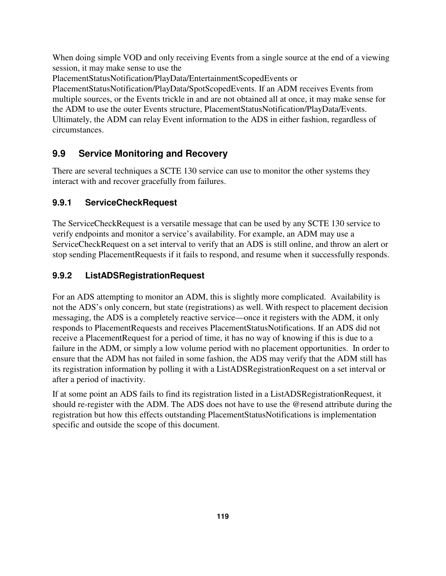When doing simple VOD and only receiving Events from a single source at the end of a viewing session, it may make sense to use the

PlacementStatusNotification/PlayData/EntertainmentScopedEvents or

PlacementStatusNotification/PlayData/SpotScopedEvents. If an ADM receives Events from multiple sources, or the Events trickle in and are not obtained all at once, it may make sense for the ADM to use the outer Events structure, PlacementStatusNotification/PlayData/Events. Ultimately, the ADM can relay Event information to the ADS in either fashion, regardless of circumstances.

# **9.9 Service Monitoring and Recovery**

There are several techniques a SCTE 130 service can use to monitor the other systems they interact with and recover gracefully from failures.

# **9.9.1 ServiceCheckRequest**

The ServiceCheckRequest is a versatile message that can be used by any SCTE 130 service to verify endpoints and monitor a service's availability. For example, an ADM may use a ServiceCheckRequest on a set interval to verify that an ADS is still online, and throw an alert or stop sending PlacementRequests if it fails to respond, and resume when it successfully responds.

# **9.9.2 ListADSRegistrationRequest**

For an ADS attempting to monitor an ADM, this is slightly more complicated. Availability is not the ADS's only concern, but state (registrations) as well. With respect to placement decision messaging, the ADS is a completely reactive service—once it registers with the ADM, it only responds to PlacementRequests and receives PlacementStatusNotifications. If an ADS did not receive a PlacementRequest for a period of time, it has no way of knowing if this is due to a failure in the ADM, or simply a low volume period with no placement opportunities. In order to ensure that the ADM has not failed in some fashion, the ADS may verify that the ADM still has its registration information by polling it with a ListADSRegistrationRequest on a set interval or after a period of inactivity.

If at some point an ADS fails to find its registration listed in a ListADSRegistrationRequest, it should re-register with the ADM. The ADS does not have to use the @resend attribute during the registration but how this effects outstanding PlacementStatusNotifications is implementation specific and outside the scope of this document.